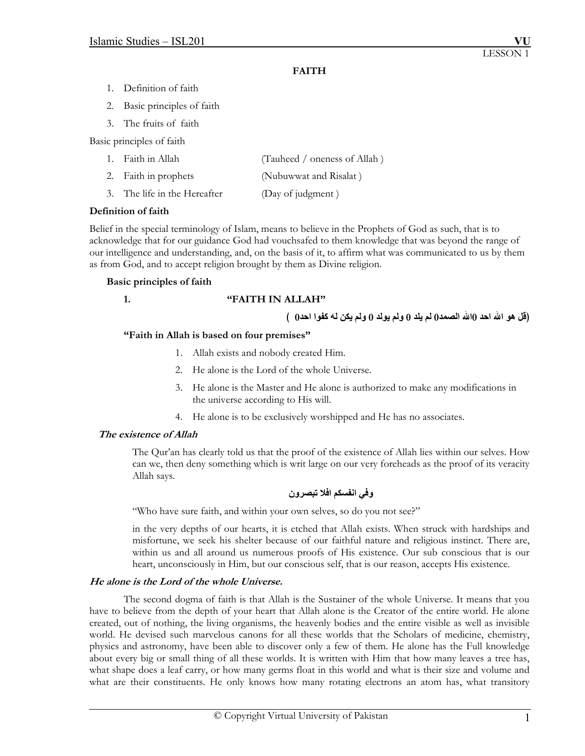# **FAITH**

- 1. Definition of faith
- 2. Basic principles of faith
- 3. The fruits of faith

Basic principles of faith

| 1. Faith in Allah            | (Tauheed / oneness of Allah) |
|------------------------------|------------------------------|
| 2. Faith in prophets         | (Nubuwwat and Risalat)       |
| 3. The life in the Hereafter | (Day of judgment)            |

## **Definition of faith**

Belief in the special terminology of Islam, means to believe in the Prophets of God as such, that is to acknowledge that for our guidance God had vouchsafed to them knowledge that was beyond the range of our intelligence and understanding, and, on the basis of it, to affirm what was communicated to us by them as from God, and to accept religion brought by them as Divine religion.

## **Basic principles of faith**

### **1. "FAITH IN ALLAH"**

(قُل هو الله احد 0الله الصمد0 لم يلد 0 ولم يولد 0 ولم يكن له كفوا احد0 \_)

## **"Faith in Allah is based on four premises"**

- 1. Allah exists and nobody created Him.
- 2. He alone is the Lord of the whole Universe.
- 3. He alone is the Master and He alone is authorized to make any modifications in the universe according to His will.
- 4. He alone is to be exclusively worshipped and He has no associates.

## **The existence of Allah**

The Qur'an has clearly told us that the proof of the existence of Allah lies within our selves. How can we, then deny something which is writ large on our very foreheads as the proof of its veracity Allah says.

# **وفي انفسكم افلا تبصرون**

"Who have sure faith, and within your own selves, so do you not see?"

in the very depths of our hearts, it is etched that Allah exists. When struck with hardships and misfortune, we seek his shelter because of our faithful nature and religious instinct. There are, within us and all around us numerous proofs of His existence. Our sub conscious that is our heart, unconsciously in Him, but our conscious self, that is our reason, accepts His existence.

## **He alone is the Lord of the whole Universe.**

 The second dogma of faith is that Allah is the Sustainer of the whole Universe. It means that you have to believe from the depth of your heart that Allah alone is the Creator of the entire world. He alone created, out of nothing, the living organisms, the heavenly bodies and the entire visible as well as invisible world. He devised such marvelous canons for all these worlds that the Scholars of medicine, chemistry, physics and astronomy, have been able to discover only a few of them. He alone has the Full knowledge about every big or small thing of all these worlds. It is written with Him that how many leaves a tree has, what shape does a leaf carry, or how many germs float in this world and what is their size and volume and what are their constituents. He only knows how many rotating electrons an atom has, what transitory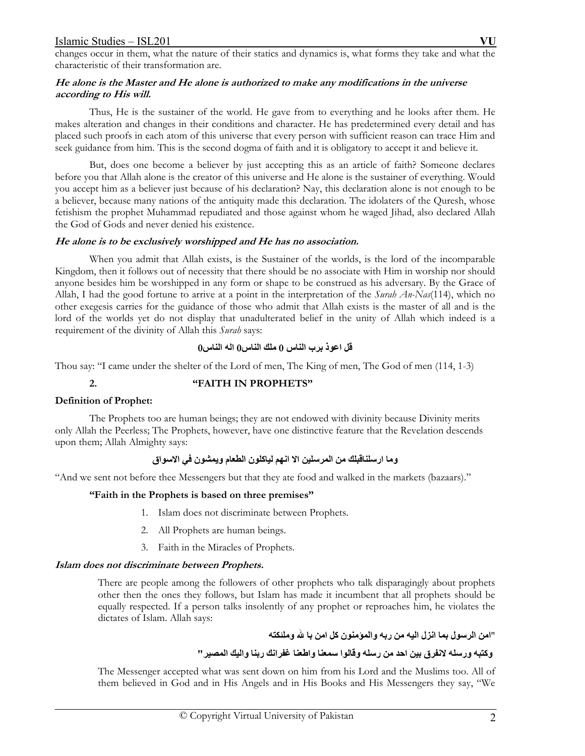changes occur in them, what the nature of their statics and dynamics is, what forms they take and what the characteristic of their transformation are.

## **He alone is the Master and He alone is authorized to make any modifications in the universe according to His will.**

 Thus, He is the sustainer of the world. He gave from to everything and he looks after them. He makes alteration and changes in their conditions and character. He has predetermined every detail and has placed such proofs in each atom of this universe that every person with sufficient reason can trace Him and seek guidance from him. This is the second dogma of faith and it is obligatory to accept it and believe it.

 But, does one become a believer by just accepting this as an article of faith? Someone declares before you that Allah alone is the creator of this universe and He alone is the sustainer of everything. Would you accept him as a believer just because of his declaration? Nay, this declaration alone is not enough to be a believer, because many nations of the antiquity made this declaration. The idolaters of the Quresh, whose fetishism the prophet Muhammad repudiated and those against whom he waged Jihad, also declared Allah the God of Gods and never denied his existence.

## **He alone is to be exclusively worshipped and He has no association.**

 When you admit that Allah exists, is the Sustainer of the worlds, is the lord of the incomparable Kingdom, then it follows out of necessity that there should be no associate with Him in worship nor should anyone besides him be worshipped in any form or shape to be construed as his adversary. By the Grace of Allah, I had the good fortune to arrive at a point in the interpretation of the *Surah An-Nas*(114), which no other exegesis carries for the guidance of those who admit that Allah exists is the master of all and is the lord of the worlds yet do not display that unadulterated belief in the unity of Allah which indeed is a requirement of the divinity of Allah this *Surah* says:

# **قل اعوذ برب الناس 0 ملك الناس0 اله الناس 0**

Thou say: "I came under the shelter of the Lord of men, The King of men, The God of men (114, 1-3)

# **2. "FAITH IN PROPHETS"**

## **Definition of Prophet:**

 The Prophets too are human beings; they are not endowed with divinity because Divinity merits only Allah the Peerless; The Prophets, however, have one distinctive feature that the Revelation descends upon them; Allah Almighty says:

# **وما ارسلناقبلك من المرسلين الا انهم لياآلون الطعام ويمشون في الاسواق**

"And we sent not before thee Messengers but that they ate food and walked in the markets (bazaars)."

# **"Faith in the Prophets is based on three premises"**

- 1. Islam does not discriminate between Prophets.
- 2. All Prophets are human beings.
- 3. Faith in the Miracles of Prophets.

## **Islam does not discriminate between Prophets.**

There are people among the followers of other prophets who talk disparagingly about prophets other then the ones they follows, but Islam has made it incumbent that all prophets should be equally respected. If a person talks insolently of any prophet or reproaches him, he violates the dictates of Islam. Allah says:

"**امن الرسول بما انزل اليه من ربه والمؤمنون آل امن با الله وملئكته**

# **وآتبه ورسله لانفرق بين احد من رسله وقالوا سمعنا واطعنا غفرانك ربنا واليك المصير"**

The Messenger accepted what was sent down on him from his Lord and the Muslims too. All of them believed in God and in His Angels and in His Books and His Messengers they say, "We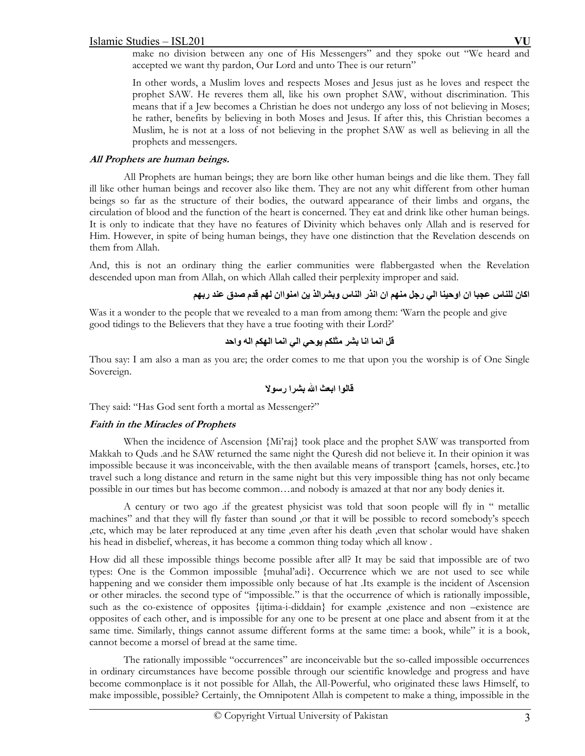make no division between any one of His Messengers" and they spoke out "We heard and accepted we want thy pardon, Our Lord and unto Thee is our return"

In other words, a Muslim loves and respects Moses and Jesus just as he loves and respect the prophet SAW. He reveres them all, like his own prophet SAW, without discrimination. This means that if a Jew becomes a Christian he does not undergo any loss of not believing in Moses; he rather, benefits by believing in both Moses and Jesus. If after this, this Christian becomes a Muslim, he is not at a loss of not believing in the prophet SAW as well as believing in all the prophets and messengers.

# **All Prophets are human beings.**

 All Prophets are human beings; they are born like other human beings and die like them. They fall ill like other human beings and recover also like them. They are not any whit different from other human beings so far as the structure of their bodies, the outward appearance of their limbs and organs, the circulation of blood and the function of the heart is concerned. They eat and drink like other human beings. It is only to indicate that they have no features of Divinity which behaves only Allah and is reserved for Him. However, in spite of being human beings, they have one distinction that the Revelation descends on them from Allah.

And, this is not an ordinary thing the earlier communities were flabbergasted when the Revelation descended upon man from Allah, on which Allah called their perplexity improper and said.

اكان للناس عجبا ان اوحينا الى رجل منهم ان انذر الناس وبشرالذ ين امنواان لهم قدم صدق عند ربهم

Was it a wonder to the people that we revealed to a man from among them: 'Warn the people and give good tidings to the Believers that they have a true footing with their Lord?'

**قل انما انا بشر مثلكم يوحي الي انما الهكم اله واحد**

Thou say: I am also a man as you are; the order comes to me that upon you the worship is of One Single Sovereign.

**قالوا ابعث االله بشرا رسولا**

They said: "Has God sent forth a mortal as Messenger?"

# **Faith in the Miracles of Prophets**

When the incidence of Ascension {Mi'raj} took place and the prophet SAW was transported from Makkah to Quds .and he SAW returned the same night the Quresh did not believe it. In their opinion it was impossible because it was inconceivable, with the then available means of transport {camels, horses, etc.}to travel such a long distance and return in the same night but this very impossible thing has not only became possible in our times but has become common…and nobody is amazed at that nor any body denies it.

A century or two ago .if the greatest physicist was told that soon people will fly in " metallic machines" and that they will fly faster than sound ,or that it will be possible to record somebody's speech ,etc, which may be later reproduced at any time ,even after his death ,even that scholar would have shaken his head in disbelief, whereas, it has become a common thing today which all know .

How did all these impossible things become possible after all? It may be said that impossible are of two types: One is the Common impossible {muhal'adi}. Occurrence which we are not used to see while happening and we consider them impossible only because of hat .Its example is the incident of Ascension or other miracles. the second type of "impossible." is that the occurrence of which is rationally impossible, such as the co-existence of opposites {ijtima-i-diddain} for example ,existence and non –existence are opposites of each other, and is impossible for any one to be present at one place and absent from it at the same time. Similarly, things cannot assume different forms at the same time: a book, while" it is a book, cannot become a morsel of bread at the same time.

The rationally impossible "occurrences" are inconceivable but the so-called impossible occurrences in ordinary circumstances have become possible through our scientific knowledge and progress and have become commonplace is it not possible for Allah, the All-Powerful, who originated these laws Himself, to make impossible, possible? Certainly, the Omnipotent Allah is competent to make a thing, impossible in the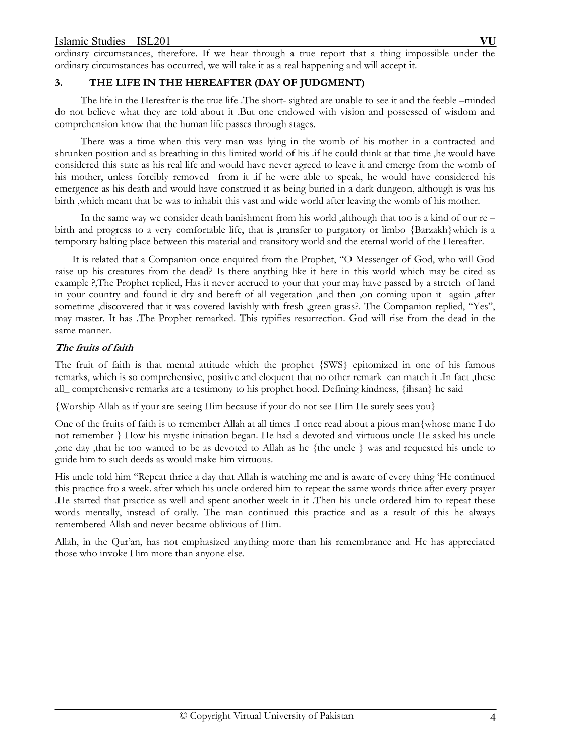ordinary circumstances, therefore. If we hear through a true report that a thing impossible under the ordinary circumstances has occurred, we will take it as a real happening and will accept it.

# **3. THE LIFE IN THE HEREAFTER (DAY OF JUDGMENT)**

The life in the Hereafter is the true life .The short- sighted are unable to see it and the feeble –minded do not believe what they are told about it .But one endowed with vision and possessed of wisdom and comprehension know that the human life passes through stages.

There was a time when this very man was lying in the womb of his mother in a contracted and shrunken position and as breathing in this limited world of his .if he could think at that time ,he would have considered this state as his real life and would have never agreed to leave it and emerge from the womb of his mother, unless forcibly removed from it .if he were able to speak, he would have considered his emergence as his death and would have construed it as being buried in a dark dungeon, although is was his birth ,which meant that be was to inhabit this vast and wide world after leaving the womb of his mother.

In the same way we consider death banishment from his world ,although that too is a kind of our re – birth and progress to a very comfortable life, that is ,transfer to purgatory or limbo {Barzakh}which is a temporary halting place between this material and transitory world and the eternal world of the Hereafter.

It is related that a Companion once enquired from the Prophet, "O Messenger of God, who will God raise up his creatures from the dead? Is there anything like it here in this world which may be cited as example ?,The Prophet replied, Has it never accrued to your that your may have passed by a stretch of land in your country and found it dry and bereft of all vegetation ,and then ,on coming upon it again ,after sometime ,discovered that it was covered lavishly with fresh ,green grass?. The Companion replied, "Yes", may master. It has .The Prophet remarked. This typifies resurrection. God will rise from the dead in the same manner.

## **The fruits of faith**

The fruit of faith is that mental attitude which the prophet {SWS} epitomized in one of his famous remarks, which is so comprehensive, positive and eloquent that no other remark can match it .In fact ,these all\_ comprehensive remarks are a testimony to his prophet hood. Defining kindness, {ihsan} he said

{Worship Allah as if your are seeing Him because if your do not see Him He surely sees you}

One of the fruits of faith is to remember Allah at all times .I once read about a pious man{whose mane I do not remember } How his mystic initiation began. He had a devoted and virtuous uncle He asked his uncle ,one day ,that he too wanted to be as devoted to Allah as he {the uncle } was and requested his uncle to guide him to such deeds as would make him virtuous.

His uncle told him "Repeat thrice a day that Allah is watching me and is aware of every thing 'He continued this practice fro a week. after which his uncle ordered him to repeat the same words thrice after every prayer .He started that practice as well and spent another week in it .Then his uncle ordered him to repeat these words mentally, instead of orally. The man continued this practice and as a result of this he always remembered Allah and never became oblivious of Him.

Allah, in the Qur'an, has not emphasized anything more than his remembrance and He has appreciated those who invoke Him more than anyone else.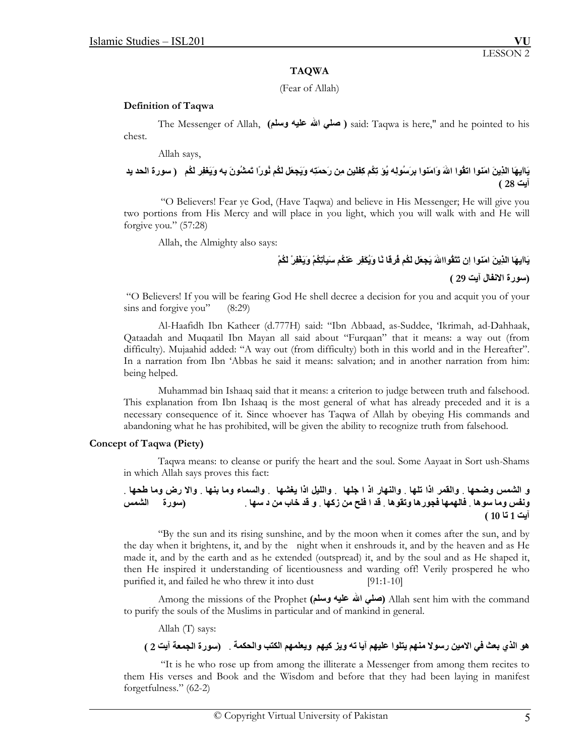### **TAQWA**

(Fear of Allah)

### **Definition of Taqwa**

The Messenger of Allah, **(وسلم عليه االله صلي (** said: Taqwa is here," and he pointed to his chest.

Allah says,

# يَاايهَا الذِينَ امَنوا اتقُوا اللهَ وَامَنوا بِرَسُولِه يُوَ تِكُم كِفْلينِ مِن رَحمَتِه وَيَجعَل لَكُم نُورًا تَمشُونَ بِه وَيَغفِر لَكُم ۚ ( سورة الحد يد **آيت 28 )**

 "O Believers! Fear ye God, (Have Taqwa) and believe in His Messenger; He will give you two portions from His Mercy and will place in you light, which you will walk with and He will forgive you." (57:28)

Allah, the Almighty also says:

# **يَااَيهَا الذِينَ امَنوا اِن تَتَقُواااللهَ يَجعَل لَكُم فُرقَا نًا وَيُكَفِر عَنكُم سَيِأَتِكُمْ وَيَغْفِرْ لَكُمْ**

**(سورة الانفال آيت 29 )**

 "O Believers! If you will be fearing God He shell decree a decision for you and acquit you of your sins and forgive you" (8:29)

Al-Haafidh Ibn Katheer (d.777H) said: "Ibn Abbaad, as-Suddee, 'Ikrimah, ad-Dahhaak, Qataadah and Muqaatil Ibn Mayan all said about "Furqaan" that it means: a way out (from difficulty). Mujaahid added: "A way out (from difficulty) both in this world and in the Hereafter". In a narration from Ibn 'Abbas he said it means: salvation; and in another narration from him: being helped.

Muhammad bin Ishaaq said that it means: a criterion to judge between truth and falsehood. This explanation from Ibn Ishaaq is the most general of what has already preceded and it is a necessary consequence of it. Since whoever has Taqwa of Allah by obeying His commands and abandoning what he has prohibited, will be given the ability to recognize truth from falsehood.

## **Concept of Taqwa (Piety)**

Taqwa means: to cleanse or purify the heart and the soul. Some Aayaat in Sort ush-Shams in which Allah says proves this fact:

و الشمس وضحها , والقمر إذا تلها , والنهار إذ ا جلها , والليل إذا يغشها , والسماء وما بنها , وإلا رض وما طحها , ونفس وما سوها . فالهمها فجورها وتقوها . قد ا فلح من زكها . و قد خاب من د سها . (سورة للشمس **آيت 1 تا 10 )** 

"By the sun and its rising sunshine, and by the moon when it comes after the sun, and by the day when it brightens, it, and by the night when it enshrouds it, and by the heaven and as He made it, and by the earth and as he extended (outspread) it, and by the soul and as He shaped it, then He inspired it understanding of licentiousness and warding off! Verily prospered he who purified it, and failed he who threw it into dust [91:1-10]

Among the missions of the Prophet **(وسلم عليه االله صلي (**Allah sent him with the command to purify the souls of the Muslims in particular and of mankind in general.

Allah (T) says:

# هو الذي بعث في الامين رسولا منهم يتلوا عليهم آيا ته ويز كيهم ويعلمهم الكتب والحكمة . (سورة الجمعة آيت 2 )

 "It is he who rose up from among the illiterate a Messenger from among them recites to them His verses and Book and the Wisdom and before that they had been laying in manifest forgetfulness." (62-2)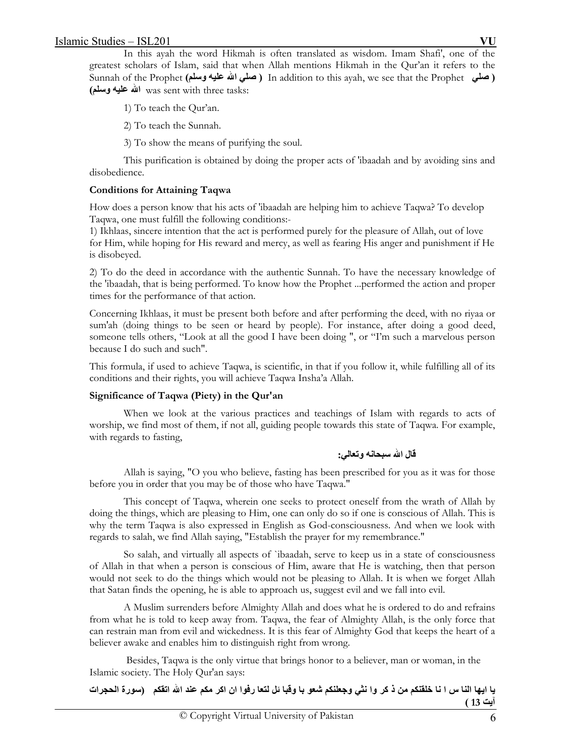In this ayah the word Hikmah is often translated as wisdom. Imam Shafi', one of the greatest scholars of Islam, said that when Allah mentions Hikmah in the Qur'an it refers to the Sunnah of the Prophet **(وسلم عليه االله صلي (** In addition to this ayah, we see that the Prophet **صلي( (وسلم عليه االله** was sent with three tasks:

- 1) To teach the Qur'an.
- 2) To teach the Sunnah.
- 3) To show the means of purifying the soul.

 This purification is obtained by doing the proper acts of 'ibaadah and by avoiding sins and disobedience.

## **Conditions for Attaining Taqwa**

How does a person know that his acts of 'ibaadah are helping him to achieve Taqwa? To develop Taqwa, one must fulfill the following conditions:-

1) Ikhlaas, sincere intention that the act is performed purely for the pleasure of Allah, out of love for Him, while hoping for His reward and mercy, as well as fearing His anger and punishment if He is disobeyed.

2) To do the deed in accordance with the authentic Sunnah. To have the necessary knowledge of the 'ibaadah, that is being performed. To know how the Prophet ...performed the action and proper times for the performance of that action.

Concerning Ikhlaas, it must be present both before and after performing the deed, with no riyaa or sum'ah (doing things to be seen or heard by people). For instance, after doing a good deed, someone tells others, "Look at all the good I have been doing ", or "I'm such a marvelous person because I do such and such".

This formula, if used to achieve Taqwa, is scientific, in that if you follow it, while fulfilling all of its conditions and their rights, you will achieve Taqwa Insha'a Allah.

# **Significance of Taqwa (Piety) in the Qur'an**

When we look at the various practices and teachings of Islam with regards to acts of worship, we find most of them, if not all, guiding people towards this state of Taqwa. For example, with regards to fasting,

# **قال االله سبحانه وتعالي:**

Allah is saying, "O you who believe, fasting has been prescribed for you as it was for those before you in order that you may be of those who have Taqwa."

This concept of Taqwa, wherein one seeks to protect oneself from the wrath of Allah by doing the things, which are pleasing to Him, one can only do so if one is conscious of Allah. This is why the term Taqwa is also expressed in English as God-consciousness. And when we look with regards to salah, we find Allah saying, "Establish the prayer for my remembrance."

So salah, and virtually all aspects of `ibaadah, serve to keep us in a state of consciousness of Allah in that when a person is conscious of Him, aware that He is watching, then that person would not seek to do the things which would not be pleasing to Allah. It is when we forget Allah that Satan finds the opening, he is able to approach us, suggest evil and we fall into evil.

A Muslim surrenders before Almighty Allah and does what he is ordered to do and refrains from what he is told to keep away from. Taqwa, the fear of Almighty Allah, is the only force that can restrain man from evil and wickedness. It is this fear of Almighty God that keeps the heart of a believer awake and enables him to distinguish right from wrong.

 Besides, Taqwa is the only virtue that brings honor to a believer, man or woman, in the Islamic society. The Holy Qur'an says:

| يا ايها النا س ا نا خلقنكم من ذ كر وا نثي وجعلنكم شعو با وقبا ئل لتعا رفوا ان اكر مكم عند الله اتقكم   (سورة الحجرات |  |  |  |          |
|----------------------------------------------------------------------------------------------------------------------|--|--|--|----------|
|                                                                                                                      |  |  |  | آيت 13 ) |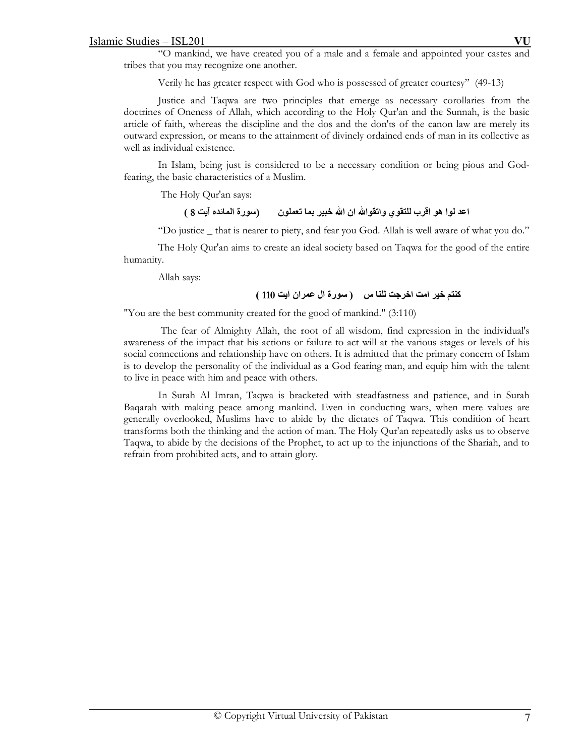"O mankind, we have created you of a male and a female and appointed your castes and tribes that you may recognize one another.

Verily he has greater respect with God who is possessed of greater courtesy" (49-13)

Justice and Taqwa are two principles that emerge as necessary corollaries from the doctrines of Oneness of Allah, which according to the Holy Qur'an and the Sunnah, is the basic article of faith, whereas the discipline and the dos and the don'ts of the canon law are merely its outward expression, or means to the attainment of divinely ordained ends of man in its collective as well as individual existence.

In Islam, being just is considered to be a necessary condition or being pious and Godfearing, the basic characteristics of a Muslim.

The Holy Qur'an says:

# **اعد لوا هو اقرب للتقوي واتقواالله ان االله خبير بما تعملون (سورة المائده آيت 8 )**

"Do justice \_ that is nearer to piety, and fear you God. Allah is well aware of what you do."

The Holy Qur'an aims to create an ideal society based on Taqwa for the good of the entire humanity.

Allah says:

# **آنتم خير امت اخرجت للنا س ( سورة آل عمران آيت 110 )**

"You are the best community created for the good of mankind." (3:110)

 The fear of Almighty Allah, the root of all wisdom, find expression in the individual's awareness of the impact that his actions or failure to act will at the various stages or levels of his social connections and relationship have on others. It is admitted that the primary concern of Islam is to develop the personality of the individual as a God fearing man, and equip him with the talent to live in peace with him and peace with others.

In Surah Al Imran, Taqwa is bracketed with steadfastness and patience, and in Surah Baqarah with making peace among mankind. Even in conducting wars, when mere values are generally overlooked, Muslims have to abide by the dictates of Taqwa. This condition of heart transforms both the thinking and the action of man. The Holy Qur'an repeatedly asks us to observe Taqwa, to abide by the decisions of the Prophet, to act up to the injunctions of the Shariah, and to refrain from prohibited acts, and to attain glory.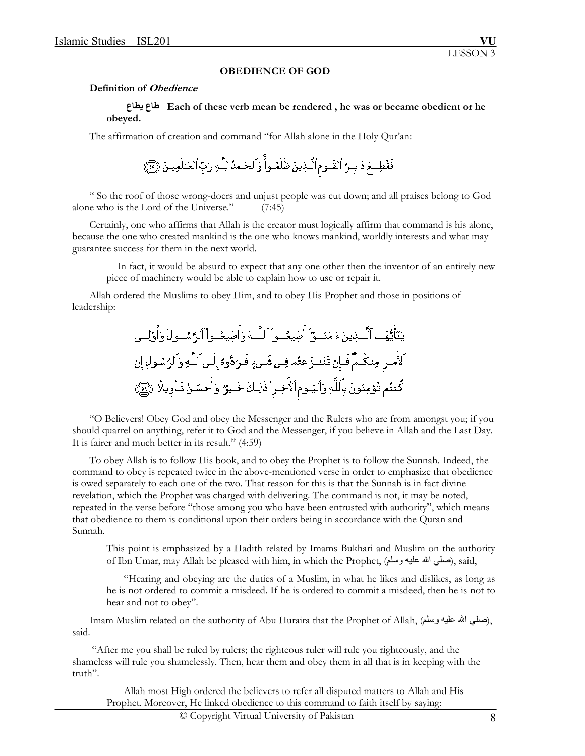### **OBEDIENCE OF GOD**

#### **Definition of Obedience**

### **يطاع طاع Each of these verb mean be rendered , he was or became obedient or he obeyed.**

The affirmation of creation and command "for Allah alone in the Holy Qur'an:

 " So the roof of those wrong-doers and unjust people was cut down; and all praises belong to God alone who is the Lord of the Universe." (7:45)

 Certainly, one who affirms that Allah is the creator must logically affirm that command is his alone, because the one who created mankind is the one who knows mankind, worldly interests and what may guarantee success for them in the next world.

 In fact, it would be absurd to expect that any one other then the inventor of an entirely new piece of machinery would be able to explain how to use or repair it.

 Allah ordered the Muslims to obey Him, and to obey His Prophet and those in positions of leadership:

 "O Believers! Obey God and obey the Messenger and the Rulers who are from amongst you; if you should quarrel on anything, refer it to God and the Messenger, if you believe in Allah and the Last Day. It is fairer and much better in its result." (4:59)

 To obey Allah is to follow His book, and to obey the Prophet is to follow the Sunnah. Indeed, the command to obey is repeated twice in the above-mentioned verse in order to emphasize that obedience is owed separately to each one of the two. That reason for this is that the Sunnah is in fact divine revelation, which the Prophet was charged with delivering. The command is not, it may be noted, repeated in the verse before "those among you who have been entrusted with authority", which means that obedience to them is conditional upon their orders being in accordance with the Quran and Sunnah.

This point is emphasized by a Hadith related by Imams Bukhari and Muslim on the authority of Ibn Umar, may Allah be pleased with him, in which the Prophet, (صلَّى الله عليه وسلَّم), said,

 "Hearing and obeying are the duties of a Muslim, in what he likes and dislikes, as long as he is not ordered to commit a misdeed. If he is ordered to commit a misdeed, then he is not to hear and not to obey".

Imam Muslim related on the authority of Abu Huraira that the Prophet of Allah, (صلَّى الله عليه وسلَّم), said.

 "After me you shall be ruled by rulers; the righteous ruler will rule you righteously, and the shameless will rule you shamelessly. Then, hear them and obey them in all that is in keeping with the truth".

 Allah most High ordered the believers to refer all disputed matters to Allah and His Prophet. Moreover, He linked obedience to this command to faith itself by saying: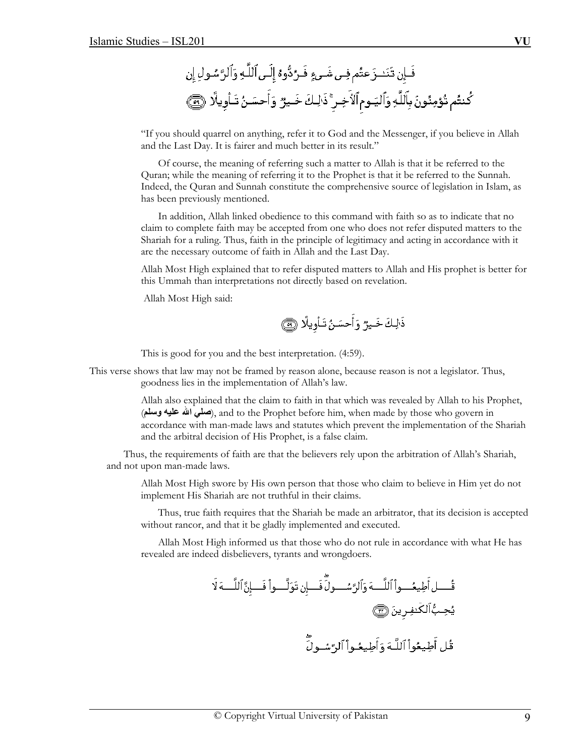"If you should quarrel on anything, refer it to God and the Messenger, if you believe in Allah and the Last Day. It is fairer and much better in its result."

 Of course, the meaning of referring such a matter to Allah is that it be referred to the Quran; while the meaning of referring it to the Prophet is that it be referred to the Sunnah. Indeed, the Quran and Sunnah constitute the comprehensive source of legislation in Islam, as has been previously mentioned.

 In addition, Allah linked obedience to this command with faith so as to indicate that no claim to complete faith may be accepted from one who does not refer disputed matters to the Shariah for a ruling. Thus, faith in the principle of legitimacy and acting in accordance with it are the necessary outcome of faith in Allah and the Last Day.

 Allah Most High explained that to refer disputed matters to Allah and His prophet is better for this Ummah than interpretations not directly based on revelation.

Allah Most High said:

ذَٰلِكَ خَيرٌ وَأَحسَنُ تَـأْوِيلًا ۞

This is good for you and the best interpretation. (4:59).

This verse shows that law may not be framed by reason alone, because reason is not a legislator. Thus, goodness lies in the implementation of Allah's law.

> Allah also explained that the claim to faith in that which was revealed by Allah to his Prophet, (**وسلم عليه االله صلي**(, and to the Prophet before him, when made by those who govern in accordance with man-made laws and statutes which prevent the implementation of the Shariah and the arbitral decision of His Prophet, is a false claim.

 Thus, the requirements of faith are that the believers rely upon the arbitration of Allah's Shariah, and not upon man-made laws.

 Allah Most High swore by His own person that those who claim to believe in Him yet do not implement His Shariah are not truthful in their claims.

 Thus, true faith requires that the Shariah be made an arbitrator, that its decision is accepted without rancor, and that it be gladly implemented and executed.

 Allah Most High informed us that those who do not rule in accordance with what He has revealed are indeed disbelievers, tyrants and wrongdoers.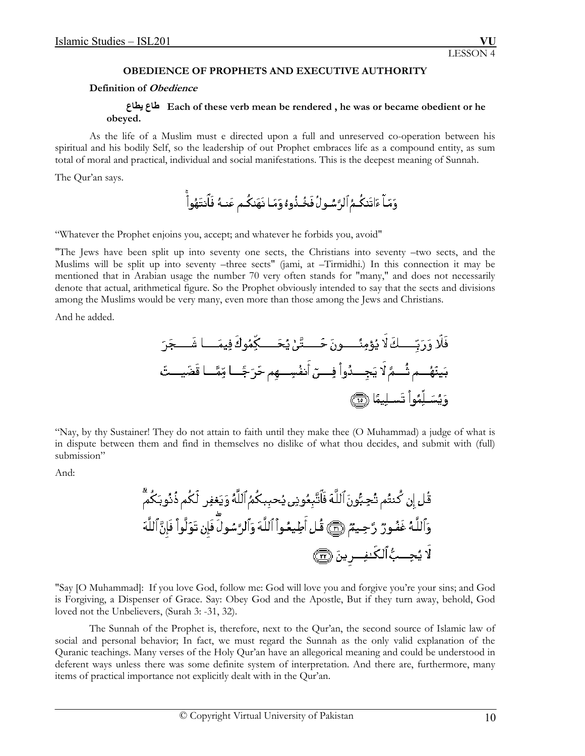### **OBEDIENCE OF PROPHETS AND EXECUTIVE AUTHORITY**

### **Definition of Obedience**

## **يطاع طاع Each of these verb mean be rendered , he was or became obedient or he obeyed.**

 As the life of a Muslim must e directed upon a full and unreserved co-operation between his spiritual and his bodily Self, so the leadership of out Prophet embraces life as a compound entity, as sum total of moral and practical, individual and social manifestations. This is the deepest meaning of Sunnah.

The Qur'an says.

"Whatever the Prophet enjoins you, accept; and whatever he forbids you, avoid"

"The Jews have been split up into seventy one sects, the Christians into seventy –two sects, and the Muslims will be split up into seventy –three sects" (jami, at –Tirmidhi.) In this connection it may be mentioned that in Arabian usage the number 70 very often stands for "many," and does not necessarily denote that actual, arithmetical figure. So the Prophet obviously intended to say that the sects and divisions among the Muslims would be very many, even more than those among the Jews and Christians.

And he added.

"Nay, by thy Sustainer! They do not attain to faith until they make thee (O Muhammad) a judge of what is in dispute between them and find in themselves no dislike of what thou decides, and submit with (full) submission"

And:

"Say [O Muhammad]: If you love God, follow me: God will love you and forgive you're your sins; and God is Forgiving, a Dispenser of Grace. Say: Obey God and the Apostle, But if they turn away, behold, God loved not the Unbelievers, (Surah 3: -31, 32).

 The Sunnah of the Prophet is, therefore, next to the Qur'an, the second source of Islamic law of social and personal behavior; In fact, we must regard the Sunnah as the only valid explanation of the Quranic teachings. Many verses of the Holy Qur'an have an allegorical meaning and could be understood in deferent ways unless there was some definite system of interpretation. And there are, furthermore, many items of practical importance not explicitly dealt with in the Qur'an.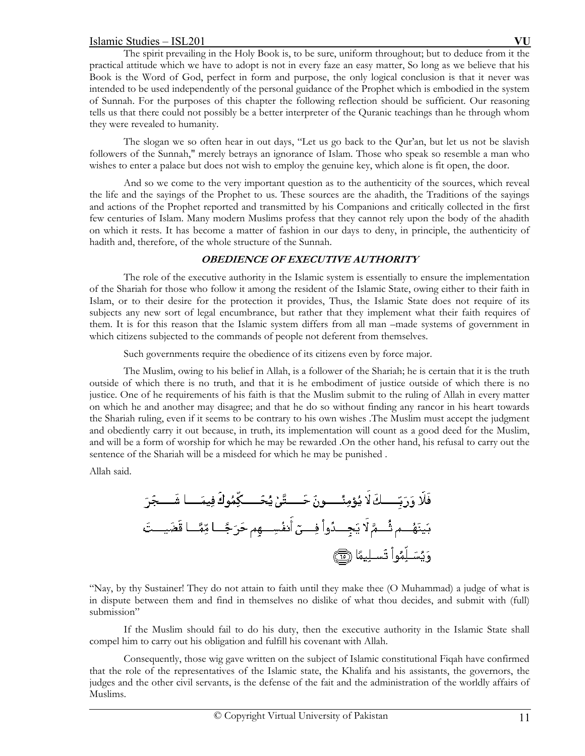The spirit prevailing in the Holy Book is, to be sure, uniform throughout; but to deduce from it the practical attitude which we have to adopt is not in every faze an easy matter, So long as we believe that his Book is the Word of God, perfect in form and purpose, the only logical conclusion is that it never was intended to be used independently of the personal guidance of the Prophet which is embodied in the system of Sunnah. For the purposes of this chapter the following reflection should be sufficient. Our reasoning tells us that there could not possibly be a better interpreter of the Quranic teachings than he through whom they were revealed to humanity.

 The slogan we so often hear in out days, "Let us go back to the Qur'an, but let us not be slavish followers of the Sunnah," merely betrays an ignorance of Islam. Those who speak so resemble a man who wishes to enter a palace but does not wish to employ the genuine key, which alone is fit open, the door.

 And so we come to the very important question as to the authenticity of the sources, which reveal the life and the sayings of the Prophet to us. These sources are the ahadith, the Traditions of the sayings and actions of the Prophet reported and transmitted by his Companions and critically collected in the first few centuries of Islam. Many modern Muslims profess that they cannot rely upon the body of the ahadith on which it rests. It has become a matter of fashion in our days to deny, in principle, the authenticity of hadith and, therefore, of the whole structure of the Sunnah.

# **OBEDIENCE OF EXECUTIVE AUTHORITY**

 The role of the executive authority in the Islamic system is essentially to ensure the implementation of the Shariah for those who follow it among the resident of the Islamic State, owing either to their faith in Islam, or to their desire for the protection it provides, Thus, the Islamic State does not require of its subjects any new sort of legal encumbrance, but rather that they implement what their faith requires of them. It is for this reason that the Islamic system differs from all man –made systems of government in which citizens subjected to the commands of people not deferent from themselves.

Such governments require the obedience of its citizens even by force major.

 The Muslim, owing to his belief in Allah, is a follower of the Shariah; he is certain that it is the truth outside of which there is no truth, and that it is he embodiment of justice outside of which there is no justice. One of he requirements of his faith is that the Muslim submit to the ruling of Allah in every matter on which he and another may disagree; and that he do so without finding any rancor in his heart towards the Shariah ruling, even if it seems to be contrary to his own wishes .The Muslim must accept the judgment and obediently carry it out because, in truth, its implementation will count as a good deed for the Muslim, and will be a form of worship for which he may be rewarded .On the other hand, his refusal to carry out the sentence of the Shariah will be a misdeed for which he may be punished .

Allah said.

"Nay, by thy Sustainer! They do not attain to faith until they make thee (O Muhammad) a judge of what is in dispute between them and find in themselves no dislike of what thou decides, and submit with (full) submission"

 If the Muslim should fail to do his duty, then the executive authority in the Islamic State shall compel him to carry out his obligation and fulfill his covenant with Allah.

 Consequently, those wig gave written on the subject of Islamic constitutional Fiqah have confirmed that the role of the representatives of the Islamic state, the Khalifa and his assistants, the governors, the judges and the other civil servants, is the defense of the fait and the administration of the worldly affairs of Muslims.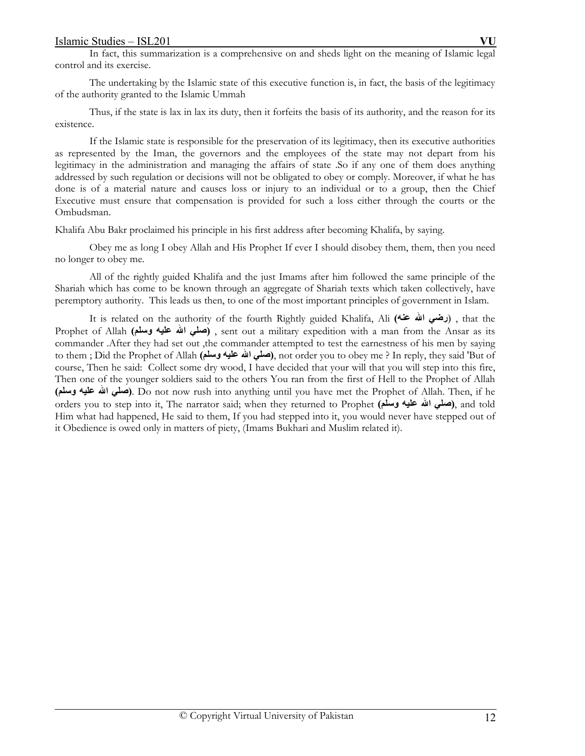In fact, this summarization is a comprehensive on and sheds light on the meaning of Islamic legal control and its exercise.

 The undertaking by the Islamic state of this executive function is, in fact, the basis of the legitimacy of the authority granted to the Islamic Ummah

 Thus, if the state is lax in lax its duty, then it forfeits the basis of its authority, and the reason for its existence.

 If the Islamic state is responsible for the preservation of its legitimacy, then its executive authorities as represented by the Iman, the governors and the employees of the state may not depart from his legitimacy in the administration and managing the affairs of state .So if any one of them does anything addressed by such regulation or decisions will not be obligated to obey or comply. Moreover, if what he has done is of a material nature and causes loss or injury to an individual or to a group, then the Chief Executive must ensure that compensation is provided for such a loss either through the courts or the Ombudsman.

Khalifa Abu Bakr proclaimed his principle in his first address after becoming Khalifa, by saying.

 Obey me as long I obey Allah and His Prophet If ever I should disobey them, them, then you need no longer to obey me.

 All of the rightly guided Khalifa and the just Imams after him followed the same principle of the Shariah which has come to be known through an aggregate of Shariah texts which taken collectively, have peremptory authority. This leads us then, to one of the most important principles of government in Islam.

 It is related on the authority of the fourth Rightly guided Khalifa, Ali **(عنه االله رضي** (, that the Prophet of Allah **(وسلم عليه االله صلي (**, sent out a military expedition with a man from the Ansar as its commander .After they had set out ,the commander attempted to test the earnestness of his men by saying to them ; Did the Prophet of Allah **(وسلم عليه االله صلي(**, not order you to obey me ? In reply, they said 'But of course, Then he said: Collect some dry wood, I have decided that your will that you will step into this fire, Then one of the younger soldiers said to the others You ran from the first of Hell to the Prophet of Allah **(صل**ى الله عليه وسلم). Do not now rush into anything until you have met the Prophet of Allah. Then, if he orders you to step into it, The narrator said; when they returned to Prophet **(وسلم عليه االله صلي(**, and told Him what had happened, He said to them, If you had stepped into it, you would never have stepped out of it Obedience is owed only in matters of piety, (Imams Bukhari and Muslim related it).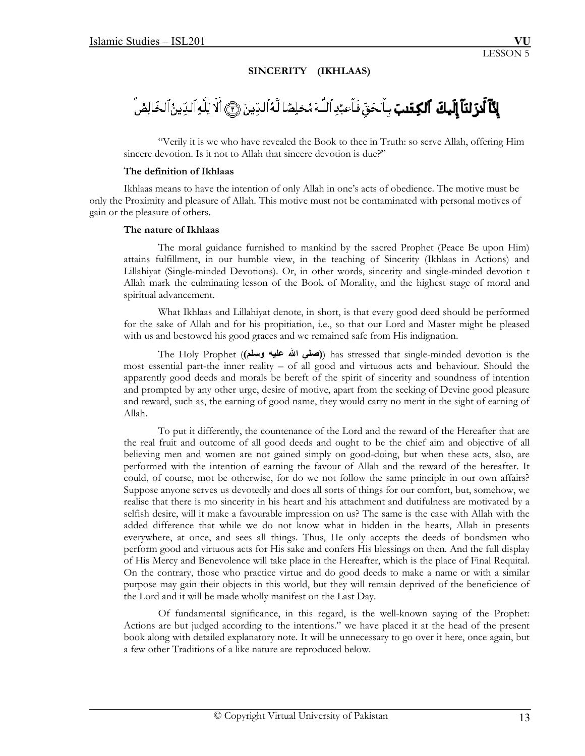# **SINCERITY (IKHLAAS)**

# **لِكَنَّ لَئِنَّ إِلَيْكَ ۚ ٱلْكِفَنِبَ** بِٱلْحَقِّ فَاَعِبُدِ ٱللَّهَ مُخلِصًا لَّهُ ٱلدِّينَ ۞ أَلَا لِلَّهِ ٱلدِّينُ ٱلخَالِصُّ

"Verily it is we who have revealed the Book to thee in Truth: so serve Allah, offering Him sincere devotion. Is it not to Allah that sincere devotion is due?"

### **The definition of Ikhlaas**

Ikhlaas means to have the intention of only Allah in one's acts of obedience. The motive must be only the Proximity and pleasure of Allah. This motive must not be contaminated with personal motives of gain or the pleasure of others.

### **The nature of Ikhlaas**

 The moral guidance furnished to mankind by the sacred Prophet (Peace Be upon Him) attains fulfillment, in our humble view, in the teaching of Sincerity (Ikhlaas in Actions) and Lillahiyat (Single-minded Devotions). Or, in other words, sincerity and single-minded devotion t Allah mark the culminating lesson of the Book of Morality, and the highest stage of moral and spiritual advancement.

 What Ikhlaas and Lillahiyat denote, in short, is that every good deed should be performed for the sake of Allah and for his propitiation, i.e., so that our Lord and Master might be pleased with us and bestowed his good graces and we remained safe from His indignation.

 The Holy Prophet (**(وسلم عليه االله صلي** (**(**has stressed that single-minded devotion is the most essential part-the inner reality – of all good and virtuous acts and behaviour. Should the apparently good deeds and morals be bereft of the spirit of sincerity and soundness of intention and prompted by any other urge, desire of motive, apart from the seeking of Devine good pleasure and reward, such as, the earning of good name, they would carry no merit in the sight of earning of Allah.

 To put it differently, the countenance of the Lord and the reward of the Hereafter that are the real fruit and outcome of all good deeds and ought to be the chief aim and objective of all believing men and women are not gained simply on good-doing, but when these acts, also, are performed with the intention of earning the favour of Allah and the reward of the hereafter. It could, of course, mot be otherwise, for do we not follow the same principle in our own affairs? Suppose anyone serves us devotedly and does all sorts of things for our comfort, but, somehow, we realise that there is mo sincerity in his heart and his attachment and dutifulness are motivated by a selfish desire, will it make a favourable impression on us? The same is the case with Allah with the added difference that while we do not know what in hidden in the hearts, Allah in presents everywhere, at once, and sees all things. Thus, He only accepts the deeds of bondsmen who perform good and virtuous acts for His sake and confers His blessings on then. And the full display of His Mercy and Benevolence will take place in the Hereafter, which is the place of Final Requital. On the contrary, those who practice virtue and do good deeds to make a name or with a similar purpose may gain their objects in this world, but they will remain deprived of the beneficience of the Lord and it will be made wholly manifest on the Last Day.

 Of fundamental significance, in this regard, is the well-known saying of the Prophet: Actions are but judged according to the intentions." we have placed it at the head of the present book along with detailed explanatory note. It will be unnecessary to go over it here, once again, but a few other Traditions of a like nature are reproduced below.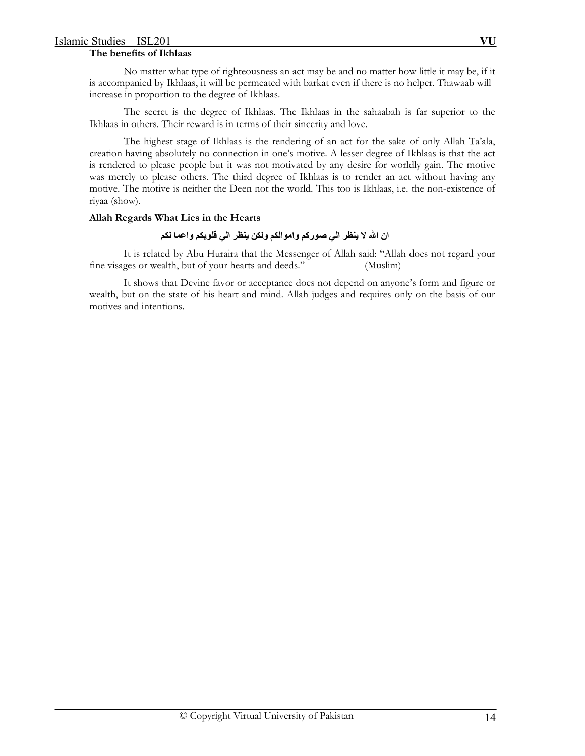## **The benefits of Ikhlaas**

 No matter what type of righteousness an act may be and no matter how little it may be, if it is accompanied by Ikhlaas, it will be permeated with barkat even if there is no helper. Thawaab will increase in proportion to the degree of Ikhlaas.

 The secret is the degree of Ikhlaas. The Ikhlaas in the sahaabah is far superior to the Ikhlaas in others. Their reward is in terms of their sincerity and love.

 The highest stage of Ikhlaas is the rendering of an act for the sake of only Allah Ta'ala, creation having absolutely no connection in one's motive. A lesser degree of Ikhlaas is that the act is rendered to please people but it was not motivated by any desire for worldly gain. The motive was merely to please others. The third degree of Ikhlaas is to render an act without having any motive. The motive is neither the Deen not the world. This too is Ikhlaas, i.e. the non-existence of riyaa (show).

# **Allah Regards What Lies in the Hearts**

# **ان االله لا ينظر الي صورآم واموالكم ولكن ينظر الي قلوبكم واعما لكم**

It is related by Abu Huraira that the Messenger of Allah said: "Allah does not regard your fine visages or wealth, but of your hearts and deeds." (Muslim)

 It shows that Devine favor or acceptance does not depend on anyone's form and figure or wealth, but on the state of his heart and mind. Allah judges and requires only on the basis of our motives and intentions.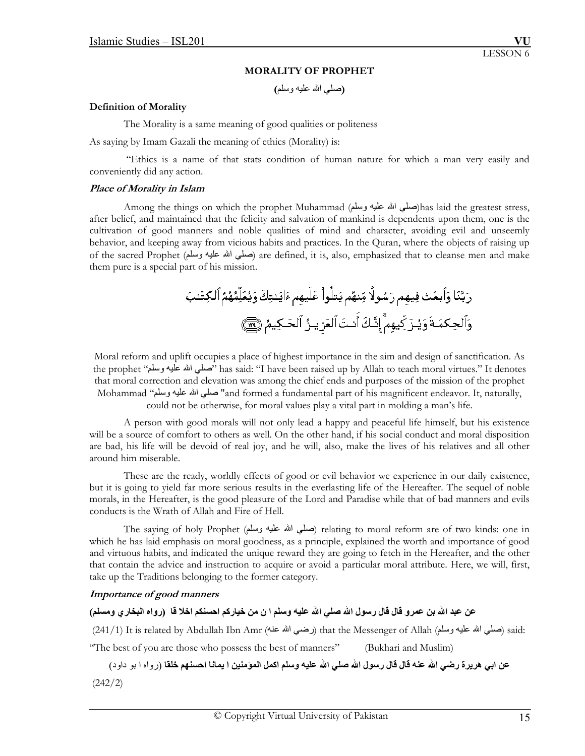### **MORALITY OF PROPHET**

 **(**صلي االله عليه وسلم**)**

### **Definition of Morality**

The Morality is a same meaning of good qualities or politeness

As saying by Imam Gazali the meaning of ethics (Morality) is:

 "Ethics is a name of that stats condition of human nature for which a man very easily and conveniently did any action.

### **Place of Morality in Islam**

Among the things on which the prophet Muhammad (صلي الله عليه وسلم)has laid the greatest stress, after belief, and maintained that the felicity and salvation of mankind is dependents upon them, one is the cultivation of good manners and noble qualities of mind and character, avoiding evil and unseemly behavior, and keeping away from vicious habits and practices. In the Quran, where the objects of raising up of the sacred Prophet (وسلم عليه االله صلي (are defined, it is, also, emphasized that to cleanse men and make them pure is a special part of his mission.

Moral reform and uplift occupies a place of highest importance in the aim and design of sanctification. As the prophet "صلَّى الله عليه وسلَّم" has said: "I have been raised up by Allah to teach moral virtues." It denotes that moral correction and elevation was among the chief ends and purposes of the mission of the prophet Mohammad "وسلم عليه االله صلي" and formed a fundamental part of his magnificent endeavor. It, naturally, could not be otherwise, for moral values play a vital part in molding a man's life.

A person with good morals will not only lead a happy and peaceful life himself, but his existence will be a source of comfort to others as well. On the other hand, if his social conduct and moral disposition are bad, his life will be devoid of real joy, and he will, also, make the lives of his relatives and all other around him miserable.

These are the ready, worldly effects of good or evil behavior we experience in our daily existence, but it is going to yield far more serious results in the everlasting life of the Hereafter. The sequel of noble morals, in the Hereafter, is the good pleasure of the Lord and Paradise while that of bad manners and evils conducts is the Wrath of Allah and Fire of Hell.

The saying of holy Prophet (صلبي الله عليه وسلم) relating to moral reform are of two kinds: one in which he has laid emphasis on moral goodness, as a principle, explained the worth and importance of good and virtuous habits, and indicated the unique reward they are going to fetch in the Hereafter, and the other that contain the advice and instruction to acquire or avoid a particular moral attribute. Here, we will, first, take up the Traditions belonging to the former category.

## **Importance of good manners**

# عن عبد الله بن عمرو قال قال رسول الله صلى الله عليه وسلم ا ن من خياركم احسنكم اخلا قا (رواه البخار ، ومسلم)

(241/1) It is related by Abdullah Ibn Amr (عنه الله عنه) that the Messenger of Allah (صلى الله عليه وسلم) said: "The best of you are those who possess the best of manners" (Bukhari and Muslim)

عن ابي هريرة رضي الله عنه قال قال رسول الله صلى الله عليه وسلم اكمل المؤمنين ا يمانا احسنهم خلقا (رواه ا بو داود) (242/2)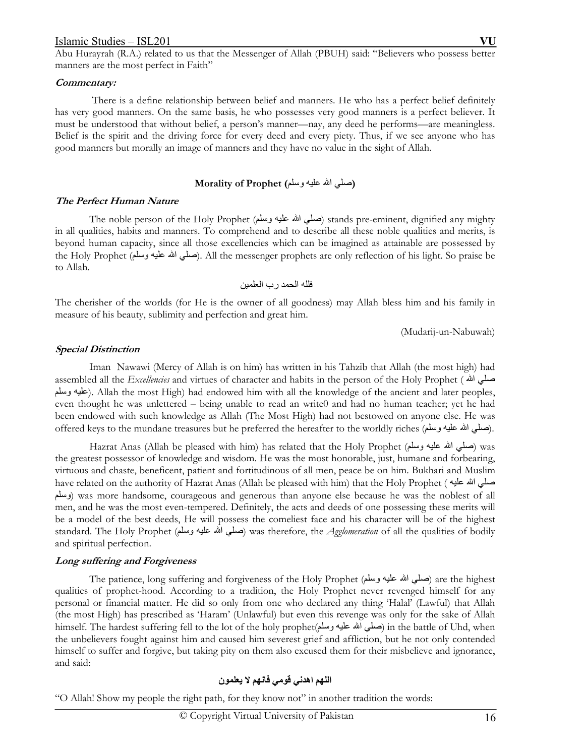Abu Hurayrah (R.A.) related to us that the Messenger of Allah (PBUH) said: "Believers who possess better manners are the most perfect in Faith"

#### **Commentary:**

 There is a define relationship between belief and manners. He who has a perfect belief definitely has very good manners. On the same basis, he who possesses very good manners is a perfect believer. It must be understood that without belief, a person's manner—nay, any deed he performs—are meaningless. Belief is the spirit and the driving force for every deed and every piety. Thus, if we see anyone who has good manners but morally an image of manners and they have no value in the sight of Allah.

### **(**صلي االله عليه وسلم**) Prophet of Morality**

### **The Perfect Human Nature**

The noble person of the Holy Prophet (صلَّى الله عليه وسلَّم) stands pre-eminent, dignified any mighty in all qualities, habits and manners. To comprehend and to describe all these noble qualities and merits, is beyond human capacity, since all those excellencies which can be imagined as attainable are possessed by the Holy Prophet (صلى الله عليه وسلم). All the messenger prophets are only reflection of his light. So praise be to Allah.

فلله الحمد رب العلمين

The cherisher of the worlds (for He is the owner of all goodness) may Allah bless him and his family in measure of his beauty, sublimity and perfection and great him.

(Mudarij-un-Nabuwah)

### **Special Distinction**

 Iman Nawawi (Mercy of Allah is on him) has written in his Tahzib that Allah (the most high) had assembled all the *Excellencies* and virtues of character and habits in the person of the Holy Prophet ( على الله عليه وسلم). Allah the most High) had endowed him with all the knowledge of the ancient and later peoples, even thought he was unlettered – being unable to read an write0 and had no human teacher; yet he had been endowed with such knowledge as Allah (The Most High) had not bestowed on anyone else. He was offered keys to the mundane treasures but he preferred the hereafter to the worldly riches (صلى الله عليه وسلم

Hazrat Anas (Allah be pleased with him) has related that the Holy Prophet (صلى الله عليه وسلم) was the greatest possessor of knowledge and wisdom. He was the most honorable, just, humane and forbearing, virtuous and chaste, beneficent, patient and fortitudinous of all men, peace be on him. Bukhari and Muslim have related on the authority of Hazrat Anas (Allah be pleased with him) that the Holy Prophet ( عليه االله صلي وسلم (was more handsome, courageous and generous than anyone else because he was the noblest of all men, and he was the most even-tempered. Definitely, the acts and deeds of one possessing these merits will be a model of the best deeds, He will possess the comeliest face and his character will be of the highest standard. The Holy Prophet (وسلم عليه االله صلي (was therefore, the *Agglomeration* of all the qualities of bodily and spiritual perfection.

### **Long suffering and Forgiveness**

 The patience, long suffering and forgiveness of the Holy Prophet (وسلم عليه االله صلي (are the highest qualities of prophet-hood. According to a tradition, the Holy Prophet never revenged himself for any personal or financial matter. He did so only from one who declared any thing 'Halal' (Lawful) that Allah (the most High) has prescribed as 'Haram' (Unlawful) but even this revenge was only for the sake of Allah himself. The hardest suffering fell to the lot of the holy prophet(وسلم عليه االله صلي (in the battle of Uhd, when the unbelievers fought against him and caused him severest grief and affliction, but he not only contended himself to suffer and forgive, but taking pity on them also excused them for their misbelieve and ignorance, and said:

# **اللهم اهدني قومي فانهم لا يعلمون**

"O Allah! Show my people the right path, for they know not" in another tradition the words: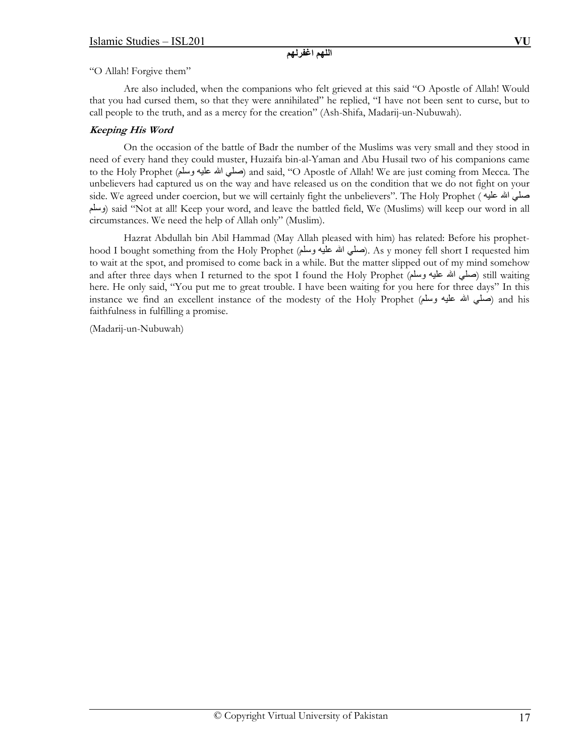# **اللهم اغفرلهم**

"O Allah! Forgive them"

 Are also included, when the companions who felt grieved at this said "O Apostle of Allah! Would that you had cursed them, so that they were annihilated" he replied, "I have not been sent to curse, but to call people to the truth, and as a mercy for the creation" (Ash-Shifa, Madarij-un-Nubuwah).

# **Keeping His Word**

 On the occasion of the battle of Badr the number of the Muslims was very small and they stood in need of every hand they could muster, Huzaifa bin-al-Yaman and Abu Husail two of his companions came to the Holy Prophet (صلي الله عليه وسلم) and said, "O Apostle of Allah! We are just coming from Mecca. The unbelievers had captured us on the way and have released us on the condition that we do not fight on your side. We agreed under coercion, but we will certainly fight the unbelievers". The Holy Prophet ( عليه االله صلي وسلم (said "Not at all! Keep your word, and leave the battled field, We (Muslims) will keep our word in all circumstances. We need the help of Allah only" (Muslim).

 Hazrat Abdullah bin Abil Hammad (May Allah pleased with him) has related: Before his prophethood I bought something from the Holy Prophet (صلي الله عليه وسلم). As y money fell short I requested him to wait at the spot, and promised to come back in a while. But the matter slipped out of my mind somehow and after three days when I returned to the spot I found the Holy Prophet (صلى الله عليه وسلم) still waiting here. He only said, "You put me to great trouble. I have been waiting for you here for three days" In this instance we find an excellent instance of the modesty of the Holy Prophet (صلي الله عليه وسلم) and his faithfulness in fulfilling a promise.

(Madarij-un-Nubuwah)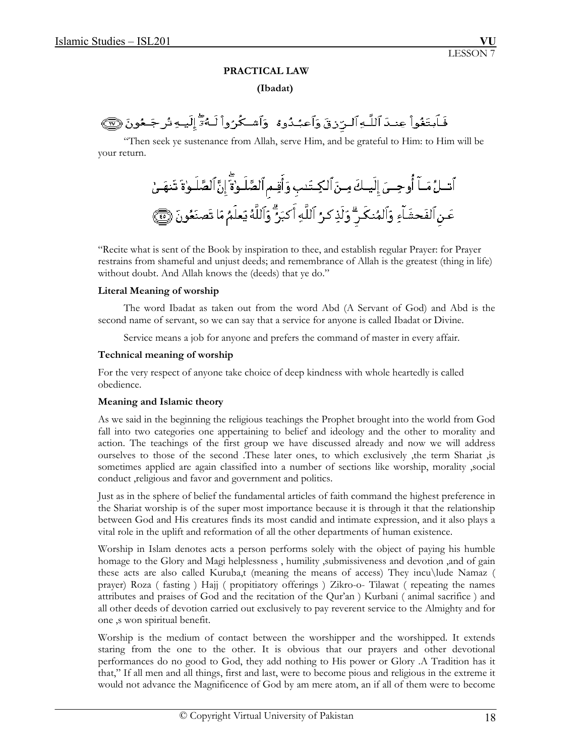## **PRACTICAL LAW**

## **(Ibadat)**

فَلَبتَغُواْ عِندَ ٱللَّـهِ ٱلـرّزقَ وَٱعبُدُوهُ ۖ وَٱشـكُرُواْ لَـهُمُّٓ إِلَيـهِ تُرجَـعُونَ ۞

 "Then seek ye sustenance from Allah, serve Him, and be grateful to Him: to Him will be your return.

"Recite what is sent of the Book by inspiration to thee, and establish regular Prayer: for Prayer restrains from shameful and unjust deeds; and remembrance of Allah is the greatest (thing in life) without doubt. And Allah knows the (deeds) that ye do."

### **Literal Meaning of worship**

 The word Ibadat as taken out from the word Abd (A Servant of God) and Abd is the second name of servant, so we can say that a service for anyone is called Ibadat or Divine.

Service means a job for anyone and prefers the command of master in every affair.

## **Technical meaning of worship**

For the very respect of anyone take choice of deep kindness with whole heartedly is called obedience.

## **Meaning and Islamic theory**

 As we said in the beginning the religious teachings the Prophet brought into the world from God fall into two categories one appertaining to belief and ideology and the other to morality and action. The teachings of the first group we have discussed already and now we will address ourselves to those of the second .These later ones, to which exclusively ,the term Shariat ,is sometimes applied are again classified into a number of sections like worship, morality ,social conduct ,religious and favor and government and politics.

 Just as in the sphere of belief the fundamental articles of faith command the highest preference in the Shariat worship is of the super most importance because it is through it that the relationship between God and His creatures finds its most candid and intimate expression, and it also plays a vital role in the uplift and reformation of all the other departments of human existence.

 Worship in Islam denotes acts a person performs solely with the object of paying his humble homage to the Glory and Magi helplessness , humility ,submissiveness and devotion ,and of gain these acts are also called Kuruba,t (meaning the means of access) They incu\lude Namaz ( prayer) Roza ( fasting ) Hajj ( propitiatory offerings ) Zikro-o- Tilawat ( repeating the names attributes and praises of God and the recitation of the Qur'an ) Kurbani ( animal sacrifice ) and all other deeds of devotion carried out exclusively to pay reverent service to the Almighty and for one ,s won spiritual benefit.

 Worship is the medium of contact between the worshipper and the worshipped. It extends staring from the one to the other. It is obvious that our prayers and other devotional performances do no good to God, they add nothing to His power or Glory .A Tradition has it that," If all men and all things, first and last, were to become pious and religious in the extreme it would not advance the Magnificence of God by am mere atom, an if all of them were to become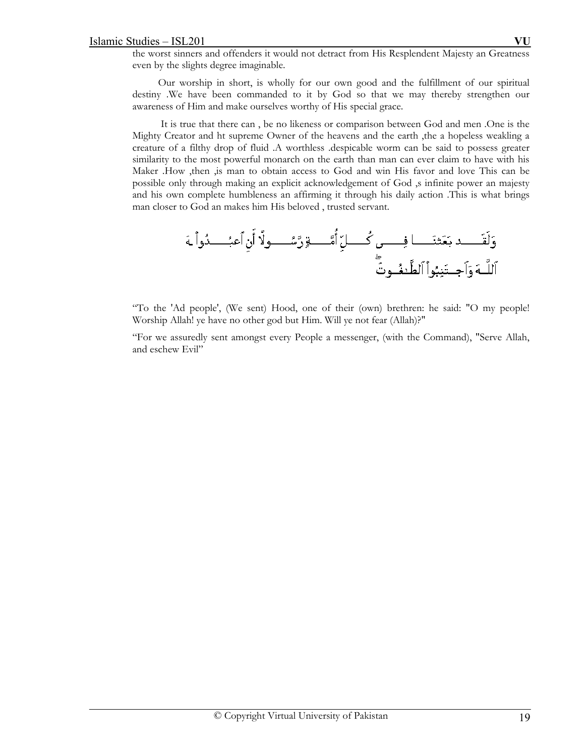the worst sinners and offenders it would not detract from His Resplendent Majesty an Greatness even by the slights degree imaginable.

 Our worship in short, is wholly for our own good and the fulfillment of our spiritual destiny .We have been commanded to it by God so that we may thereby strengthen our awareness of Him and make ourselves worthy of His special grace.

 It is true that there can , be no likeness or comparison between God and men .One is the Mighty Creator and ht supreme Owner of the heavens and the earth ,the a hopeless weakling a creature of a filthy drop of fluid .A worthless .despicable worm can be said to possess greater similarity to the most powerful monarch on the earth than man can ever claim to have with his Maker .How ,then ,is man to obtain access to God and win His favor and love This can be possible only through making an explicit acknowledgement of God ,s infinite power an majesty and his own complete humbleness an affirming it through his daily action .This is what brings man closer to God an makes him His beloved , trusted servant.



"To the 'Ad people', (We sent) Hood, one of their (own) brethren: he said: "O my people! Worship Allah! ye have no other god but Him. Will ye not fear (Allah)?"

"For we assuredly sent amongst every People a messenger, (with the Command), "Serve Allah, and eschew Evil"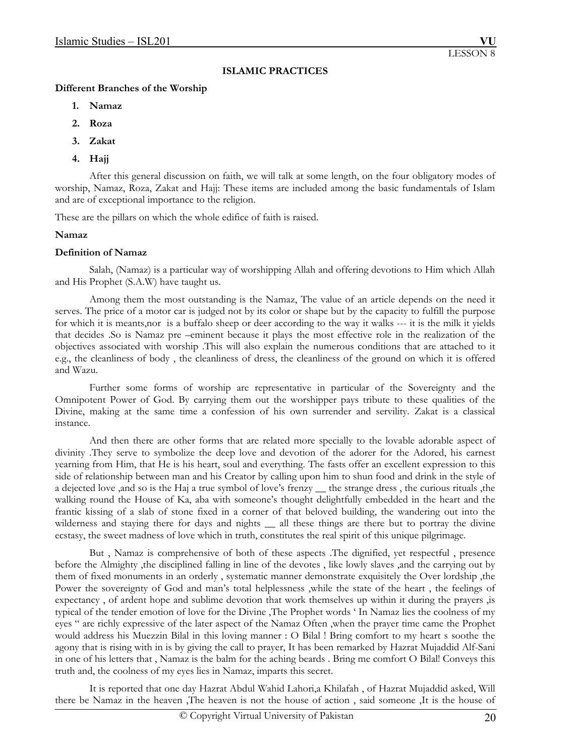## **ISLAMIC PRACTICES**

### **Different Branches of the Worship**

- **1. Namaz**
- **2. Roza**
- **3. Zakat**
- **4. Hajj**

 After this general discussion on faith, we will talk at some length, on the four obligatory modes of worship, Namaz, Roza, Zakat and Hajj: These items are included among the basic fundamentals of Islam and are of exceptional importance to the religion.

These are the pillars on which the whole edifice of faith is raised.

## **Namaz**

## **Definition of Namaz**

 Salah, (Namaz) is a particular way of worshipping Allah and offering devotions to Him which Allah and His Prophet (S.A.W) have taught us.

 Among them the most outstanding is the Namaz, The value of an article depends on the need it serves. The price of a motor car is judged not by its color or shape but by the capacity to fulfill the purpose for which it is meants,nor is a buffalo sheep or deer according to the way it walks --- it is the milk it yields that decides .So is Namaz pre –eminent because it plays the most effective role in the realization of the objectives associated with worship .This will also explain the numerous conditions that are attached to it e.g., the cleanliness of body , the cleanliness of dress, the cleanliness of the ground on which it is offered and Wazu.

 Further some forms of worship are representative in particular of the Sovereignty and the Omnipotent Power of God. By carrying them out the worshipper pays tribute to these qualities of the Divine, making at the same time a confession of his own surrender and servility. Zakat is a classical instance.

 And then there are other forms that are related more specially to the lovable adorable aspect of divinity .They serve to symbolize the deep love and devotion of the adorer for the Adored, his earnest yearning from Him, that He is his heart, soul and everything. The fasts offer an excellent expression to this side of relationship between man and his Creator by calling upon him to shun food and drink in the style of a dejected love ,and so is the Haj a true symbol of love's frenzy \_\_ the strange dress , the curious rituals ,the walking round the House of Ka, aba with someone's thought delightfully embedded in the heart and the frantic kissing of a slab of stone fixed in a corner of that beloved building, the wandering out into the wilderness and staying there for days and nights \_\_ all these things are there but to portray the divine ecstasy, the sweet madness of love which in truth, constitutes the real spirit of this unique pilgrimage.

 But , Namaz is comprehensive of both of these aspects .The dignified, yet respectful , presence before the Almighty ,the disciplined falling in line of the devotes , like lowly slaves ,and the carrying out by them of fixed monuments in an orderly , systematic manner demonstrate exquisitely the Over lordship ,the Power the sovereignty of God and man's total helplessness ,while the state of the heart , the feelings of expectancy , of ardent hope and sublime devotion that work themselves up within it during the prayers ,is typical of the tender emotion of love for the Divine ,The Prophet words ' In Namaz lies the coolness of my eyes " are richly expressive of the later aspect of the Namaz Often ,when the prayer time came the Prophet would address his Muezzin Bilal in this loving manner : O Bilal ! Bring comfort to my heart s soothe the agony that is rising with in is by giving the call to prayer, It has been remarked by Hazrat Mujaddid Alf-Sani in one of his letters that , Namaz is the balm for the aching beards . Bring me comfort O Bilal! Conveys this truth and, the coolness of my eyes lies in Namaz, imparts this secret.

 It is reported that one day Hazrat Abdul Wahid Lahori,a Khilafah , of Hazrat Mujaddid asked, Will there be Namaz in the heaven ,The heaven is not the house of action , said someone ,It is the house of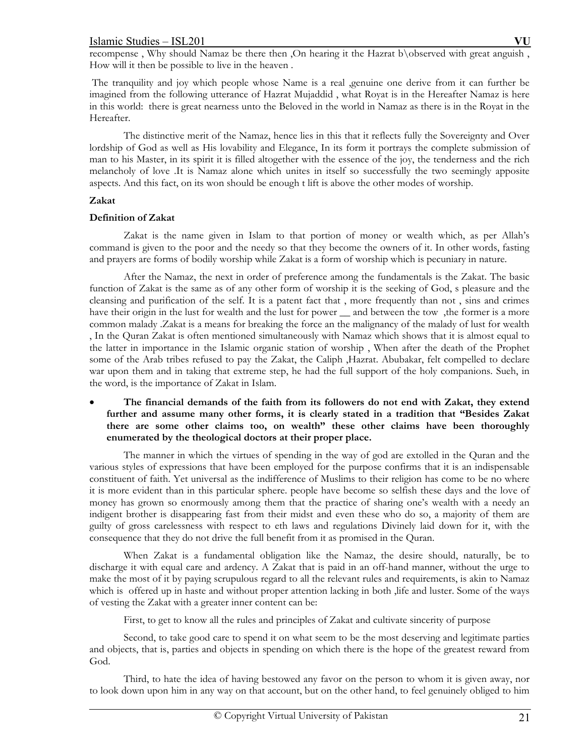recompense , Why should Namaz be there then ,On hearing it the Hazrat b\observed with great anguish , How will it then be possible to live in the heaven .

 The tranquility and joy which people whose Name is a real ,genuine one derive from it can further be imagined from the following utterance of Hazrat Mujaddid , what Royat is in the Hereafter Namaz is here in this world: there is great nearness unto the Beloved in the world in Namaz as there is in the Royat in the Hereafter.

 The distinctive merit of the Namaz, hence lies in this that it reflects fully the Sovereignty and Over lordship of God as well as His lovability and Elegance, In its form it portrays the complete submission of man to his Master, in its spirit it is filled altogether with the essence of the joy, the tenderness and the rich melancholy of love .It is Namaz alone which unites in itself so successfully the two seemingly apposite aspects. And this fact, on its won should be enough t lift is above the other modes of worship.

## **Zakat**

## **Definition of Zakat**

 Zakat is the name given in Islam to that portion of money or wealth which, as per Allah's command is given to the poor and the needy so that they become the owners of it. In other words, fasting and prayers are forms of bodily worship while Zakat is a form of worship which is pecuniary in nature.

 After the Namaz, the next in order of preference among the fundamentals is the Zakat. The basic function of Zakat is the same as of any other form of worship it is the seeking of God, s pleasure and the cleansing and purification of the self. It is a patent fact that , more frequently than not , sins and crimes have their origin in the lust for wealth and the lust for power \_\_ and between the tow ,the former is a more common malady .Zakat is a means for breaking the force an the malignancy of the malady of lust for wealth , In the Quran Zakat is often mentioned simultaneously with Namaz which shows that it is almost equal to the latter in importance in the Islamic organic station of worship , When after the death of the Prophet some of the Arab tribes refused to pay the Zakat, the Caliph ,Hazrat. Abubakar, felt compelled to declare war upon them and in taking that extreme step, he had the full support of the holy companions. Sueh, in the word, is the importance of Zakat in Islam.

# **The financial demands of the faith from its followers do not end with Zakat, they extend further and assume many other forms, it is clearly stated in a tradition that "Besides Zakat there are some other claims too, on wealth" these other claims have been thoroughly enumerated by the theological doctors at their proper place.**

 The manner in which the virtues of spending in the way of god are extolled in the Quran and the various styles of expressions that have been employed for the purpose confirms that it is an indispensable constituent of faith. Yet universal as the indifference of Muslims to their religion has come to be no where it is more evident than in this particular sphere. people have become so selfish these days and the love of money has grown so enormously among them that the practice of sharing one's wealth with a needy an indigent brother is disappearing fast from their midst and even these who do so, a majority of them are guilty of gross carelessness with respect to eth laws and regulations Divinely laid down for it, with the consequence that they do not drive the full benefit from it as promised in the Quran.

 When Zakat is a fundamental obligation like the Namaz, the desire should, naturally, be to discharge it with equal care and ardency. A Zakat that is paid in an off-hand manner, without the urge to make the most of it by paying scrupulous regard to all the relevant rules and requirements, is akin to Namaz which is offered up in haste and without proper attention lacking in both , life and luster. Some of the ways of vesting the Zakat with a greater inner content can be:

First, to get to know all the rules and principles of Zakat and cultivate sincerity of purpose

 Second, to take good care to spend it on what seem to be the most deserving and legitimate parties and objects, that is, parties and objects in spending on which there is the hope of the greatest reward from God.

 Third, to hate the idea of having bestowed any favor on the person to whom it is given away, nor to look down upon him in any way on that account, but on the other hand, to feel genuinely obliged to him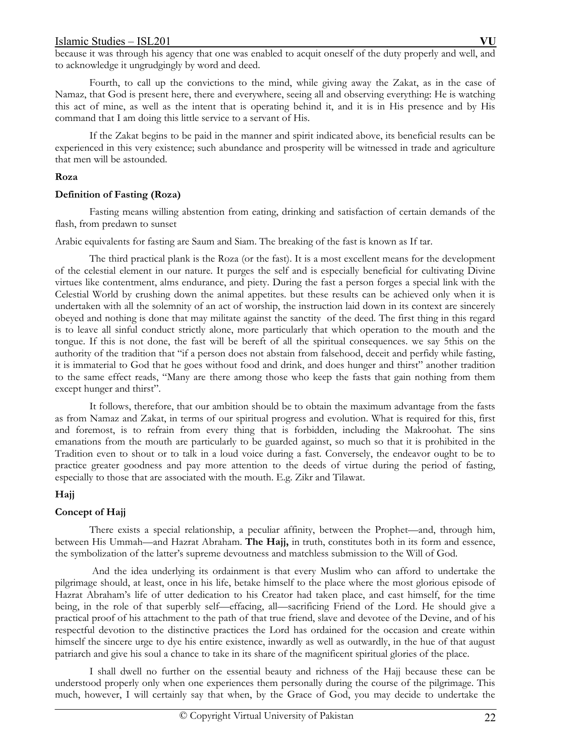Fourth, to call up the convictions to the mind, while giving away the Zakat, as in the case of Namaz, that God is present here, there and everywhere, seeing all and observing everything: He is watching this act of mine, as well as the intent that is operating behind it, and it is in His presence and by His command that I am doing this little service to a servant of His.

 If the Zakat begins to be paid in the manner and spirit indicated above, its beneficial results can be experienced in this very existence; such abundance and prosperity will be witnessed in trade and agriculture that men will be astounded.

# **Roza**

# **Definition of Fasting (Roza)**

 Fasting means willing abstention from eating, drinking and satisfaction of certain demands of the flash, from predawn to sunset

Arabic equivalents for fasting are Saum and Siam. The breaking of the fast is known as If tar.

 The third practical plank is the Roza (or the fast). It is a most excellent means for the development of the celestial element in our nature. It purges the self and is especially beneficial for cultivating Divine virtues like contentment, alms endurance, and piety. During the fast a person forges a special link with the Celestial World by crushing down the animal appetites. but these results can be achieved only when it is undertaken with all the solemnity of an act of worship, the instruction laid down in its context are sincerely obeyed and nothing is done that may militate against the sanctity of the deed. The first thing in this regard is to leave all sinful conduct strictly alone, more particularly that which operation to the mouth and the tongue. If this is not done, the fast will be bereft of all the spiritual consequences. we say 5this on the authority of the tradition that "if a person does not abstain from falsehood, deceit and perfidy while fasting, it is immaterial to God that he goes without food and drink, and does hunger and thirst" another tradition to the same effect reads, "Many are there among those who keep the fasts that gain nothing from them except hunger and thirst".

 It follows, therefore, that our ambition should be to obtain the maximum advantage from the fasts as from Namaz and Zakat, in terms of our spiritual progress and evolution. What is required for this, first and foremost, is to refrain from every thing that is forbidden, including the Makroohat. The sins emanations from the mouth are particularly to be guarded against, so much so that it is prohibited in the Tradition even to shout or to talk in a loud voice during a fast. Conversely, the endeavor ought to be to practice greater goodness and pay more attention to the deeds of virtue during the period of fasting, especially to those that are associated with the mouth. E.g. Zikr and Tilawat.

# **Hajj**

# **Concept of Hajj**

There exists a special relationship, a peculiar affinity, between the Prophet—and, through him, between His Ummah—and Hazrat Abraham. **The Hajj,** in truth, constitutes both in its form and essence, the symbolization of the latter's supreme devoutness and matchless submission to the Will of God.

 And the idea underlying its ordainment is that every Muslim who can afford to undertake the pilgrimage should, at least, once in his life, betake himself to the place where the most glorious episode of Hazrat Abraham's life of utter dedication to his Creator had taken place, and cast himself, for the time being, in the role of that superbly self—effacing, all—sacrificing Friend of the Lord. He should give a practical proof of his attachment to the path of that true friend, slave and devotee of the Devine, and of his respectful devotion to the distinctive practices the Lord has ordained for the occasion and create within himself the sincere urge to dye his entire existence, inwardly as well as outwardly, in the hue of that august patriarch and give his soul a chance to take in its share of the magnificent spiritual glories of the place.

 I shall dwell no further on the essential beauty and richness of the Hajj because these can be understood properly only when one experiences them personally during the course of the pilgrimage. This much, however, I will certainly say that when, by the Grace of God, you may decide to undertake the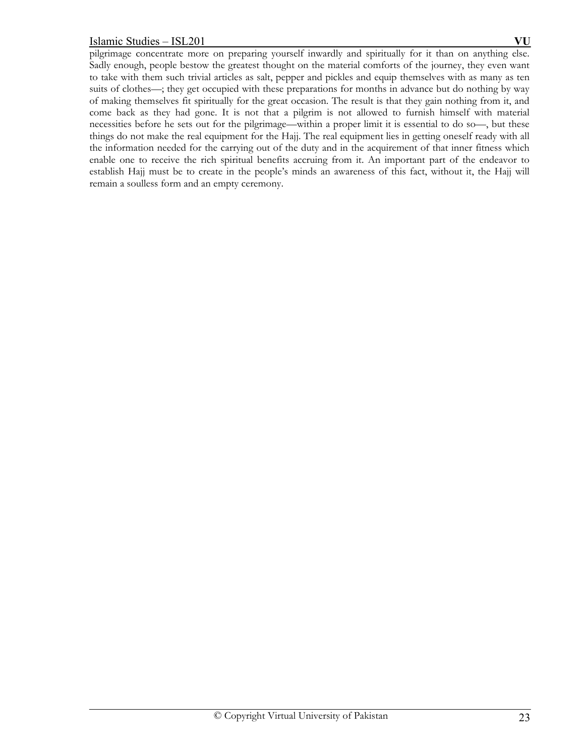pilgrimage concentrate more on preparing yourself inwardly and spiritually for it than on anything else. Sadly enough, people bestow the greatest thought on the material comforts of the journey, they even want to take with them such trivial articles as salt, pepper and pickles and equip themselves with as many as ten suits of clothes—; they get occupied with these preparations for months in advance but do nothing by way of making themselves fit spiritually for the great occasion. The result is that they gain nothing from it, and come back as they had gone. It is not that a pilgrim is not allowed to furnish himself with material necessities before he sets out for the pilgrimage—within a proper limit it is essential to do so—, but these things do not make the real equipment for the Hajj. The real equipment lies in getting oneself ready with all the information needed for the carrying out of the duty and in the acquirement of that inner fitness which enable one to receive the rich spiritual benefits accruing from it. An important part of the endeavor to establish Hajj must be to create in the people's minds an awareness of this fact, without it, the Hajj will remain a soulless form and an empty ceremony.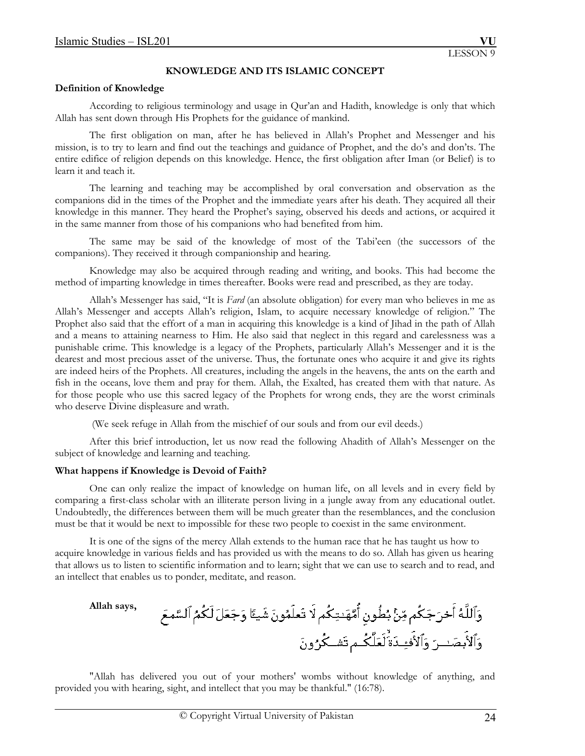## **KNOWLEDGE AND ITS ISLAMIC CONCEPT**

### **Definition of Knowledge**

According to religious terminology and usage in Qur'an and Hadith, knowledge is only that which Allah has sent down through His Prophets for the guidance of mankind.

 The first obligation on man, after he has believed in Allah's Prophet and Messenger and his mission, is to try to learn and find out the teachings and guidance of Prophet, and the do's and don'ts. The entire edifice of religion depends on this knowledge. Hence, the first obligation after Iman (or Belief) is to learn it and teach it.

 The learning and teaching may be accomplished by oral conversation and observation as the companions did in the times of the Prophet and the immediate years after his death. They acquired all their knowledge in this manner. They heard the Prophet's saying, observed his deeds and actions, or acquired it in the same manner from those of his companions who had benefited from him.

 The same may be said of the knowledge of most of the Tabi'een (the successors of the companions). They received it through companionship and hearing.

 Knowledge may also be acquired through reading and writing, and books. This had become the method of imparting knowledge in times thereafter. Books were read and prescribed, as they are today.

 Allah's Messenger has said, "It is *Fard* (an absolute obligation) for every man who believes in me as Allah's Messenger and accepts Allah's religion, Islam, to acquire necessary knowledge of religion." The Prophet also said that the effort of a man in acquiring this knowledge is a kind of Jihad in the path of Allah and a means to attaining nearness to Him. He also said that neglect in this regard and carelessness was a punishable crime. This knowledge is a legacy of the Prophets, particularly Allah's Messenger and it is the dearest and most precious asset of the universe. Thus, the fortunate ones who acquire it and give its rights are indeed heirs of the Prophets. All creatures, including the angels in the heavens, the ants on the earth and fish in the oceans, love them and pray for them. Allah, the Exalted, has created them with that nature. As for those people who use this sacred legacy of the Prophets for wrong ends, they are the worst criminals who deserve Divine displeasure and wrath.

(We seek refuge in Allah from the mischief of our souls and from our evil deeds.)

 After this brief introduction, let us now read the following Ahadith of Allah's Messenger on the subject of knowledge and learning and teaching.

## **What happens if Knowledge is Devoid of Faith?**

One can only realize the impact of knowledge on human life, on all levels and in every field by comparing a first-class scholar with an illiterate person living in a jungle away from any educational outlet. Undoubtedly, the differences between them will be much greater than the resemblances, and the conclusion must be that it would be next to impossible for these two people to coexist in the same environment.

It is one of the signs of the mercy Allah extends to the human race that he has taught us how to acquire knowledge in various fields and has provided us with the means to do so. Allah has given us hearing that allows us to listen to scientific information and to learn; sight that we can use to search and to read, and an intellect that enables us to ponder, meditate, and reason.

**Allah says,** 

"Allah has delivered you out of your mothers' wombs without knowledge of anything, and provided you with hearing, sight, and intellect that you may be thankful." (16:78).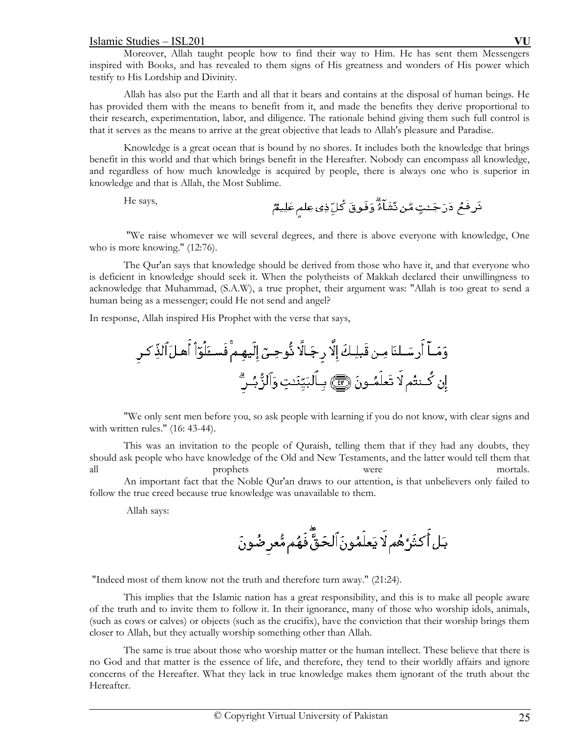Moreover, Allah taught people how to find their way to Him. He has sent them Messengers inspired with Books, and has revealed to them signs of His greatness and wonders of His power which testify to His Lordship and Divinity.

Allah has also put the Earth and all that it bears and contains at the disposal of human beings. He has provided them with the means to benefit from it, and made the benefits they derive proportional to their research, experimentation, labor, and diligence. The rationale behind giving them such full control is that it serves as the means to arrive at the great objective that leads to Allah's pleasure and Paradise.

Knowledge is a great ocean that is bound by no shores. It includes both the knowledge that brings benefit in this world and that which brings benefit in the Hereafter. Nobody can encompass all knowledge, and regardless of how much knowledge is acquired by people, there is always one who is superior in knowledge and that is Allah, the Most Sublime.

He says,

 "We raise whomever we will several degrees, and there is above everyone with knowledge, One who is more knowing." (12:76).

 The Qur'an says that knowledge should be derived from those who have it, and that everyone who is deficient in knowledge should seek it. When the polytheists of Makkah declared their unwillingness to acknowledge that Muhammad, (S.A.W), a true prophet, their argument was: "Allah is too great to send a human being as a messenger; could He not send and angel?

In response, Allah inspired His Prophet with the verse that says,

"We only sent men before you, so ask people with learning if you do not know, with clear signs and with written rules." (16: 43-44).

This was an invitation to the people of Quraish, telling them that if they had any doubts, they should ask people who have knowledge of the Old and New Testaments, and the latter would tell them that all prophets were mortals.

 An important fact that the Noble Qur'an draws to our attention, is that unbelievers only failed to follow the true creed because true knowledge was unavailable to them.

Allah says:

"Indeed most of them know not the truth and therefore turn away." (21:24).

This implies that the Islamic nation has a great responsibility, and this is to make all people aware of the truth and to invite them to follow it. In their ignorance, many of those who worship idols, animals, (such as cows or calves) or objects (such as the crucifix), have the conviction that their worship brings them closer to Allah, but they actually worship something other than Allah.

The same is true about those who worship matter or the human intellect. These believe that there is no God and that matter is the essence of life, and therefore, they tend to their worldly affairs and ignore concerns of the Hereafter. What they lack in true knowledge makes them ignorant of the truth about the Hereafter.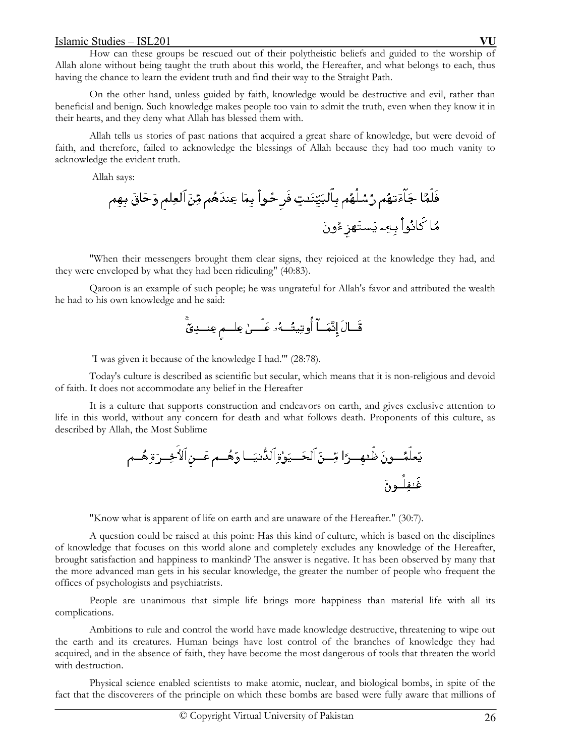How can these groups be rescued out of their polytheistic beliefs and guided to the worship of Allah alone without being taught the truth about this world, the Hereafter, and what belongs to each, thus having the chance to learn the evident truth and find their way to the Straight Path.

On the other hand, unless guided by faith, knowledge would be destructive and evil, rather than beneficial and benign. Such knowledge makes people too vain to admit the truth, even when they know it in their hearts, and they deny what Allah has blessed them with.

Allah tells us stories of past nations that acquired a great share of knowledge, but were devoid of faith, and therefore, failed to acknowledge the blessings of Allah because they had too much vanity to acknowledge the evident truth.

Allah says:

"When their messengers brought them clear signs, they rejoiced at the knowledge they had, and they were enveloped by what they had been ridiculing" (40:83).

Qaroon is an example of such people; he was ungrateful for Allah's favor and attributed the wealth he had to his own knowledge and he said:

'I was given it because of the knowledge I had.'" (28:78).

Today's culture is described as scientific but secular, which means that it is non-religious and devoid of faith. It does not accommodate any belief in the Hereafter

It is a culture that supports construction and endeavors on earth, and gives exclusive attention to life in this world, without any concern for death and what follows death. Proponents of this culture, as described by Allah, the Most Sublime

"Know what is apparent of life on earth and are unaware of the Hereafter." (30:7).

A question could be raised at this point: Has this kind of culture, which is based on the disciplines of knowledge that focuses on this world alone and completely excludes any knowledge of the Hereafter, brought satisfaction and happiness to mankind? The answer is negative. It has been observed by many that the more advanced man gets in his secular knowledge, the greater the number of people who frequent the offices of psychologists and psychiatrists.

People are unanimous that simple life brings more happiness than material life with all its complications.

Ambitions to rule and control the world have made knowledge destructive, threatening to wipe out the earth and its creatures. Human beings have lost control of the branches of knowledge they had acquired, and in the absence of faith, they have become the most dangerous of tools that threaten the world with destruction.

Physical science enabled scientists to make atomic, nuclear, and biological bombs, in spite of the fact that the discoverers of the principle on which these bombs are based were fully aware that millions of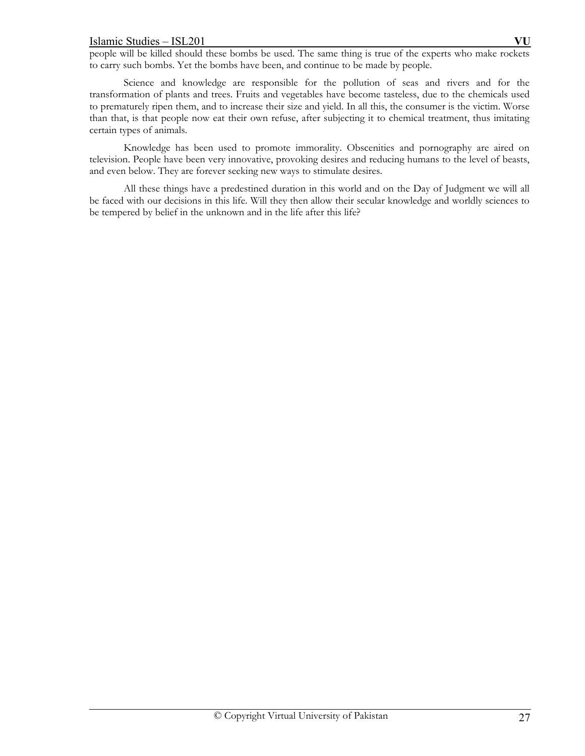people will be killed should these bombs be used. The same thing is true of the experts who make rockets to carry such bombs. Yet the bombs have been, and continue to be made by people.

Science and knowledge are responsible for the pollution of seas and rivers and for the transformation of plants and trees. Fruits and vegetables have become tasteless, due to the chemicals used to prematurely ripen them, and to increase their size and yield. In all this, the consumer is the victim. Worse than that, is that people now eat their own refuse, after subjecting it to chemical treatment, thus imitating certain types of animals.

Knowledge has been used to promote immorality. Obscenities and pornography are aired on television. People have been very innovative, provoking desires and reducing humans to the level of beasts, and even below. They are forever seeking new ways to stimulate desires.

All these things have a predestined duration in this world and on the Day of Judgment we will all be faced with our decisions in this life. Will they then allow their secular knowledge and worldly sciences to be tempered by belief in the unknown and in the life after this life?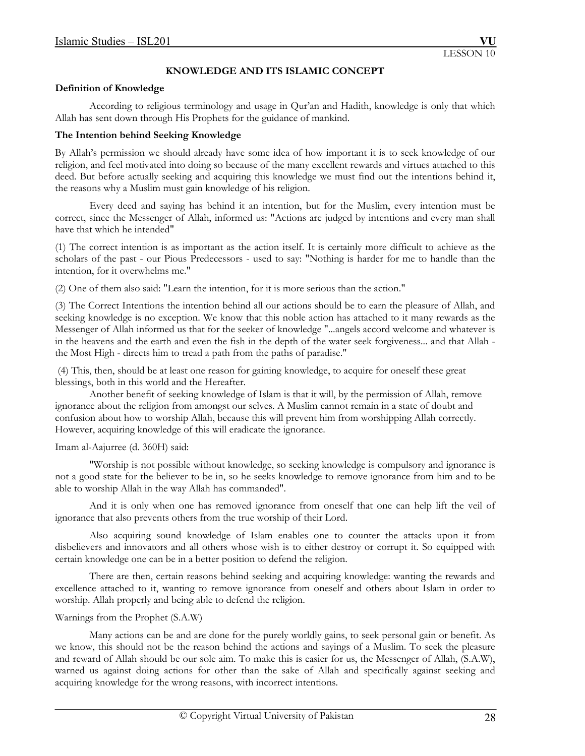# **KNOWLEDGE AND ITS ISLAMIC CONCEPT**

### **Definition of Knowledge**

According to religious terminology and usage in Qur'an and Hadith, knowledge is only that which Allah has sent down through His Prophets for the guidance of mankind.

### **The Intention behind Seeking Knowledge**

By Allah's permission we should already have some idea of how important it is to seek knowledge of our religion, and feel motivated into doing so because of the many excellent rewards and virtues attached to this deed. But before actually seeking and acquiring this knowledge we must find out the intentions behind it, the reasons why a Muslim must gain knowledge of his religion.

 Every deed and saying has behind it an intention, but for the Muslim, every intention must be correct, since the Messenger of Allah, informed us: "Actions are judged by intentions and every man shall have that which he intended"

(1) The correct intention is as important as the action itself. It is certainly more difficult to achieve as the scholars of the past - our Pious Predecessors - used to say: "Nothing is harder for me to handle than the intention, for it overwhelms me."

(2) One of them also said: "Learn the intention, for it is more serious than the action."

(3) The Correct Intentions the intention behind all our actions should be to earn the pleasure of Allah, and seeking knowledge is no exception. We know that this noble action has attached to it many rewards as the Messenger of Allah informed us that for the seeker of knowledge "...angels accord welcome and whatever is in the heavens and the earth and even the fish in the depth of the water seek forgiveness... and that Allah the Most High - directs him to tread a path from the paths of paradise."

 (4) This, then, should be at least one reason for gaining knowledge, to acquire for oneself these great blessings, both in this world and the Hereafter.

 Another benefit of seeking knowledge of Islam is that it will, by the permission of Allah, remove ignorance about the religion from amongst our selves. A Muslim cannot remain in a state of doubt and confusion about how to worship Allah, because this will prevent him from worshipping Allah correctly. However, acquiring knowledge of this will eradicate the ignorance.

## Imam al-Aajurree (d. 360H) said:

 "Worship is not possible without knowledge, so seeking knowledge is compulsory and ignorance is not a good state for the believer to be in, so he seeks knowledge to remove ignorance from him and to be able to worship Allah in the way Allah has commanded".

 And it is only when one has removed ignorance from oneself that one can help lift the veil of ignorance that also prevents others from the true worship of their Lord.

 Also acquiring sound knowledge of Islam enables one to counter the attacks upon it from disbelievers and innovators and all others whose wish is to either destroy or corrupt it. So equipped with certain knowledge one can be in a better position to defend the religion.

 There are then, certain reasons behind seeking and acquiring knowledge: wanting the rewards and excellence attached to it, wanting to remove ignorance from oneself and others about Islam in order to worship. Allah properly and being able to defend the religion.

## Warnings from the Prophet (S.A.W)

 Many actions can be and are done for the purely worldly gains, to seek personal gain or benefit. As we know, this should not be the reason behind the actions and sayings of a Muslim. To seek the pleasure and reward of Allah should be our sole aim. To make this is easier for us, the Messenger of Allah, (S.A.W), warned us against doing actions for other than the sake of Allah and specifically against seeking and acquiring knowledge for the wrong reasons, with incorrect intentions.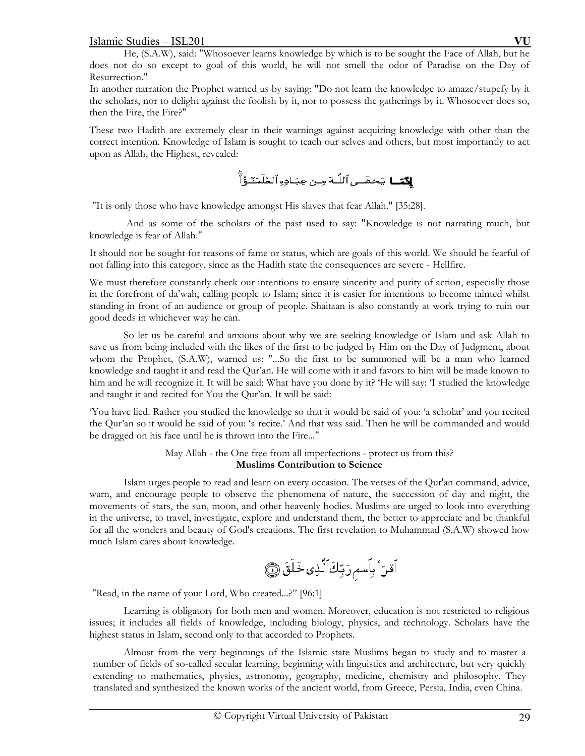He, (S.A.W), said: "Whosoever learns knowledge by which is to be sought the Face of Allah, but he does not do so except to goal of this world, he will not smell the odor of Paradise on the Day of Resurrection."

In another narration the Prophet warned us by saying: "Do not learn the knowledge to amaze/stupefy by it the scholars, nor to delight against the foolish by it, nor to possess the gatherings by it. Whosoever does so, then the Fire, the Fire?"

These two Hadith are extremely clear in their warnings against acquiring knowledge with other than the correct intention. Knowledge of Islam is sought to teach our selves and others, but most importantly to act upon as Allah, the Highest, revealed:

**لأدًا** يَحْشَى ٱللَّـهَ مـن عِبَـاده ٱلعُلَمَـّدَوُّاً

"It is only those who have knowledge amongst His slaves that fear Allah." [35:28].

 And as some of the scholars of the past used to say: "Knowledge is not narrating much, but knowledge is fear of Allah."

It should not be sought for reasons of fame or status, which are goals of this world. We should be fearful of not falling into this category, since as the Hadith state the consequences are severe - Hellfire.

We must therefore constantly check our intentions to ensure sincerity and purity of action, especially those in the forefront of da'wah, calling people to Islam; since it is easier for intentions to become tainted whilst standing in front of an audience or group of people. Shaitaan is also constantly at work trying to ruin our good deeds in whichever way he can.

 So let us be careful and anxious about why we are seeking knowledge of Islam and ask Allah to save us from being included with the likes of the first to be judged by Him on the Day of Judgment, about whom the Prophet, (S.A.W), warned us: "...So the first to be summoned will be a man who learned knowledge and taught it and read the Qur'an. He will come with it and favors to him will be made known to him and he will recognize it. It will be said: What have you done by it? 'He will say: 'I studied the knowledge and taught it and recited for You the Qur'an. It will be said:

'You have lied. Rather you studied the knowledge so that it would be said of you: 'a scholar' and you recited the Qur'an so it would be said of you: 'a recite.' And that was said. Then he will be commanded and would be dragged on his face until he is thrown into the Fire..."

# May Allah - the One free from all imperfections - protect us from this? **Muslims Contribution to Science**

 Islam urges people to read and learn on every occasion. The verses of the Qur'an command, advice, warn, and encourage people to observe the phenomena of nature, the succession of day and night, the movements of stars, the sun, moon, and other heavenly bodies. Muslims are urged to look into everything in the universe, to travel, investigate, explore and understand them, the better to appreciate and be thankful for all the wonders and beauty of God's creations. The first revelation to Muhammad (S.A.W) showed how much Islam cares about knowledge.

"Read, in the name of your Lord, Who created...?" [96:1]

 Learning is obligatory for both men and women. Moreover, education is not restricted to religious issues; it includes all fields of knowledge, including biology, physics, and technology. Scholars have the highest status in Islam, second only to that accorded to Prophets.

 Almost from the very beginnings of the Islamic state Muslims began to study and to master a number of fields of so-called secular learning, beginning with linguistics and architecture, but very quickly extending to mathematics, physics, astronomy, geography, medicine, chemistry and philosophy. They translated and synthesized the known works of the ancient world, from Greece, Persia, India, even China.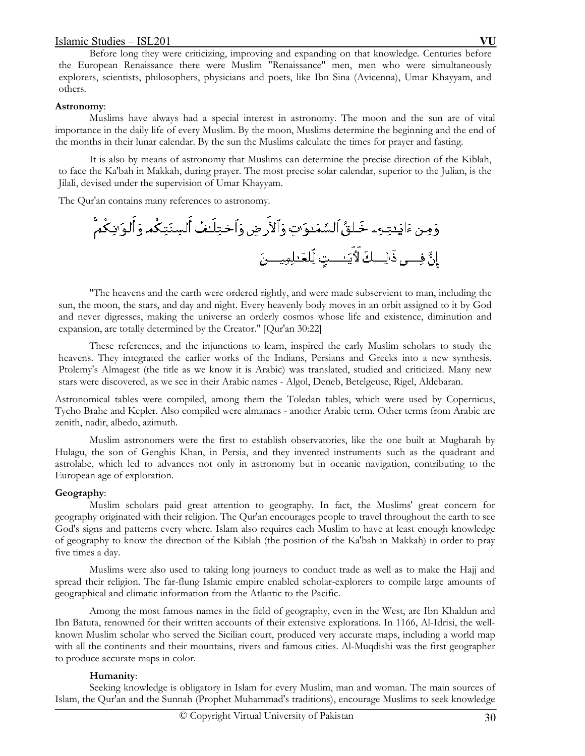Before long they were criticizing, improving and expanding on that knowledge. Centuries before the European Renaissance there were Muslim "Renaissance" men, men who were simultaneously explorers, scientists, philosophers, physicians and poets, like Ibn Sina (Avicenna), Umar Khayyam, and others.

### **Astronomy**:

 Muslims have always had a special interest in astronomy. The moon and the sun are of vital importance in the daily life of every Muslim. By the moon, Muslims determine the beginning and the end of the months in their lunar calendar. By the sun the Muslims calculate the times for prayer and fasting.

 It is also by means of astronomy that Muslims can determine the precise direction of the Kiblah, to face the Ka'bah in Makkah, during prayer. The most precise solar calendar, superior to the Julian, is the Jilali, devised under the supervision of Umar Khayyam.

The Qur'an contains many references to astronomy.

 "The heavens and the earth were ordered rightly, and were made subservient to man, including the sun, the moon, the stars, and day and night. Every heavenly body moves in an orbit assigned to it by God and never digresses, making the universe an orderly cosmos whose life and existence, diminution and expansion, are totally determined by the Creator." [Qur'an 30:22]

 These references, and the injunctions to learn, inspired the early Muslim scholars to study the heavens. They integrated the earlier works of the Indians, Persians and Greeks into a new synthesis. Ptolemy's Almagest (the title as we know it is Arabic) was translated, studied and criticized. Many new stars were discovered, as we see in their Arabic names - Algol, Deneb, Betelgeuse, Rigel, Aldebaran.

Astronomical tables were compiled, among them the Toledan tables, which were used by Copernicus, Tycho Brahe and Kepler. Also compiled were almanacs - another Arabic term. Other terms from Arabic are zenith, nadir, albedo, azimuth.

 Muslim astronomers were the first to establish observatories, like the one built at Mugharah by Hulagu, the son of Genghis Khan, in Persia, and they invented instruments such as the quadrant and astrolabe, which led to advances not only in astronomy but in oceanic navigation, contributing to the European age of exploration.

## **Geography**:

 Muslim scholars paid great attention to geography. In fact, the Muslims' great concern for geography originated with their religion. The Qur'an encourages people to travel throughout the earth to see God's signs and patterns every where. Islam also requires each Muslim to have at least enough knowledge of geography to know the direction of the Kiblah (the position of the Ka'bah in Makkah) in order to pray five times a day.

 Muslims were also used to taking long journeys to conduct trade as well as to make the Hajj and spread their religion. The far-flung Islamic empire enabled scholar-explorers to compile large amounts of geographical and climatic information from the Atlantic to the Pacific.

 Among the most famous names in the field of geography, even in the West, are Ibn Khaldun and Ibn Batuta, renowned for their written accounts of their extensive explorations. In 1166, Al-Idrisi, the wellknown Muslim scholar who served the Sicilian court, produced very accurate maps, including a world map with all the continents and their mountains, rivers and famous cities. Al-Muqdishi was the first geographer to produce accurate maps in color.

## **Humanity**:

 Seeking knowledge is obligatory in Islam for every Muslim, man and woman. The main sources of Islam, the Qur'an and the Sunnah (Prophet Muhammad's traditions), encourage Muslims to seek knowledge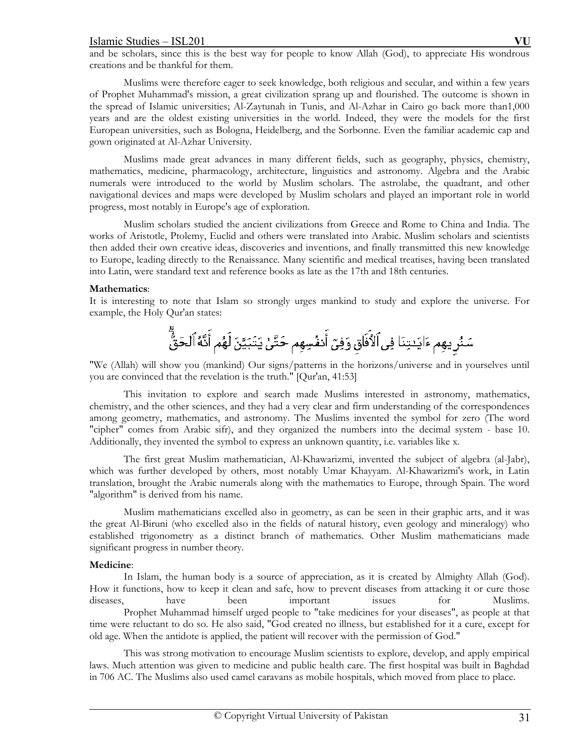and be scholars, since this is the best way for people to know Allah (God), to appreciate His wondrous creations and be thankful for them.

 Muslims were therefore eager to seek knowledge, both religious and secular, and within a few years of Prophet Muhammad's mission, a great civilization sprang up and flourished. The outcome is shown in the spread of Islamic universities; Al-Zaytunah in Tunis, and Al-Azhar in Cairo go back more than1,000 years and are the oldest existing universities in the world. Indeed, they were the models for the first European universities, such as Bologna, Heidelberg, and the Sorbonne. Even the familiar academic cap and gown originated at Al-Azhar University.

 Muslims made great advances in many different fields, such as geography, physics, chemistry, mathematics, medicine, pharmacology, architecture, linguistics and astronomy. Algebra and the Arabic numerals were introduced to the world by Muslim scholars. The astrolabe, the quadrant, and other navigational devices and maps were developed by Muslim scholars and played an important role in world progress, most notably in Europe's age of exploration.

 Muslim scholars studied the ancient civilizations from Greece and Rome to China and India. The works of Aristotle, Ptolemy, Euclid and others were translated into Arabic. Muslim scholars and scientists then added their own creative ideas, discoveries and inventions, and finally transmitted this new knowledge to Europe, leading directly to the Renaissance. Many scientific and medical treatises, having been translated into Latin, were standard text and reference books as late as the 17th and 18th centuries.

### **Mathematics**:

It is interesting to note that Islam so strongly urges mankind to study and explore the universe. For example, the Holy Qur'an states:

# سَنُر يهِم ءَايَـٰتِنَا فِى ٱلأَفَاقِ وَفِىٓ أَنفُسِهِم حَتَّىٰ يَتَبَيَّنَ لَهُم أَنَّهُ ٱلْحَقُّّ

"We (Allah) will show you (mankind) Our signs/patterns in the horizons/universe and in yourselves until you are convinced that the revelation is the truth." [Qur'an, 41:53]

 This invitation to explore and search made Muslims interested in astronomy, mathematics, chemistry, and the other sciences, and they had a very clear and firm understanding of the correspondences among geometry, mathematics, and astronomy. The Muslims invented the symbol for zero (The word "cipher" comes from Arabic sifr), and they organized the numbers into the decimal system - base 10. Additionally, they invented the symbol to express an unknown quantity, i.e. variables like x.

 The first great Muslim mathematician, Al-Khawarizmi, invented the subject of algebra (al-Jabr), which was further developed by others, most notably Umar Khayyam. Al-Khawarizmi's work, in Latin translation, brought the Arabic numerals along with the mathematics to Europe, through Spain. The word "algorithm" is derived from his name.

 Muslim mathematicians excelled also in geometry, as can be seen in their graphic arts, and it was the great Al-Biruni (who excelled also in the fields of natural history, even geology and mineralogy) who established trigonometry as a distinct branch of mathematics. Other Muslim mathematicians made significant progress in number theory.

## **Medicine**:

 In Islam, the human body is a source of appreciation, as it is created by Almighty Allah (God). How it functions, how to keep it clean and safe, how to prevent diseases from attacking it or cure those diseases, have been important issues for Muslims. Prophet Muhammad himself urged people to "take medicines for your diseases", as people at that time were reluctant to do so. He also said, "God created no illness, but established for it a cure, except for old age. When the antidote is applied, the patient will recover with the permission of God."

 This was strong motivation to encourage Muslim scientists to explore, develop, and apply empirical laws. Much attention was given to medicine and public health care. The first hospital was built in Baghdad in 706 AC. The Muslims also used camel caravans as mobile hospitals, which moved from place to place.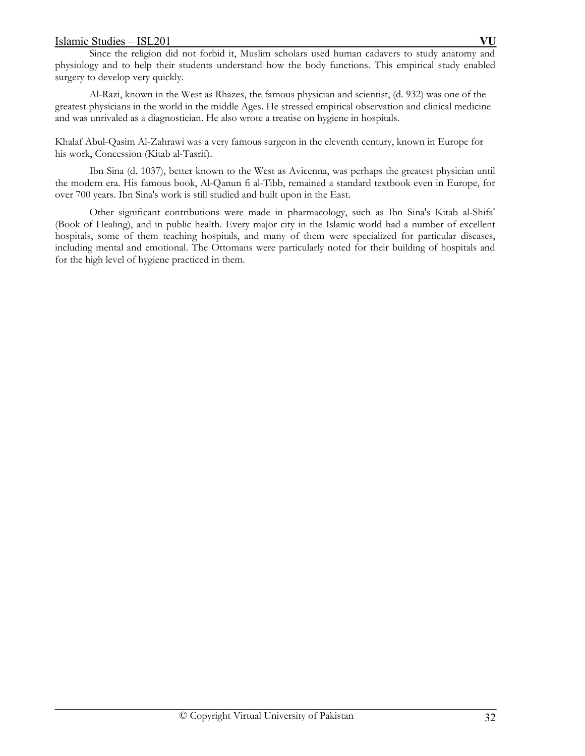Since the religion did not forbid it, Muslim scholars used human cadavers to study anatomy and physiology and to help their students understand how the body functions. This empirical study enabled surgery to develop very quickly.

 Al-Razi, known in the West as Rhazes, the famous physician and scientist, (d. 932) was one of the greatest physicians in the world in the middle Ages. He stressed empirical observation and clinical medicine and was unrivaled as a diagnostician. He also wrote a treatise on hygiene in hospitals.

Khalaf Abul-Qasim Al-Zahrawi was a very famous surgeon in the eleventh century, known in Europe for his work, Concession (Kitab al-Tasrif).

 Ibn Sina (d. 1037), better known to the West as Avicenna, was perhaps the greatest physician until the modern era. His famous book, Al-Qanun fi al-Tibb, remained a standard textbook even in Europe, for over 700 years. Ibn Sina's work is still studied and built upon in the East.

 Other significant contributions were made in pharmacology, such as Ibn Sina's Kitab al-Shifa' (Book of Healing), and in public health. Every major city in the Islamic world had a number of excellent hospitals, some of them teaching hospitals, and many of them were specialized for particular diseases, including mental and emotional. The Ottomans were particularly noted for their building of hospitals and for the high level of hygiene practiced in them.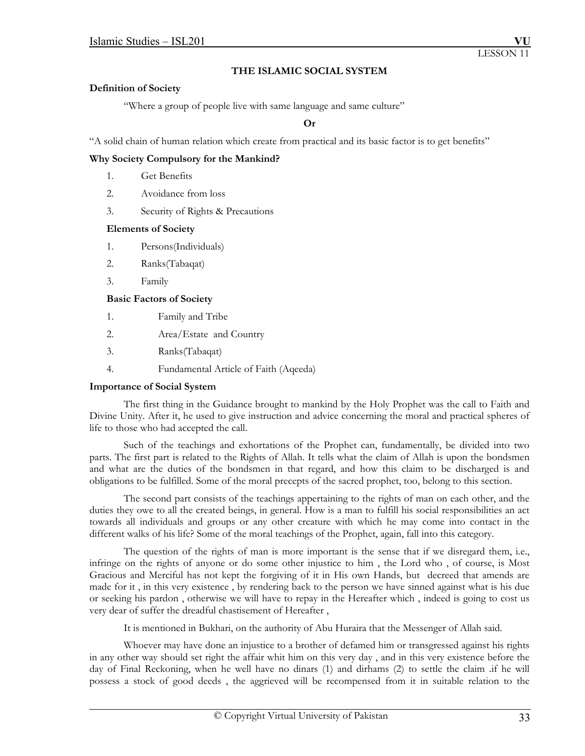### **THE ISLAMIC SOCIAL SYSTEM**

### **Definition of Society**

"Where a group of people live with same language and same culture"

**Or** 

"A solid chain of human relation which create from practical and its basic factor is to get benefits"

### **Why Society Compulsory for the Mankind?**

- 1. Get Benefits
- 2. Avoidance from loss
- 3. Security of Rights & Precautions

### **Elements of Society**

- 1. Persons(Individuals)
- 2. Ranks(Tabaqat)
- 3. Family

### **Basic Factors of Society**

- 1. Family and Tribe
- 2. Area/Estate and Country
- 3. Ranks(Tabaqat)
- 4. Fundamental Article of Faith (Aqeeda)

### **Importance of Social System**

 The first thing in the Guidance brought to mankind by the Holy Prophet was the call to Faith and Divine Unity. After it, he used to give instruction and advice concerning the moral and practical spheres of life to those who had accepted the call.

 Such of the teachings and exhortations of the Prophet can, fundamentally, be divided into two parts. The first part is related to the Rights of Allah. It tells what the claim of Allah is upon the bondsmen and what are the duties of the bondsmen in that regard, and how this claim to be discharged is and obligations to be fulfilled. Some of the moral precepts of the sacred prophet, too, belong to this section.

 The second part consists of the teachings appertaining to the rights of man on each other, and the duties they owe to all the created beings, in general. How is a man to fulfill his social responsibilities an act towards all individuals and groups or any other creature with which he may come into contact in the different walks of his life? Some of the moral teachings of the Prophet, again, fall into this category.

 The question of the rights of man is more important is the sense that if we disregard them, i.e., infringe on the rights of anyone or do some other injustice to him , the Lord who , of course, is Most Gracious and Merciful has not kept the forgiving of it in His own Hands, but decreed that amends are made for it , in this very existence , by rendering back to the person we have sinned against what is his due or seeking his pardon , otherwise we will have to repay in the Hereafter which , indeed is going to cost us very dear of suffer the dreadful chastisement of Hereafter ,

It is mentioned in Bukhari, on the authority of Abu Huraira that the Messenger of Allah said.

 Whoever may have done an injustice to a brother of defamed him or transgressed against his rights in any other way should set right the affair whit him on this very day , and in this very existence before the day of Final Reckoning, when he well have no dinars (1) and dirhams (2) to settle the claim .if he will possess a stock of good deeds , the aggrieved will be recompensed from it in suitable relation to the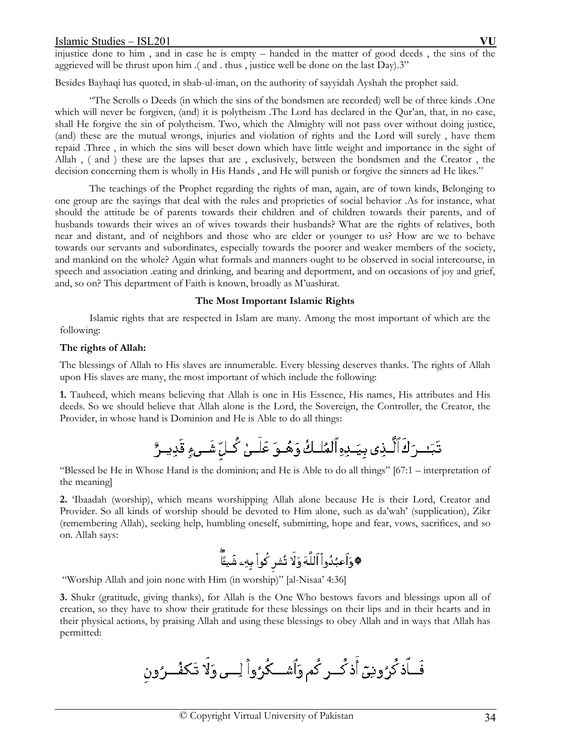injustice done to him , and in case he is empty – handed in the matter of good deeds , the sins of the aggrieved will be thrust upon him .( and . thus , justice well be done on the last Day).3"

Besides Bayhaqi has quoted, in shab-ul-iman, on the authority of sayyidah Ayshah the prophet said.

 "The Scrolls o Deeds (in which the sins of the bondsmen are recorded) well be of three kinds .One which will never be forgiven, (and) it is polytheism. The Lord has declared in the Qur'an, that, in no case, shall He forgive the sin of polytheism. Two, which the Almighty will not pass over without doing justice, (and) these are the mutual wrongs, injuries and violation of rights and the Lord will surely , have them repaid .Three , in which the sins will beset down which have little weight and importance in the sight of Allah , ( and ) these are the lapses that are , exclusively, between the bondsmen and the Creator , the decision concerning them is wholly in His Hands, and He will punish or forgive the sinners ad He likes."

 The teachings of the Prophet regarding the rights of man, again, are of town kinds, Belonging to one group are the sayings that deal with the rules and proprieties of social behavior .As for instance, what should the attitude be of parents towards their children and of children towards their parents, and of husbands towards their wives an of wives towards their husbands? What are the rights of relatives, both near and distant, and of neighbors and those who are elder or younger to us? How are we to behave towards our servants and subordinates, especially towards the poorer and weaker members of the society, and mankind on the whole? Again what formals and manners ought to be observed in social intercourse, in speech and association .eating and drinking, and bearing and deportment, and on occasions of joy and grief, and, so on? This department of Faith is known, broadly as M'uashirat.

### **The Most Important Islamic Rights**

 Islamic rights that are respected in Islam are many. Among the most important of which are the following:

### **The rights of Allah:**

The blessings of Allah to His slaves are innumerable. Every blessing deserves thanks. The rights of Allah upon His slaves are many, the most important of which include the following:

**1.** Tauheed, which means believing that Allah is one in His Essence, His names, His attributes and His deeds. So we should believe that Allah alone is the Lord, the Sovereign, the Controller, the Creator, the Provider, in whose hand is Dominion and He is Able to do all things:

"Blessed be He in Whose Hand is the dominion; and He is Able to do all things" [67:1 – interpretation of the meaning]

**2.** 'Ibaadah (worship), which means worshipping Allah alone because He is their Lord, Creator and Provider. So all kinds of worship should be devoted to Him alone, such as da'wah' (supplication), Zikr (remembering Allah), seeking help, humbling oneself, submitting, hope and fear, vows, sacrifices, and so on. Allah says:

"Worship Allah and join none with Him (in worship)" [al-Nisaa' 4:36]

**3.** Shukr (gratitude, giving thanks), for Allah is the One Who bestows favors and blessings upon all of creation, so they have to show their gratitude for these blessings on their lips and in their hearts and in their physical actions, by praising Allah and using these blessings to obey Allah and in ways that Allah has permitted: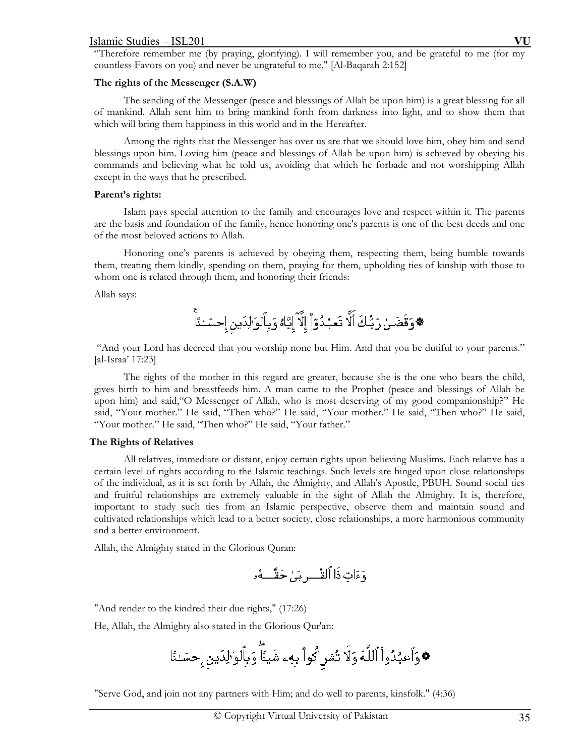"Therefore remember me (by praying, glorifying). I will remember you, and be grateful to me (for my countless Favors on you) and never be ungrateful to me." [Al-Baqarah 2:152]

### **The rights of the Messenger (S.A.W)**

 The sending of the Messenger (peace and blessings of Allah be upon him) is a great blessing for all of mankind. Allah sent him to bring mankind forth from darkness into light, and to show them that which will bring them happiness in this world and in the Hereafter.

 Among the rights that the Messenger has over us are that we should love him, obey him and send blessings upon him. Loving him (peace and blessings of Allah be upon him) is achieved by obeying his commands and believing what he told us, avoiding that which he forbade and not worshipping Allah except in the ways that he prescribed.

### **Parent's rights:**

 Islam pays special attention to the family and encourages love and respect within it. The parents are the basis and foundation of the family, hence honoring one's parents is one of the best deeds and one of the most beloved actions to Allah.

 Honoring one's parents is achieved by obeying them, respecting them, being humble towards them, treating them kindly, spending on them, praying for them, upholding ties of kinship with those to whom one is related through them, and honoring their friends:

Allah says:

 "And your Lord has decreed that you worship none but Him. And that you be dutiful to your parents." [al-Israa' 17:23]

 The rights of the mother in this regard are greater, because she is the one who bears the child, gives birth to him and breastfeeds him. A man came to the Prophet (peace and blessings of Allah be upon him) and said,"O Messenger of Allah, who is most deserving of my good companionship?" He said, "Your mother." He said, "Then who?" He said, "Your mother." He said, "Then who?" He said, "Your mother." He said, "Then who?" He said, "Your father."

## **The Rights of Relatives**

 All relatives, immediate or distant, enjoy certain rights upon believing Muslims. Each relative has a certain level of rights according to the Islamic teachings. Such levels are hinged upon close relationships of the individual, as it is set forth by Allah, the Almighty, and Allah's Apostle, PBUH. Sound social ties and fruitful relationships are extremely valuable in the sight of Allah the Almighty. It is, therefore, important to study such ties from an Islamic perspective, observe them and maintain sound and cultivated relationships which lead to a better society, close relationships, a more harmonious community and a better environment.

Allah, the Almighty stated in the Glorious Quran:

"And render to the kindred their due rights," (17:26)

He, Allah, the Almighty also stated in the Glorious Qur'an:

"Serve God, and join not any partners with Him; and do well to parents, kinsfolk." (4:36)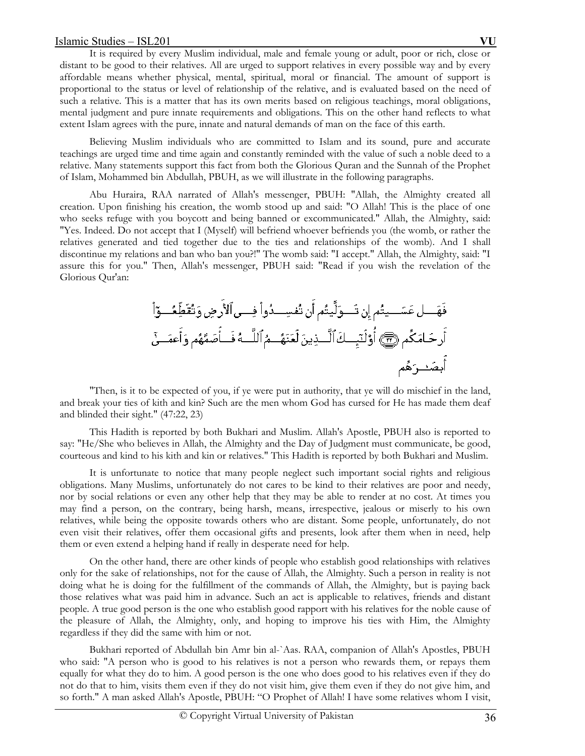It is required by every Muslim individual, male and female young or adult, poor or rich, close or distant to be good to their relatives. All are urged to support relatives in every possible way and by every affordable means whether physical, mental, spiritual, moral or financial. The amount of support is proportional to the status or level of relationship of the relative, and is evaluated based on the need of such a relative. This is a matter that has its own merits based on religious teachings, moral obligations, mental judgment and pure innate requirements and obligations. This on the other hand reflects to what extent Islam agrees with the pure, innate and natural demands of man on the face of this earth.

 Believing Muslim individuals who are committed to Islam and its sound, pure and accurate teachings are urged time and time again and constantly reminded with the value of such a noble deed to a relative. Many statements support this fact from both the Glorious Quran and the Sunnah of the Prophet of Islam, Mohammed bin Abdullah, PBUH, as we will illustrate in the following paragraphs.

 Abu Huraira, RAA narrated of Allah's messenger, PBUH: "Allah, the Almighty created all creation. Upon finishing his creation, the womb stood up and said: "O Allah! This is the place of one who seeks refuge with you boycott and being banned or excommunicated." Allah, the Almighty, said: "Yes. Indeed. Do not accept that I (Myself) will befriend whoever befriends you (the womb, or rather the relatives generated and tied together due to the ties and relationships of the womb). And I shall discontinue my relations and ban who ban you?!" The womb said: "I accept." Allah, the Almighty, said: "I assure this for you." Then, Allah's messenger, PBUH said: "Read if you wish the revelation of the Glorious Qur'an:

 "Then, is it to be expected of you, if ye were put in authority, that ye will do mischief in the land, and break your ties of kith and kin? Such are the men whom God has cursed for He has made them deaf and blinded their sight." (47:22, 23)

 This Hadith is reported by both Bukhari and Muslim. Allah's Apostle, PBUH also is reported to say: "He/She who believes in Allah, the Almighty and the Day of Judgment must communicate, be good, courteous and kind to his kith and kin or relatives." This Hadith is reported by both Bukhari and Muslim.

 It is unfortunate to notice that many people neglect such important social rights and religious obligations. Many Muslims, unfortunately do not cares to be kind to their relatives are poor and needy, nor by social relations or even any other help that they may be able to render at no cost. At times you may find a person, on the contrary, being harsh, means, irrespective, jealous or miserly to his own relatives, while being the opposite towards others who are distant. Some people, unfortunately, do not even visit their relatives, offer them occasional gifts and presents, look after them when in need, help them or even extend a helping hand if really in desperate need for help.

 On the other hand, there are other kinds of people who establish good relationships with relatives only for the sake of relationships, not for the cause of Allah, the Almighty. Such a person in reality is not doing what he is doing for the fulfillment of the commands of Allah, the Almighty, but is paying back those relatives what was paid him in advance. Such an act is applicable to relatives, friends and distant people. A true good person is the one who establish good rapport with his relatives for the noble cause of the pleasure of Allah, the Almighty, only, and hoping to improve his ties with Him, the Almighty regardless if they did the same with him or not.

 Bukhari reported of Abdullah bin Amr bin al-`Aas. RAA, companion of Allah's Apostles, PBUH who said: "A person who is good to his relatives is not a person who rewards them, or repays them equally for what they do to him. A good person is the one who does good to his relatives even if they do not do that to him, visits them even if they do not visit him, give them even if they do not give him, and so forth." A man asked Allah's Apostle, PBUH: "O Prophet of Allah! I have some relatives whom I visit,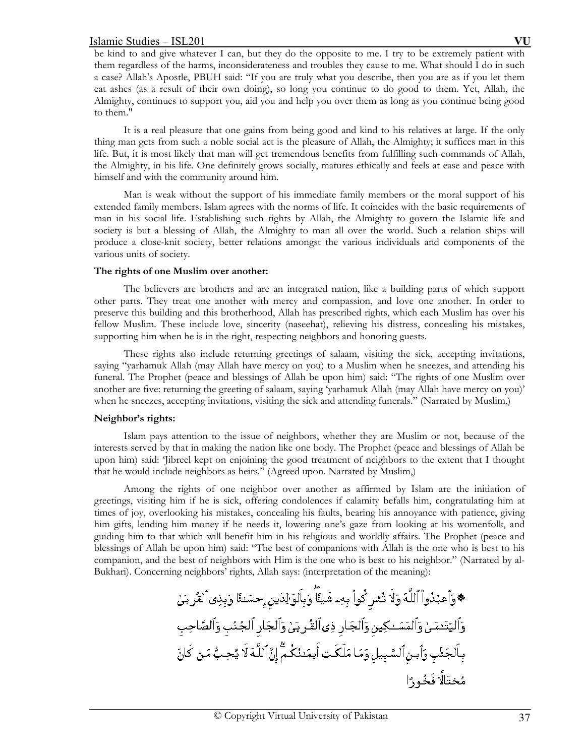be kind to and give whatever I can, but they do the opposite to me. I try to be extremely patient with them regardless of the harms, inconsiderateness and troubles they cause to me. What should I do in such a case? Allah's Apostle, PBUH said: "If you are truly what you describe, then you are as if you let them eat ashes (as a result of their own doing), so long you continue to do good to them. Yet, Allah, the Almighty, continues to support you, aid you and help you over them as long as you continue being good to them."

 It is a real pleasure that one gains from being good and kind to his relatives at large. If the only thing man gets from such a noble social act is the pleasure of Allah, the Almighty; it suffices man in this life. But, it is most likely that man will get tremendous benefits from fulfilling such commands of Allah, the Almighty, in his life. One definitely grows socially, matures ethically and feels at ease and peace with himself and with the community around him.

 Man is weak without the support of his immediate family members or the moral support of his extended family members. Islam agrees with the norms of life. It coincides with the basic requirements of man in his social life. Establishing such rights by Allah, the Almighty to govern the Islamic life and society is but a blessing of Allah, the Almighty to man all over the world. Such a relation ships will produce a close-knit society, better relations amongst the various individuals and components of the various units of society.

### **The rights of one Muslim over another:**

 The believers are brothers and are an integrated nation, like a building parts of which support other parts. They treat one another with mercy and compassion, and love one another. In order to preserve this building and this brotherhood, Allah has prescribed rights, which each Muslim has over his fellow Muslim. These include love, sincerity (naseehat), relieving his distress, concealing his mistakes, supporting him when he is in the right, respecting neighbors and honoring guests.

 These rights also include returning greetings of salaam, visiting the sick, accepting invitations, saying "yarhamuk Allah (may Allah have mercy on you) to a Muslim when he sneezes, and attending his funeral. The Prophet (peace and blessings of Allah be upon him) said: "The rights of one Muslim over another are five: returning the greeting of salaam, saying 'yarhamuk Allah (may Allah have mercy on you)' when he sneezes, accepting invitations, visiting the sick and attending funerals." (Narrated by Muslim,)

## **Neighbor's rights:**

 Islam pays attention to the issue of neighbors, whether they are Muslim or not, because of the interests served by that in making the nation like one body. The Prophet (peace and blessings of Allah be upon him) said: 'Jibreel kept on enjoining the good treatment of neighbors to the extent that I thought that he would include neighbors as heirs." (Agreed upon. Narrated by Muslim,)

 Among the rights of one neighbor over another as affirmed by Islam are the initiation of greetings, visiting him if he is sick, offering condolences if calamity befalls him, congratulating him at times of joy, overlooking his mistakes, concealing his faults, bearing his annoyance with patience, giving him gifts, lending him money if he needs it, lowering one's gaze from looking at his womenfolk, and guiding him to that which will benefit him in his religious and worldly affairs. The Prophet (peace and blessings of Allah be upon him) said: "The best of companions with Allah is the one who is best to his companion, and the best of neighbors with Him is the one who is best to his neighbor." (Narrated by al-Bukhari). Concerning neighbors' rights, Allah says: (interpretation of the meaning):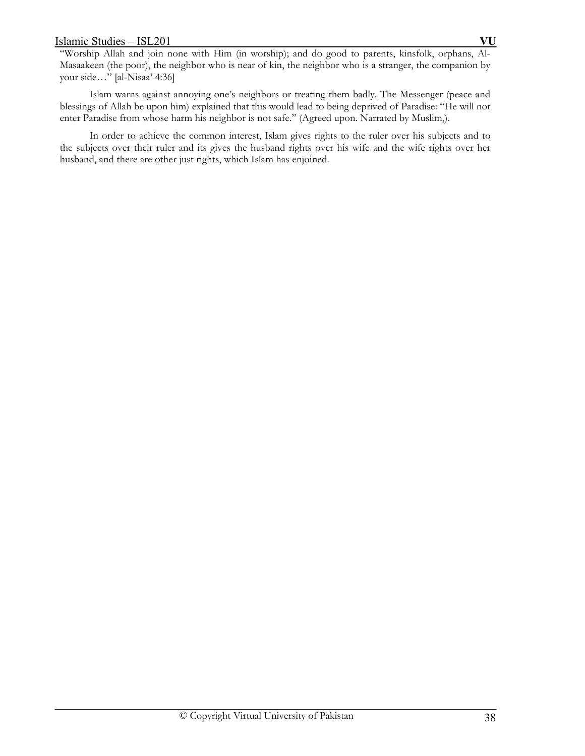"Worship Allah and join none with Him (in worship); and do good to parents, kinsfolk, orphans, Al-Masaakeen (the poor), the neighbor who is near of kin, the neighbor who is a stranger, the companion by your side…" [al-Nisaa' 4:36]

 Islam warns against annoying one's neighbors or treating them badly. The Messenger (peace and blessings of Allah be upon him) explained that this would lead to being deprived of Paradise: "He will not enter Paradise from whose harm his neighbor is not safe." (Agreed upon. Narrated by Muslim,).

 In order to achieve the common interest, Islam gives rights to the ruler over his subjects and to the subjects over their ruler and its gives the husband rights over his wife and the wife rights over her husband, and there are other just rights, which Islam has enjoined.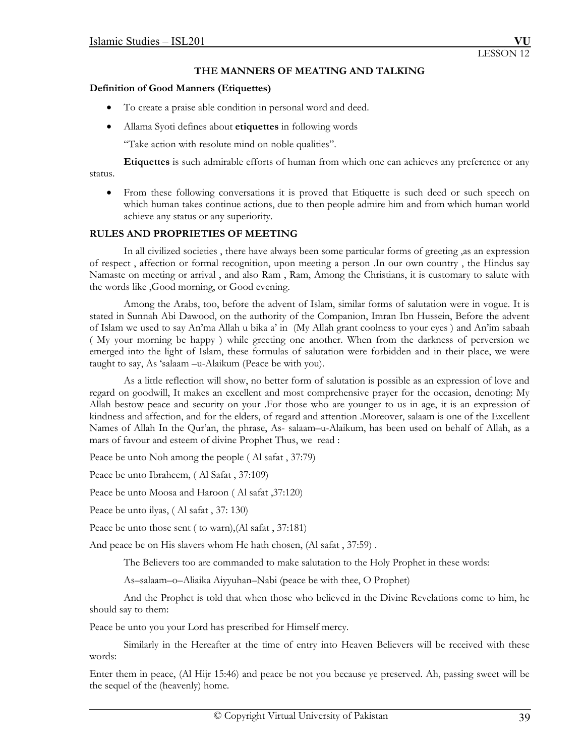### **THE MANNERS OF MEATING AND TALKING**

### **Definition of Good Manners (Etiquettes)**

- To create a praise able condition in personal word and deed.
- Allama Syoti defines about **etiquettes** in following words

"Take action with resolute mind on noble qualities".

**Etiquettes** is such admirable efforts of human from which one can achieves any preference or any status.

 From these following conversations it is proved that Etiquette is such deed or such speech on which human takes continue actions, due to then people admire him and from which human world achieve any status or any superiority.

## **RULES AND PROPRIETIES OF MEETING**

 In all civilized societies , there have always been some particular forms of greeting ,as an expression of respect , affection or formal recognition, upon meeting a person .In our own country , the Hindus say Namaste on meeting or arrival , and also Ram , Ram, Among the Christians, it is customary to salute with the words like ,Good morning, or Good evening.

 Among the Arabs, too, before the advent of Islam, similar forms of salutation were in vogue. It is stated in Sunnah Abi Dawood, on the authority of the Companion, Imran Ibn Hussein, Before the advent of Islam we used to say An'ma Allah u bika a' in (My Allah grant coolness to your eyes ) and An'im sabaah ( My your morning be happy ) while greeting one another. When from the darkness of perversion we emerged into the light of Islam, these formulas of salutation were forbidden and in their place, we were taught to say, As 'salaam –u-Alaikum (Peace be with you).

 As a little reflection will show, no better form of salutation is possible as an expression of love and regard on goodwill, It makes an excellent and most comprehensive prayer for the occasion, denoting: My Allah bestow peace and security on your .For those who are younger to us in age, it is an expression of kindness and affection, and for the elders, of regard and attention .Moreover, salaam is one of the Excellent Names of Allah In the Qur'an, the phrase, As- salaam–u-Alaikum, has been used on behalf of Allah, as a mars of favour and esteem of divine Prophet Thus, we read :

Peace be unto Noh among the people ( Al safat , 37:79)

Peace be unto Ibraheem, ( Al Safat , 37:109)

Peace be unto Moosa and Haroon ( Al safat ,37:120)

Peace be unto ilyas, ( Al safat , 37: 130)

Peace be unto those sent ( to warn),(Al safat , 37:181)

And peace be on His slavers whom He hath chosen, (Al safat , 37:59) .

The Believers too are commanded to make salutation to the Holy Prophet in these words:

As–salaam–o–Aliaika Aiyyuhan–Nabi (peace be with thee, O Prophet)

 And the Prophet is told that when those who believed in the Divine Revelations come to him, he should say to them:

Peace be unto you your Lord has prescribed for Himself mercy.

 Similarly in the Hereafter at the time of entry into Heaven Believers will be received with these words:

Enter them in peace, (Al Hijr 15:46) and peace be not you because ye preserved. Ah, passing sweet will be the sequel of the (heavenly) home.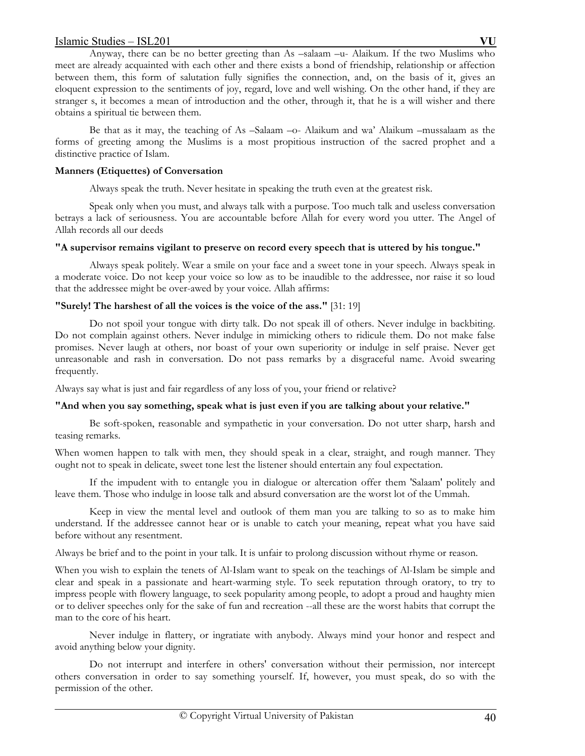Anyway, there can be no better greeting than As –salaam –u- Alaikum. If the two Muslims who meet are already acquainted with each other and there exists a bond of friendship, relationship or affection between them, this form of salutation fully signifies the connection, and, on the basis of it, gives an eloquent expression to the sentiments of joy, regard, love and well wishing. On the other hand, if they are stranger s, it becomes a mean of introduction and the other, through it, that he is a will wisher and there obtains a spiritual tie between them.

 Be that as it may, the teaching of As –Salaam –o- Alaikum and wa' Alaikum –mussalaam as the forms of greeting among the Muslims is a most propitious instruction of the sacred prophet and a distinctive practice of Islam.

# **Manners (Etiquettes) of Conversation**

Always speak the truth. Never hesitate in speaking the truth even at the greatest risk.

 Speak only when you must, and always talk with a purpose. Too much talk and useless conversation betrays a lack of seriousness. You are accountable before Allah for every word you utter. The Angel of Allah records all our deeds

# **"A supervisor remains vigilant to preserve on record every speech that is uttered by his tongue."**

 Always speak politely. Wear a smile on your face and a sweet tone in your speech. Always speak in a moderate voice. Do not keep your voice so low as to be inaudible to the addressee, nor raise it so loud that the addressee might be over-awed by your voice. Allah affirms:

# **"Surely! The harshest of all the voices is the voice of the ass."** [31: 19]

 Do not spoil your tongue with dirty talk. Do not speak ill of others. Never indulge in backbiting. Do not complain against others. Never indulge in mimicking others to ridicule them. Do not make false promises. Never laugh at others, nor boast of your own superiority or indulge in self praise. Never get unreasonable and rash in conversation. Do not pass remarks by a disgraceful name. Avoid swearing frequently.

Always say what is just and fair regardless of any loss of you, your friend or relative?

# **"And when you say something, speak what is just even if you are talking about your relative."**

 Be soft-spoken, reasonable and sympathetic in your conversation. Do not utter sharp, harsh and teasing remarks.

When women happen to talk with men, they should speak in a clear, straight, and rough manner. They ought not to speak in delicate, sweet tone lest the listener should entertain any foul expectation.

 If the impudent with to entangle you in dialogue or altercation offer them 'Salaam' politely and leave them. Those who indulge in loose talk and absurd conversation are the worst lot of the Ummah.

 Keep in view the mental level and outlook of them man you are talking to so as to make him understand. If the addressee cannot hear or is unable to catch your meaning, repeat what you have said before without any resentment.

Always be brief and to the point in your talk. It is unfair to prolong discussion without rhyme or reason.

When you wish to explain the tenets of Al-Islam want to speak on the teachings of Al-Islam be simple and clear and speak in a passionate and heart-warming style. To seek reputation through oratory, to try to impress people with flowery language, to seek popularity among people, to adopt a proud and haughty mien or to deliver speeches only for the sake of fun and recreation --all these are the worst habits that corrupt the man to the core of his heart.

 Never indulge in flattery, or ingratiate with anybody. Always mind your honor and respect and avoid anything below your dignity.

 Do not interrupt and interfere in others' conversation without their permission, nor intercept others conversation in order to say something yourself. If, however, you must speak, do so with the permission of the other.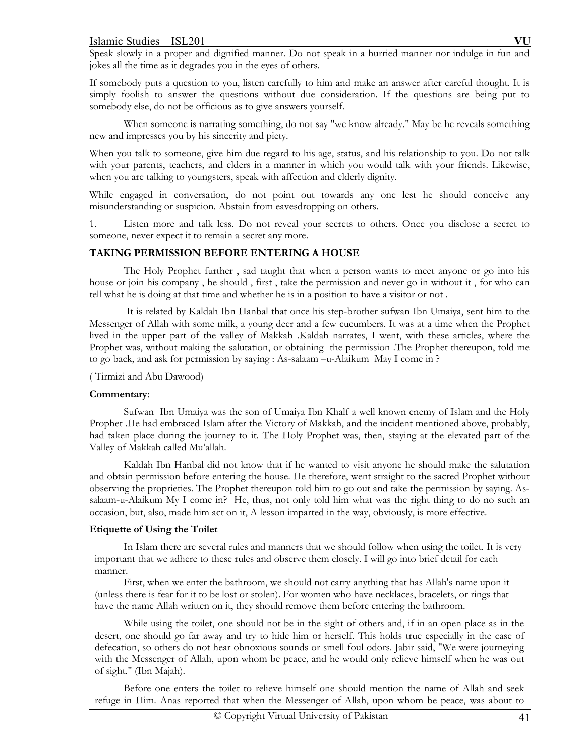Speak slowly in a proper and dignified manner. Do not speak in a hurried manner nor indulge in fun and jokes all the time as it degrades you in the eyes of others.

If somebody puts a question to you, listen carefully to him and make an answer after careful thought. It is simply foolish to answer the questions without due consideration. If the questions are being put to somebody else, do not be officious as to give answers yourself.

When someone is narrating something, do not say "we know already." May be he reveals something new and impresses you by his sincerity and piety.

When you talk to someone, give him due regard to his age, status, and his relationship to you. Do not talk with your parents, teachers, and elders in a manner in which you would talk with your friends. Likewise, when you are talking to youngsters, speak with affection and elderly dignity.

While engaged in conversation, do not point out towards any one lest he should conceive any misunderstanding or suspicion. Abstain from eavesdropping on others.

1. Listen more and talk less. Do not reveal your secrets to others. Once you disclose a secret to someone, never expect it to remain a secret any more.

# **TAKING PERMISSION BEFORE ENTERING A HOUSE**

 The Holy Prophet further , sad taught that when a person wants to meet anyone or go into his house or join his company , he should , first , take the permission and never go in without it , for who can tell what he is doing at that time and whether he is in a position to have a visitor or not .

 It is related by Kaldah Ibn Hanbal that once his step-brother sufwan Ibn Umaiya, sent him to the Messenger of Allah with some milk, a young deer and a few cucumbers. It was at a time when the Prophet lived in the upper part of the valley of Makkah .Kaldah narrates, I went, with these articles, where the Prophet was, without making the salutation, or obtaining the permission .The Prophet thereupon, told me to go back, and ask for permission by saying : As-salaam –u-Alaikum May I come in ?

### ( Tirmizi and Abu Dawood)

## **Commentary**:

 Sufwan Ibn Umaiya was the son of Umaiya Ibn Khalf a well known enemy of Islam and the Holy Prophet .He had embraced Islam after the Victory of Makkah, and the incident mentioned above, probably, had taken place during the journey to it. The Holy Prophet was, then, staying at the elevated part of the Valley of Makkah called Mu'allah.

 Kaldah Ibn Hanbal did not know that if he wanted to visit anyone he should make the salutation and obtain permission before entering the house. He therefore, went straight to the sacred Prophet without observing the proprieties. The Prophet thereupon told him to go out and take the permission by saying. Assalaam-u-Alaikum My I come in? He, thus, not only told him what was the right thing to do no such an occasion, but, also, made him act on it, A lesson imparted in the way, obviously, is more effective.

## **Etiquette of Using the Toilet**

 In Islam there are several rules and manners that we should follow when using the toilet. It is very important that we adhere to these rules and observe them closely. I will go into brief detail for each manner.

 First, when we enter the bathroom, we should not carry anything that has Allah's name upon it (unless there is fear for it to be lost or stolen). For women who have necklaces, bracelets, or rings that have the name Allah written on it, they should remove them before entering the bathroom.

 While using the toilet, one should not be in the sight of others and, if in an open place as in the desert, one should go far away and try to hide him or herself. This holds true especially in the case of defecation, so others do not hear obnoxious sounds or smell foul odors. Jabir said, "We were journeying with the Messenger of Allah, upon whom be peace, and he would only relieve himself when he was out of sight." (Ibn Majah).

 Before one enters the toilet to relieve himself one should mention the name of Allah and seek refuge in Him. Anas reported that when the Messenger of Allah, upon whom be peace, was about to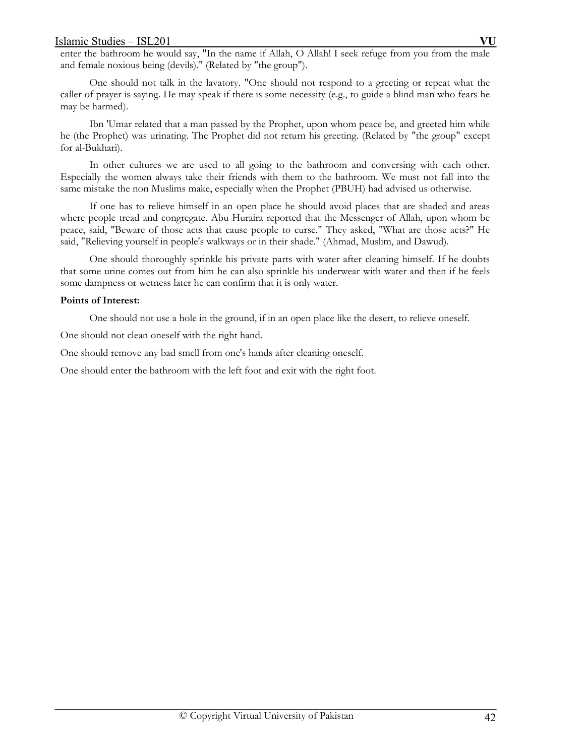enter the bathroom he would say, "In the name if Allah, O Allah! I seek refuge from you from the male and female noxious being (devils)." (Related by "the group").

 One should not talk in the lavatory. "One should not respond to a greeting or repeat what the caller of prayer is saying. He may speak if there is some necessity (e.g., to guide a blind man who fears he may be harmed).

 Ibn 'Umar related that a man passed by the Prophet, upon whom peace be, and greeted him while he (the Prophet) was urinating. The Prophet did not return his greeting. (Related by "the group" except for al-Bukhari).

 In other cultures we are used to all going to the bathroom and conversing with each other. Especially the women always take their friends with them to the bathroom. We must not fall into the same mistake the non Muslims make, especially when the Prophet (PBUH) had advised us otherwise.

 If one has to relieve himself in an open place he should avoid places that are shaded and areas where people tread and congregate. Abu Huraira reported that the Messenger of Allah, upon whom be peace, said, "Beware of those acts that cause people to curse." They asked, "What are those acts?" He said, "Relieving yourself in people's walkways or in their shade." (Ahmad, Muslim, and Dawud).

 One should thoroughly sprinkle his private parts with water after cleaning himself. If he doubts that some urine comes out from him he can also sprinkle his underwear with water and then if he feels some dampness or wetness later he can confirm that it is only water.

### **Points of Interest:**

One should not use a hole in the ground, if in an open place like the desert, to relieve oneself.

One should not clean oneself with the right hand.

One should remove any bad smell from one's hands after cleaning oneself.

One should enter the bathroom with the left foot and exit with the right foot.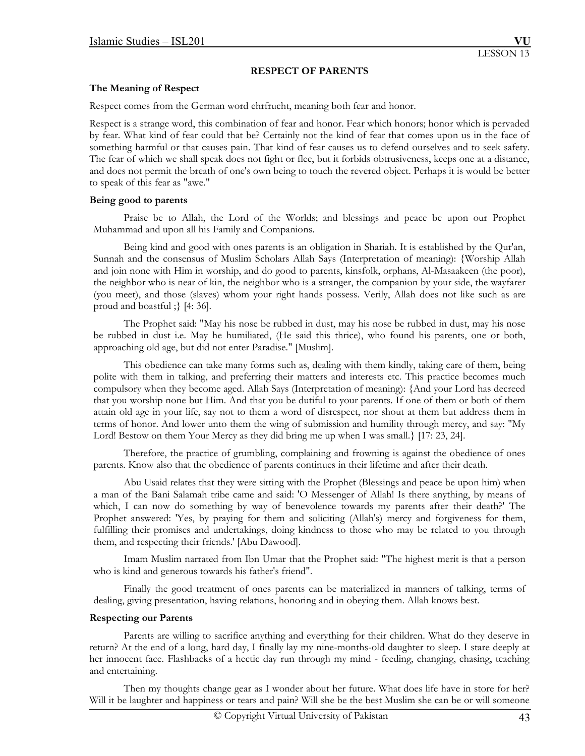### **RESPECT OF PARENTS**

### **The Meaning of Respect**

Respect comes from the German word ehrfrucht, meaning both fear and honor.

Respect is a strange word, this combination of fear and honor. Fear which honors; honor which is pervaded by fear. What kind of fear could that be? Certainly not the kind of fear that comes upon us in the face of something harmful or that causes pain. That kind of fear causes us to defend ourselves and to seek safety. The fear of which we shall speak does not fight or flee, but it forbids obtrusiveness, keeps one at a distance, and does not permit the breath of one's own being to touch the revered object. Perhaps it is would be better to speak of this fear as "awe."

### **Being good to parents**

 Praise be to Allah, the Lord of the Worlds; and blessings and peace be upon our Prophet Muhammad and upon all his Family and Companions.

 Being kind and good with ones parents is an obligation in Shariah. It is established by the Qur'an, Sunnah and the consensus of Muslim Scholars Allah Says (Interpretation of meaning): {Worship Allah and join none with Him in worship, and do good to parents, kinsfolk, orphans, Al-Masaakeen (the poor), the neighbor who is near of kin, the neighbor who is a stranger, the companion by your side, the wayfarer (you meet), and those (slaves) whom your right hands possess. Verily, Allah does not like such as are proud and boastful ;} [4: 36].

 The Prophet said: "May his nose be rubbed in dust, may his nose be rubbed in dust, may his nose be rubbed in dust i.e. May he humiliated, (He said this thrice), who found his parents, one or both, approaching old age, but did not enter Paradise." [Muslim].

 This obedience can take many forms such as, dealing with them kindly, taking care of them, being polite with them in talking, and preferring their matters and interests etc. This practice becomes much compulsory when they become aged. Allah Says (Interpretation of meaning): {And your Lord has decreed that you worship none but Him. And that you be dutiful to your parents. If one of them or both of them attain old age in your life, say not to them a word of disrespect, nor shout at them but address them in terms of honor. And lower unto them the wing of submission and humility through mercy, and say: "My Lord! Bestow on them Your Mercy as they did bring me up when I was small.} [17: 23, 24].

 Therefore, the practice of grumbling, complaining and frowning is against the obedience of ones parents. Know also that the obedience of parents continues in their lifetime and after their death.

 Abu Usaid relates that they were sitting with the Prophet (Blessings and peace be upon him) when a man of the Bani Salamah tribe came and said: 'O Messenger of Allah! Is there anything, by means of which, I can now do something by way of benevolence towards my parents after their death?' The Prophet answered: 'Yes, by praying for them and soliciting (Allah's) mercy and forgiveness for them, fulfilling their promises and undertakings, doing kindness to those who may be related to you through them, and respecting their friends.' [Abu Dawood].

 Imam Muslim narrated from Ibn Umar that the Prophet said: "The highest merit is that a person who is kind and generous towards his father's friend".

 Finally the good treatment of ones parents can be materialized in manners of talking, terms of dealing, giving presentation, having relations, honoring and in obeying them. Allah knows best.

## **Respecting our Parents**

Parents are willing to sacrifice anything and everything for their children. What do they deserve in return? At the end of a long, hard day, I finally lay my nine-months-old daughter to sleep. I stare deeply at her innocent face. Flashbacks of a hectic day run through my mind - feeding, changing, chasing, teaching and entertaining.

 Then my thoughts change gear as I wonder about her future. What does life have in store for her? Will it be laughter and happiness or tears and pain? Will she be the best Muslim she can be or will someone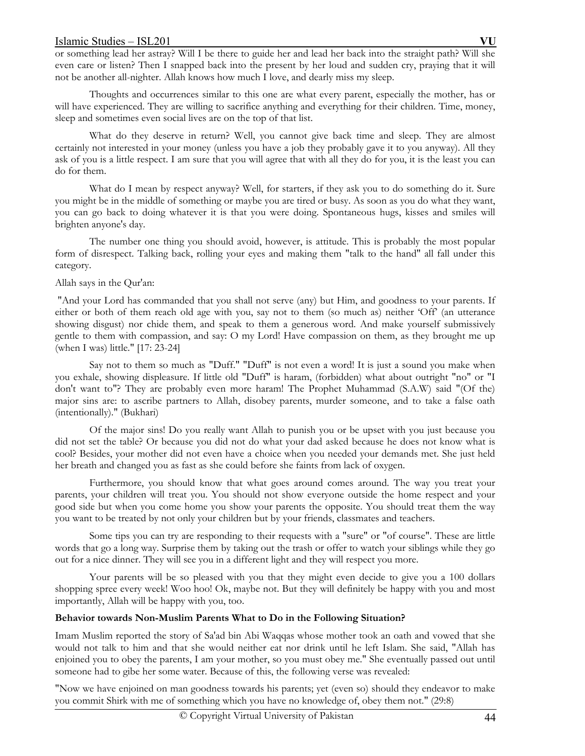or something lead her astray? Will I be there to guide her and lead her back into the straight path? Will she even care or listen? Then I snapped back into the present by her loud and sudden cry, praying that it will not be another all-nighter. Allah knows how much I love, and dearly miss my sleep.

 Thoughts and occurrences similar to this one are what every parent, especially the mother, has or will have experienced. They are willing to sacrifice anything and everything for their children. Time, money, sleep and sometimes even social lives are on the top of that list.

 What do they deserve in return? Well, you cannot give back time and sleep. They are almost certainly not interested in your money (unless you have a job they probably gave it to you anyway). All they ask of you is a little respect. I am sure that you will agree that with all they do for you, it is the least you can do for them.

 What do I mean by respect anyway? Well, for starters, if they ask you to do something do it. Sure you might be in the middle of something or maybe you are tired or busy. As soon as you do what they want, you can go back to doing whatever it is that you were doing. Spontaneous hugs, kisses and smiles will brighten anyone's day.

 The number one thing you should avoid, however, is attitude. This is probably the most popular form of disrespect. Talking back, rolling your eyes and making them "talk to the hand" all fall under this category.

# Allah says in the Qur'an:

 "And your Lord has commanded that you shall not serve (any) but Him, and goodness to your parents. If either or both of them reach old age with you, say not to them (so much as) neither 'Off' (an utterance showing disgust) nor chide them, and speak to them a generous word. And make yourself submissively gentle to them with compassion, and say: O my Lord! Have compassion on them, as they brought me up (when I was) little." [17: 23-24]

Say not to them so much as "Duff." "Duff" is not even a word! It is just a sound you make when you exhale, showing displeasure. If little old "Duff" is haram, (forbidden) what about outright "no" or "I don't want to"? They are probably even more haram! The Prophet Muhammad (S.A.W) said "(Of the) major sins are: to ascribe partners to Allah, disobey parents, murder someone, and to take a false oath (intentionally)." (Bukhari)

 Of the major sins! Do you really want Allah to punish you or be upset with you just because you did not set the table? Or because you did not do what your dad asked because he does not know what is cool? Besides, your mother did not even have a choice when you needed your demands met. She just held her breath and changed you as fast as she could before she faints from lack of oxygen.

 Furthermore, you should know that what goes around comes around. The way you treat your parents, your children will treat you. You should not show everyone outside the home respect and your good side but when you come home you show your parents the opposite. You should treat them the way you want to be treated by not only your children but by your friends, classmates and teachers.

 Some tips you can try are responding to their requests with a "sure" or "of course". These are little words that go a long way. Surprise them by taking out the trash or offer to watch your siblings while they go out for a nice dinner. They will see you in a different light and they will respect you more.

 Your parents will be so pleased with you that they might even decide to give you a 100 dollars shopping spree every week! Woo hoo! Ok, maybe not. But they will definitely be happy with you and most importantly, Allah will be happy with you, too.

## **Behavior towards Non-Muslim Parents What to Do in the Following Situation?**

Imam Muslim reported the story of Sa'ad bin Abi Waqqas whose mother took an oath and vowed that she would not talk to him and that she would neither eat nor drink until he left Islam. She said, "Allah has enjoined you to obey the parents, I am your mother, so you must obey me." She eventually passed out until someone had to gibe her some water. Because of this, the following verse was revealed:

"Now we have enjoined on man goodness towards his parents; yet (even so) should they endeavor to make you commit Shirk with me of something which you have no knowledge of, obey them not." (29:8)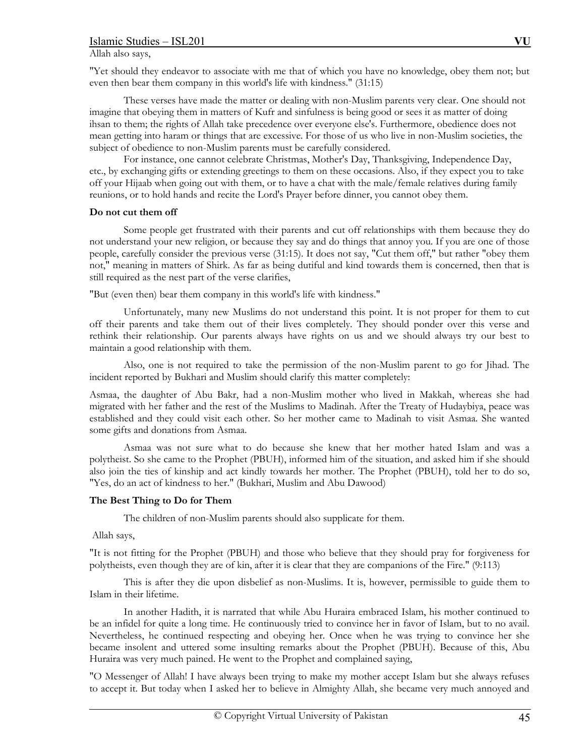Allah also says,

"Yet should they endeavor to associate with me that of which you have no knowledge, obey them not; but even then bear them company in this world's life with kindness." (31:15)

 These verses have made the matter or dealing with non-Muslim parents very clear. One should not imagine that obeying them in matters of Kufr and sinfulness is being good or sees it as matter of doing ihsan to them; the rights of Allah take precedence over everyone else's. Furthermore, obedience does not mean getting into haram or things that are excessive. For those of us who live in non-Muslim societies, the subject of obedience to non-Muslim parents must be carefully considered.

 For instance, one cannot celebrate Christmas, Mother's Day, Thanksgiving, Independence Day, etc., by exchanging gifts or extending greetings to them on these occasions. Also, if they expect you to take off your Hijaab when going out with them, or to have a chat with the male/female relatives during family reunions, or to hold hands and recite the Lord's Prayer before dinner, you cannot obey them.

# **Do not cut them off**

 Some people get frustrated with their parents and cut off relationships with them because they do not understand your new religion, or because they say and do things that annoy you. If you are one of those people, carefully consider the previous verse (31:15). It does not say, "Cut them off," but rather "obey them not," meaning in matters of Shirk. As far as being dutiful and kind towards them is concerned, then that is still required as the nest part of the verse clarifies,

"But (even then) bear them company in this world's life with kindness."

 Unfortunately, many new Muslims do not understand this point. It is not proper for them to cut off their parents and take them out of their lives completely. They should ponder over this verse and rethink their relationship. Our parents always have rights on us and we should always try our best to maintain a good relationship with them.

 Also, one is not required to take the permission of the non-Muslim parent to go for Jihad. The incident reported by Bukhari and Muslim should clarify this matter completely:

Asmaa, the daughter of Abu Bakr, had a non-Muslim mother who lived in Makkah, whereas she had migrated with her father and the rest of the Muslims to Madinah. After the Treaty of Hudaybiya, peace was established and they could visit each other. So her mother came to Madinah to visit Asmaa. She wanted some gifts and donations from Asmaa.

 Asmaa was not sure what to do because she knew that her mother hated Islam and was a polytheist. So she came to the Prophet (PBUH), informed him of the situation, and asked him if she should also join the ties of kinship and act kindly towards her mother. The Prophet (PBUH), told her to do so, "Yes, do an act of kindness to her." (Bukhari, Muslim and Abu Dawood)

# **The Best Thing to Do for Them**

The children of non-Muslim parents should also supplicate for them.

Allah says,

"It is not fitting for the Prophet (PBUH) and those who believe that they should pray for forgiveness for polytheists, even though they are of kin, after it is clear that they are companions of the Fire." (9:113)

 This is after they die upon disbelief as non-Muslims. It is, however, permissible to guide them to Islam in their lifetime.

 In another Hadith, it is narrated that while Abu Huraira embraced Islam, his mother continued to be an infidel for quite a long time. He continuously tried to convince her in favor of Islam, but to no avail. Nevertheless, he continued respecting and obeying her. Once when he was trying to convince her she became insolent and uttered some insulting remarks about the Prophet (PBUH). Because of this, Abu Huraira was very much pained. He went to the Prophet and complained saying,

"O Messenger of Allah! I have always been trying to make my mother accept Islam but she always refuses to accept it. But today when I asked her to believe in Almighty Allah, she became very much annoyed and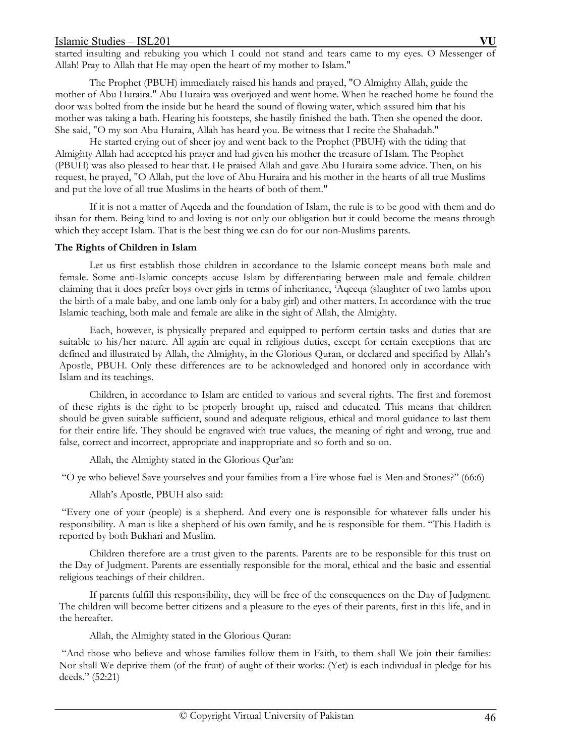started insulting and rebuking you which I could not stand and tears came to my eyes. O Messenger of Allah! Pray to Allah that He may open the heart of my mother to Islam."

 The Prophet (PBUH) immediately raised his hands and prayed, "O Almighty Allah, guide the mother of Abu Huraira." Abu Huraira was overjoyed and went home. When he reached home he found the door was bolted from the inside but he heard the sound of flowing water, which assured him that his mother was taking a bath. Hearing his footsteps, she hastily finished the bath. Then she opened the door. She said, "O my son Abu Huraira, Allah has heard you. Be witness that I recite the Shahadah."

 He started crying out of sheer joy and went back to the Prophet (PBUH) with the tiding that Almighty Allah had accepted his prayer and had given his mother the treasure of Islam. The Prophet (PBUH) was also pleased to hear that. He praised Allah and gave Abu Huraira some advice. Then, on his request, he prayed, "O Allah, put the love of Abu Huraira and his mother in the hearts of all true Muslims and put the love of all true Muslims in the hearts of both of them."

 If it is not a matter of Aqeeda and the foundation of Islam, the rule is to be good with them and do ihsan for them. Being kind to and loving is not only our obligation but it could become the means through which they accept Islam. That is the best thing we can do for our non-Muslims parents.

### **The Rights of Children in Islam**

 Let us first establish those children in accordance to the Islamic concept means both male and female. Some anti-Islamic concepts accuse Islam by differentiating between male and female children claiming that it does prefer boys over girls in terms of inheritance, 'Aqeeqa (slaughter of two lambs upon the birth of a male baby, and one lamb only for a baby girl) and other matters. In accordance with the true Islamic teaching, both male and female are alike in the sight of Allah, the Almighty.

 Each, however, is physically prepared and equipped to perform certain tasks and duties that are suitable to his/her nature. All again are equal in religious duties, except for certain exceptions that are defined and illustrated by Allah, the Almighty, in the Glorious Quran, or declared and specified by Allah's Apostle, PBUH. Only these differences are to be acknowledged and honored only in accordance with Islam and its teachings.

 Children, in accordance to Islam are entitled to various and several rights. The first and foremost of these rights is the right to be properly brought up, raised and educated. This means that children should be given suitable sufficient, sound and adequate religious, ethical and moral guidance to last them for their entire life. They should be engraved with true values, the meaning of right and wrong, true and false, correct and incorrect, appropriate and inappropriate and so forth and so on.

Allah, the Almighty stated in the Glorious Qur'an:

"O ye who believe! Save yourselves and your families from a Fire whose fuel is Men and Stones?" (66:6)

Allah's Apostle, PBUH also said:

 "Every one of your (people) is a shepherd. And every one is responsible for whatever falls under his responsibility. A man is like a shepherd of his own family, and he is responsible for them. "This Hadith is reported by both Bukhari and Muslim.

 Children therefore are a trust given to the parents. Parents are to be responsible for this trust on the Day of Judgment. Parents are essentially responsible for the moral, ethical and the basic and essential religious teachings of their children.

 If parents fulfill this responsibility, they will be free of the consequences on the Day of Judgment. The children will become better citizens and a pleasure to the eyes of their parents, first in this life, and in the hereafter.

Allah, the Almighty stated in the Glorious Quran:

 "And those who believe and whose families follow them in Faith, to them shall We join their families: Nor shall We deprive them (of the fruit) of aught of their works: (Yet) is each individual in pledge for his deeds." (52:21)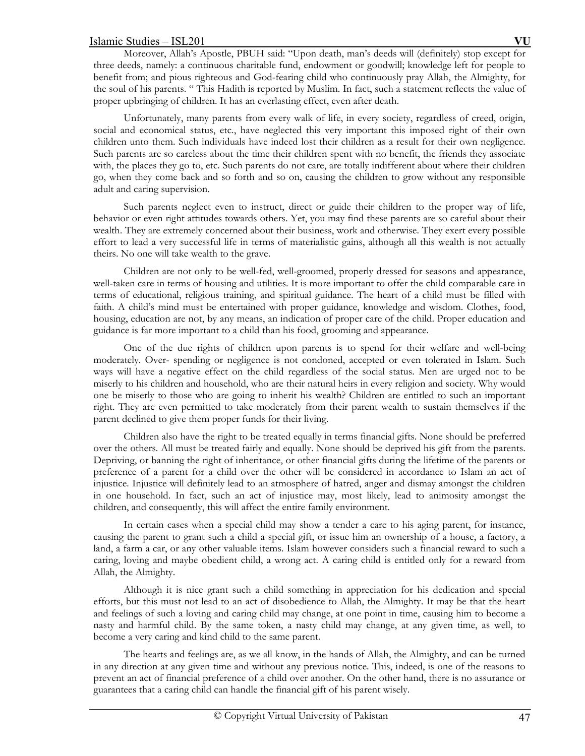Moreover, Allah's Apostle, PBUH said: "Upon death, man's deeds will (definitely) stop except for three deeds, namely: a continuous charitable fund, endowment or goodwill; knowledge left for people to benefit from; and pious righteous and God-fearing child who continuously pray Allah, the Almighty, for the soul of his parents. " This Hadith is reported by Muslim. In fact, such a statement reflects the value of proper upbringing of children. It has an everlasting effect, even after death.

 Unfortunately, many parents from every walk of life, in every society, regardless of creed, origin, social and economical status, etc., have neglected this very important this imposed right of their own children unto them. Such individuals have indeed lost their children as a result for their own negligence. Such parents are so careless about the time their children spent with no benefit, the friends they associate with, the places they go to, etc. Such parents do not care, are totally indifferent about where their children go, when they come back and so forth and so on, causing the children to grow without any responsible adult and caring supervision.

 Such parents neglect even to instruct, direct or guide their children to the proper way of life, behavior or even right attitudes towards others. Yet, you may find these parents are so careful about their wealth. They are extremely concerned about their business, work and otherwise. They exert every possible effort to lead a very successful life in terms of materialistic gains, although all this wealth is not actually theirs. No one will take wealth to the grave.

 Children are not only to be well-fed, well-groomed, properly dressed for seasons and appearance, well-taken care in terms of housing and utilities. It is more important to offer the child comparable care in terms of educational, religious training, and spiritual guidance. The heart of a child must be filled with faith. A child's mind must be entertained with proper guidance, knowledge and wisdom. Clothes, food, housing, education are not, by any means, an indication of proper care of the child. Proper education and guidance is far more important to a child than his food, grooming and appearance.

 One of the due rights of children upon parents is to spend for their welfare and well-being moderately. Over- spending or negligence is not condoned, accepted or even tolerated in Islam. Such ways will have a negative effect on the child regardless of the social status. Men are urged not to be miserly to his children and household, who are their natural heirs in every religion and society. Why would one be miserly to those who are going to inherit his wealth? Children are entitled to such an important right. They are even permitted to take moderately from their parent wealth to sustain themselves if the parent declined to give them proper funds for their living.

 Children also have the right to be treated equally in terms financial gifts. None should be preferred over the others. All must be treated fairly and equally. None should be deprived his gift from the parents. Depriving, or banning the right of inheritance, or other financial gifts during the lifetime of the parents or preference of a parent for a child over the other will be considered in accordance to Islam an act of injustice. Injustice will definitely lead to an atmosphere of hatred, anger and dismay amongst the children in one household. In fact, such an act of injustice may, most likely, lead to animosity amongst the children, and consequently, this will affect the entire family environment.

 In certain cases when a special child may show a tender a care to his aging parent, for instance, causing the parent to grant such a child a special gift, or issue him an ownership of a house, a factory, a land, a farm a car, or any other valuable items. Islam however considers such a financial reward to such a caring, loving and maybe obedient child, a wrong act. A caring child is entitled only for a reward from Allah, the Almighty.

 Although it is nice grant such a child something in appreciation for his dedication and special efforts, but this must not lead to an act of disobedience to Allah, the Almighty. It may be that the heart and feelings of such a loving and caring child may change, at one point in time, causing him to become a nasty and harmful child. By the same token, a nasty child may change, at any given time, as well, to become a very caring and kind child to the same parent.

 The hearts and feelings are, as we all know, in the hands of Allah, the Almighty, and can be turned in any direction at any given time and without any previous notice. This, indeed, is one of the reasons to prevent an act of financial preference of a child over another. On the other hand, there is no assurance or guarantees that a caring child can handle the financial gift of his parent wisely.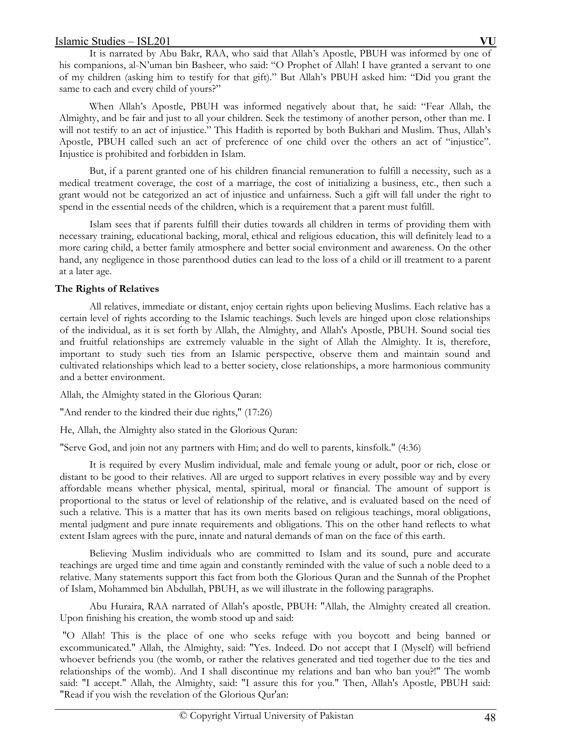It is narrated by Abu Bakr, RAA, who said that Allah's Apostle, PBUH was informed by one of his companions, al-N'uman bin Basheer, who said: "O Prophet of Allah! I have granted a servant to one of my children (asking him to testify for that gift)." But Allah's PBUH asked him: "Did you grant the same to each and every child of yours?"

 When Allah's Apostle, PBUH was informed negatively about that, he said: "Fear Allah, the Almighty, and be fair and just to all your children. Seek the testimony of another person, other than me. I will not testify to an act of injustice." This Hadith is reported by both Bukhari and Muslim. Thus, Allah's Apostle, PBUH called such an act of preference of one child over the others an act of "injustice". Injustice is prohibited and forbidden in Islam.

 But, if a parent granted one of his children financial remuneration to fulfill a necessity, such as a medical treatment coverage, the cost of a marriage, the cost of initializing a business, etc., then such a grant would not be categorized an act of injustice and unfairness. Such a gift will fall under the right to spend in the essential needs of the children, which is a requirement that a parent must fulfill.

 Islam sees that if parents fulfill their duties towards all children in terms of providing them with necessary training, educational backing, moral, ethical and religious education, this will definitely lead to a more caring child, a better family atmosphere and better social environment and awareness. On the other hand, any negligence in those parenthood duties can lead to the loss of a child or ill treatment to a parent at a later age.

# **The Rights of Relatives**

 All relatives, immediate or distant, enjoy certain rights upon believing Muslims. Each relative has a certain level of rights according to the Islamic teachings. Such levels are hinged upon close relationships of the individual, as it is set forth by Allah, the Almighty, and Allah's Apostle, PBUH. Sound social ties and fruitful relationships are extremely valuable in the sight of Allah the Almighty. It is, therefore, important to study such ties from an Islamic perspective, observe them and maintain sound and cultivated relationships which lead to a better society, close relationships, a more harmonious community and a better environment.

Allah, the Almighty stated in the Glorious Quran:

"And render to the kindred their due rights," (17:26)

He, Allah, the Almighty also stated in the Glorious Quran:

"Serve God, and join not any partners with Him; and do well to parents, kinsfolk." (4:36)

 It is required by every Muslim individual, male and female young or adult, poor or rich, close or distant to be good to their relatives. All are urged to support relatives in every possible way and by every affordable means whether physical, mental, spiritual, moral or financial. The amount of support is proportional to the status or level of relationship of the relative, and is evaluated based on the need of such a relative. This is a matter that has its own merits based on religious teachings, moral obligations, mental judgment and pure innate requirements and obligations. This on the other hand reflects to what extent Islam agrees with the pure, innate and natural demands of man on the face of this earth.

 Believing Muslim individuals who are committed to Islam and its sound, pure and accurate teachings are urged time and time again and constantly reminded with the value of such a noble deed to a relative. Many statements support this fact from both the Glorious Quran and the Sunnah of the Prophet of Islam, Mohammed bin Abdullah, PBUH, as we will illustrate in the following paragraphs.

 Abu Huraira, RAA narrated of Allah's apostle, PBUH: "Allah, the Almighty created all creation. Upon finishing his creation, the womb stood up and said:

 "O Allah! This is the place of one who seeks refuge with you boycott and being banned or excommunicated." Allah, the Almighty, said: "Yes. Indeed. Do not accept that I (Myself) will befriend whoever befriends you (the womb, or rather the relatives generated and tied together due to the ties and relationships of the womb). And I shall discontinue my relations and ban who ban you?!" The womb said: "I accept." Allah, the Almighty, said: "I assure this for you." Then, Allah's Apostle, PBUH said: "Read if you wish the revelation of the Glorious Qur'an: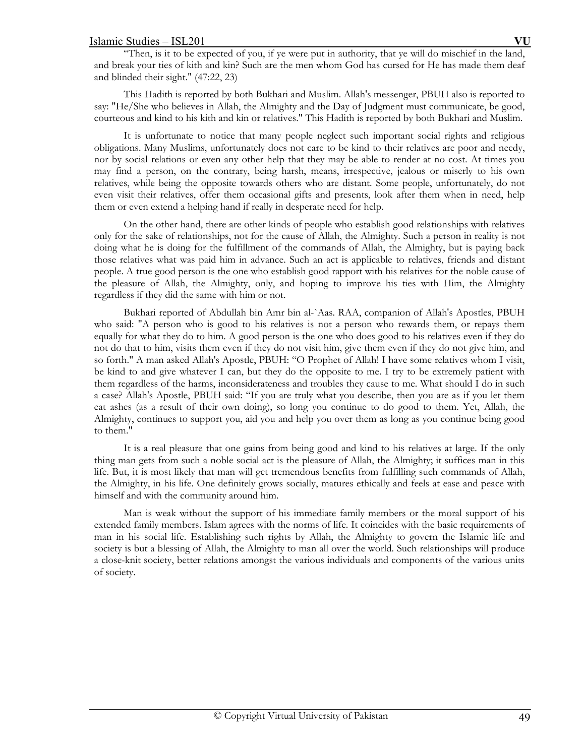"Then, is it to be expected of you, if ye were put in authority, that ye will do mischief in the land, and break your ties of kith and kin? Such are the men whom God has cursed for He has made them deaf and blinded their sight." (47:22, 23)

 This Hadith is reported by both Bukhari and Muslim. Allah's messenger, PBUH also is reported to say: "He/She who believes in Allah, the Almighty and the Day of Judgment must communicate, be good, courteous and kind to his kith and kin or relatives." This Hadith is reported by both Bukhari and Muslim.

 It is unfortunate to notice that many people neglect such important social rights and religious obligations. Many Muslims, unfortunately does not care to be kind to their relatives are poor and needy, nor by social relations or even any other help that they may be able to render at no cost. At times you may find a person, on the contrary, being harsh, means, irrespective, jealous or miserly to his own relatives, while being the opposite towards others who are distant. Some people, unfortunately, do not even visit their relatives, offer them occasional gifts and presents, look after them when in need, help them or even extend a helping hand if really in desperate need for help.

 On the other hand, there are other kinds of people who establish good relationships with relatives only for the sake of relationships, not for the cause of Allah, the Almighty. Such a person in reality is not doing what he is doing for the fulfillment of the commands of Allah, the Almighty, but is paying back those relatives what was paid him in advance. Such an act is applicable to relatives, friends and distant people. A true good person is the one who establish good rapport with his relatives for the noble cause of the pleasure of Allah, the Almighty, only, and hoping to improve his ties with Him, the Almighty regardless if they did the same with him or not.

 Bukhari reported of Abdullah bin Amr bin al-`Aas. RAA, companion of Allah's Apostles, PBUH who said: "A person who is good to his relatives is not a person who rewards them, or repays them equally for what they do to him. A good person is the one who does good to his relatives even if they do not do that to him, visits them even if they do not visit him, give them even if they do not give him, and so forth." A man asked Allah's Apostle, PBUH: "O Prophet of Allah! I have some relatives whom I visit, be kind to and give whatever I can, but they do the opposite to me. I try to be extremely patient with them regardless of the harms, inconsiderateness and troubles they cause to me. What should I do in such a case? Allah's Apostle, PBUH said: "If you are truly what you describe, then you are as if you let them eat ashes (as a result of their own doing), so long you continue to do good to them. Yet, Allah, the Almighty, continues to support you, aid you and help you over them as long as you continue being good to them."

 It is a real pleasure that one gains from being good and kind to his relatives at large. If the only thing man gets from such a noble social act is the pleasure of Allah, the Almighty; it suffices man in this life. But, it is most likely that man will get tremendous benefits from fulfilling such commands of Allah, the Almighty, in his life. One definitely grows socially, matures ethically and feels at ease and peace with himself and with the community around him.

 Man is weak without the support of his immediate family members or the moral support of his extended family members. Islam agrees with the norms of life. It coincides with the basic requirements of man in his social life. Establishing such rights by Allah, the Almighty to govern the Islamic life and society is but a blessing of Allah, the Almighty to man all over the world. Such relationships will produce a close-knit society, better relations amongst the various individuals and components of the various units of society.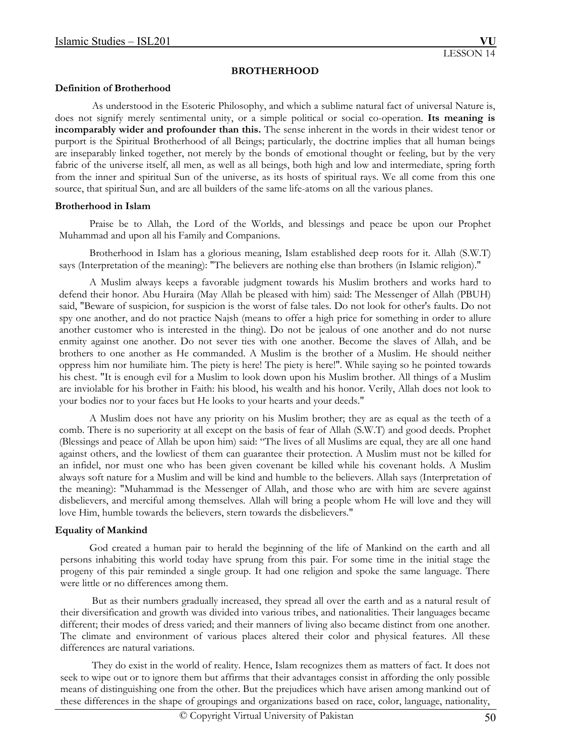### **BROTHERHOOD**

### **Definition of Brotherhood**

 As understood in the Esoteric Philosophy, and which a sublime natural fact of universal Nature is, does not signify merely sentimental unity, or a simple political or social co-operation. **Its meaning is incomparably wider and profounder than this.** The sense inherent in the words in their widest tenor or purport is the Spiritual Brotherhood of all Beings; particularly, the doctrine implies that all human beings are inseparably linked together, not merely by the bonds of emotional thought or feeling, but by the very fabric of the universe itself, all men, as well as all beings, both high and low and intermediate, spring forth from the inner and spiritual Sun of the universe, as its hosts of spiritual rays. We all come from this one source, that spiritual Sun, and are all builders of the same life-atoms on all the various planes.

### **Brotherhood in Islam**

 Praise be to Allah, the Lord of the Worlds, and blessings and peace be upon our Prophet Muhammad and upon all his Family and Companions.

 Brotherhood in Islam has a glorious meaning, Islam established deep roots for it. Allah (S.W.T) says (Interpretation of the meaning): "The believers are nothing else than brothers (in Islamic religion)."

 A Muslim always keeps a favorable judgment towards his Muslim brothers and works hard to defend their honor. Abu Huraira (May Allah be pleased with him) said: The Messenger of Allah (PBUH) said, "Beware of suspicion, for suspicion is the worst of false tales. Do not look for other's faults. Do not spy one another, and do not practice Najsh (means to offer a high price for something in order to allure another customer who is interested in the thing). Do not be jealous of one another and do not nurse enmity against one another. Do not sever ties with one another. Become the slaves of Allah, and be brothers to one another as He commanded. A Muslim is the brother of a Muslim. He should neither oppress him nor humiliate him. The piety is here! The piety is here!". While saying so he pointed towards his chest. "It is enough evil for a Muslim to look down upon his Muslim brother. All things of a Muslim are inviolable for his brother in Faith: his blood, his wealth and his honor. Verily, Allah does not look to your bodies nor to your faces but He looks to your hearts and your deeds."

 A Muslim does not have any priority on his Muslim brother; they are as equal as the teeth of a comb. There is no superiority at all except on the basis of fear of Allah (S.W.T) and good deeds. Prophet (Blessings and peace of Allah be upon him) said: "The lives of all Muslims are equal, they are all one hand against others, and the lowliest of them can guarantee their protection. A Muslim must not be killed for an infidel, nor must one who has been given covenant be killed while his covenant holds. A Muslim always soft nature for a Muslim and will be kind and humble to the believers. Allah says (Interpretation of the meaning): "Muhammad is the Messenger of Allah, and those who are with him are severe against disbelievers, and merciful among themselves. Allah will bring a people whom He will love and they will love Him, humble towards the believers, stern towards the disbelievers."

## **Equality of Mankind**

 God created a human pair to herald the beginning of the life of Mankind on the earth and all persons inhabiting this world today have sprung from this pair. For some time in the initial stage the progeny of this pair reminded a single group. It had one religion and spoke the same language. There were little or no differences among them.

 But as their numbers gradually increased, they spread all over the earth and as a natural result of their diversification and growth was divided into various tribes, and nationalities. Their languages became different; their modes of dress varied; and their manners of living also became distinct from one another. The climate and environment of various places altered their color and physical features. All these differences are natural variations.

 They do exist in the world of reality. Hence, Islam recognizes them as matters of fact. It does not seek to wipe out or to ignore them but affirms that their advantages consist in affording the only possible means of distinguishing one from the other. But the prejudices which have arisen among mankind out of these differences in the shape of groupings and organizations based on race, color, language, nationality,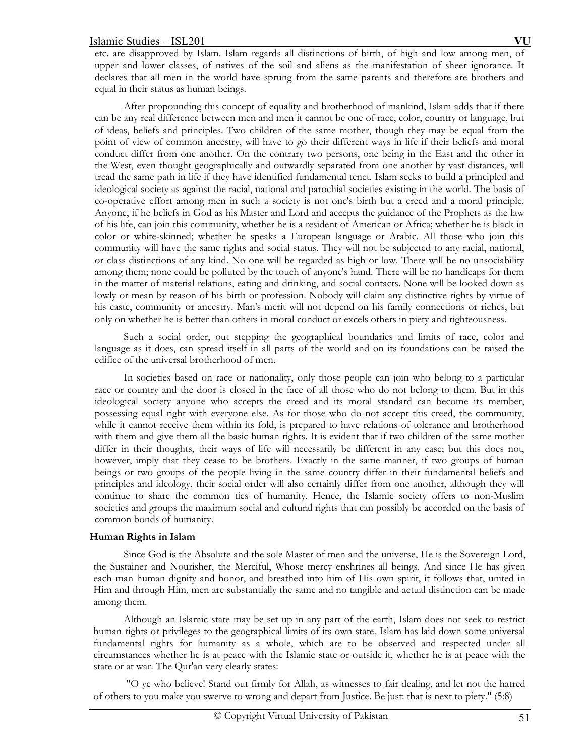etc. are disapproved by Islam. Islam regards all distinctions of birth, of high and low among men, of upper and lower classes, of natives of the soil and aliens as the manifestation of sheer ignorance. It declares that all men in the world have sprung from the same parents and therefore are brothers and equal in their status as human beings.

 After propounding this concept of equality and brotherhood of mankind, Islam adds that if there can be any real difference between men and men it cannot be one of race, color, country or language, but of ideas, beliefs and principles. Two children of the same mother, though they may be equal from the point of view of common ancestry, will have to go their different ways in life if their beliefs and moral conduct differ from one another. On the contrary two persons, one being in the East and the other in the West, even thought geographically and outwardly separated from one another by vast distances, will tread the same path in life if they have identified fundamental tenet. Islam seeks to build a principled and ideological society as against the racial, national and parochial societies existing in the world. The basis of co-operative effort among men in such a society is not one's birth but a creed and a moral principle. Anyone, if he beliefs in God as his Master and Lord and accepts the guidance of the Prophets as the law of his life, can join this community, whether he is a resident of American or Africa; whether he is black in color or white-skinned; whether he speaks a European language or Arabic. All those who join this community will have the same rights and social status. They will not be subjected to any racial, national, or class distinctions of any kind. No one will be regarded as high or low. There will be no unsociability among them; none could be polluted by the touch of anyone's hand. There will be no handicaps for them in the matter of material relations, eating and drinking, and social contacts. None will be looked down as lowly or mean by reason of his birth or profession. Nobody will claim any distinctive rights by virtue of his caste, community or ancestry. Man's merit will not depend on his family connections or riches, but only on whether he is better than others in moral conduct or excels others in piety and righteousness.

 Such a social order, out stepping the geographical boundaries and limits of race, color and language as it does, can spread itself in all parts of the world and on its foundations can be raised the edifice of the universal brotherhood of men.

 In societies based on race or nationality, only those people can join who belong to a particular race or country and the door is closed in the face of all those who do not belong to them. But in this ideological society anyone who accepts the creed and its moral standard can become its member, possessing equal right with everyone else. As for those who do not accept this creed, the community, while it cannot receive them within its fold, is prepared to have relations of tolerance and brotherhood with them and give them all the basic human rights. It is evident that if two children of the same mother differ in their thoughts, their ways of life will necessarily be different in any case; but this does not, however, imply that they cease to be brothers. Exactly in the same manner, if two groups of human beings or two groups of the people living in the same country differ in their fundamental beliefs and principles and ideology, their social order will also certainly differ from one another, although they will continue to share the common ties of humanity. Hence, the Islamic society offers to non-Muslim societies and groups the maximum social and cultural rights that can possibly be accorded on the basis of common bonds of humanity.

## **Human Rights in Islam**

 Since God is the Absolute and the sole Master of men and the universe, He is the Sovereign Lord, the Sustainer and Nourisher, the Merciful, Whose mercy enshrines all beings. And since He has given each man human dignity and honor, and breathed into him of His own spirit, it follows that, united in Him and through Him, men are substantially the same and no tangible and actual distinction can be made among them.

 Although an Islamic state may be set up in any part of the earth, Islam does not seek to restrict human rights or privileges to the geographical limits of its own state. Islam has laid down some universal fundamental rights for humanity as a whole, which are to be observed and respected under all circumstances whether he is at peace with the Islamic state or outside it, whether he is at peace with the state or at war. The Qur'an very clearly states:

 "O ye who believe! Stand out firmly for Allah, as witnesses to fair dealing, and let not the hatred of others to you make you swerve to wrong and depart from Justice. Be just: that is next to piety." (5:8)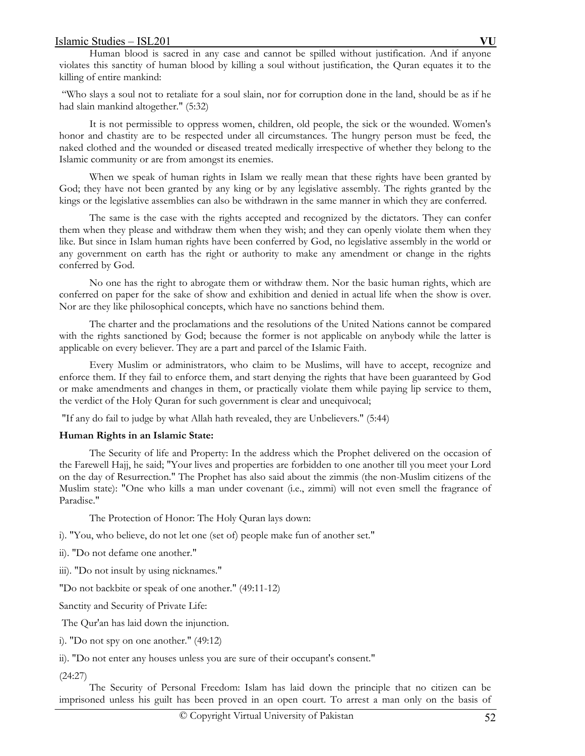Human blood is sacred in any case and cannot be spilled without justification. And if anyone violates this sanctity of human blood by killing a soul without justification, the Quran equates it to the killing of entire mankind:

 "Who slays a soul not to retaliate for a soul slain, nor for corruption done in the land, should be as if he had slain mankind altogether." (5:32)

 It is not permissible to oppress women, children, old people, the sick or the wounded. Women's honor and chastity are to be respected under all circumstances. The hungry person must be feed, the naked clothed and the wounded or diseased treated medically irrespective of whether they belong to the Islamic community or are from amongst its enemies.

 When we speak of human rights in Islam we really mean that these rights have been granted by God; they have not been granted by any king or by any legislative assembly. The rights granted by the kings or the legislative assemblies can also be withdrawn in the same manner in which they are conferred.

 The same is the case with the rights accepted and recognized by the dictators. They can confer them when they please and withdraw them when they wish; and they can openly violate them when they like. But since in Islam human rights have been conferred by God, no legislative assembly in the world or any government on earth has the right or authority to make any amendment or change in the rights conferred by God.

 No one has the right to abrogate them or withdraw them. Nor the basic human rights, which are conferred on paper for the sake of show and exhibition and denied in actual life when the show is over. Nor are they like philosophical concepts, which have no sanctions behind them.

 The charter and the proclamations and the resolutions of the United Nations cannot be compared with the rights sanctioned by God; because the former is not applicable on anybody while the latter is applicable on every believer. They are a part and parcel of the Islamic Faith.

 Every Muslim or administrators, who claim to be Muslims, will have to accept, recognize and enforce them. If they fail to enforce them, and start denying the rights that have been guaranteed by God or make amendments and changes in them, or practically violate them while paying lip service to them, the verdict of the Holy Quran for such government is clear and unequivocal;

"If any do fail to judge by what Allah hath revealed, they are Unbelievers." (5:44)

## **Human Rights in an Islamic State:**

 The Security of life and Property: In the address which the Prophet delivered on the occasion of the Farewell Hajj, he said; "Your lives and properties are forbidden to one another till you meet your Lord on the day of Resurrection." The Prophet has also said about the zimmis (the non-Muslim citizens of the Muslim state): "One who kills a man under covenant (i.e., zimmi) will not even smell the fragrance of Paradise."

The Protection of Honor: The Holy Quran lays down:

i). "You, who believe, do not let one (set of) people make fun of another set."

ii). "Do not defame one another."

iii). "Do not insult by using nicknames."

"Do not backbite or speak of one another." (49:11-12)

Sanctity and Security of Private Life:

The Qur'an has laid down the injunction.

i). "Do not spy on one another." (49:12)

ii). "Do not enter any houses unless you are sure of their occupant's consent."

# (24:27)

 The Security of Personal Freedom: Islam has laid down the principle that no citizen can be imprisoned unless his guilt has been proved in an open court. To arrest a man only on the basis of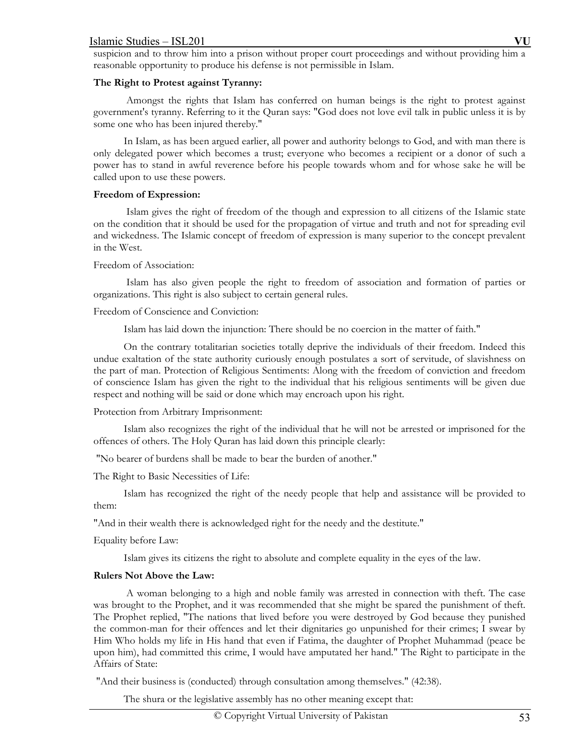suspicion and to throw him into a prison without proper court proceedings and without providing him a reasonable opportunity to produce his defense is not permissible in Islam.

## **The Right to Protest against Tyranny:**

 Amongst the rights that Islam has conferred on human beings is the right to protest against government's tyranny. Referring to it the Quran says: "God does not love evil talk in public unless it is by some one who has been injured thereby."

 In Islam, as has been argued earlier, all power and authority belongs to God, and with man there is only delegated power which becomes a trust; everyone who becomes a recipient or a donor of such a power has to stand in awful reverence before his people towards whom and for whose sake he will be called upon to use these powers.

## **Freedom of Expression:**

 Islam gives the right of freedom of the though and expression to all citizens of the Islamic state on the condition that it should be used for the propagation of virtue and truth and not for spreading evil and wickedness. The Islamic concept of freedom of expression is many superior to the concept prevalent in the West.

## Freedom of Association:

 Islam has also given people the right to freedom of association and formation of parties or organizations. This right is also subject to certain general rules.

# Freedom of Conscience and Conviction:

Islam has laid down the injunction: There should be no coercion in the matter of faith."

 On the contrary totalitarian societies totally deprive the individuals of their freedom. Indeed this undue exaltation of the state authority curiously enough postulates a sort of servitude, of slavishness on the part of man. Protection of Religious Sentiments: Along with the freedom of conviction and freedom of conscience Islam has given the right to the individual that his religious sentiments will be given due respect and nothing will be said or done which may encroach upon his right.

# Protection from Arbitrary Imprisonment:

 Islam also recognizes the right of the individual that he will not be arrested or imprisoned for the offences of others. The Holy Quran has laid down this principle clearly:

"No bearer of burdens shall be made to bear the burden of another."

The Right to Basic Necessities of Life:

 Islam has recognized the right of the needy people that help and assistance will be provided to them:

"And in their wealth there is acknowledged right for the needy and the destitute."

Equality before Law:

Islam gives its citizens the right to absolute and complete equality in the eyes of the law.

# **Rulers Not Above the Law:**

 A woman belonging to a high and noble family was arrested in connection with theft. The case was brought to the Prophet, and it was recommended that she might be spared the punishment of theft. The Prophet replied, "The nations that lived before you were destroyed by God because they punished the common-man for their offences and let their dignitaries go unpunished for their crimes; I swear by Him Who holds my life in His hand that even if Fatima, the daughter of Prophet Muhammad (peace be upon him), had committed this crime, I would have amputated her hand." The Right to participate in the Affairs of State:

"And their business is (conducted) through consultation among themselves." (42:38).

The shura or the legislative assembly has no other meaning except that: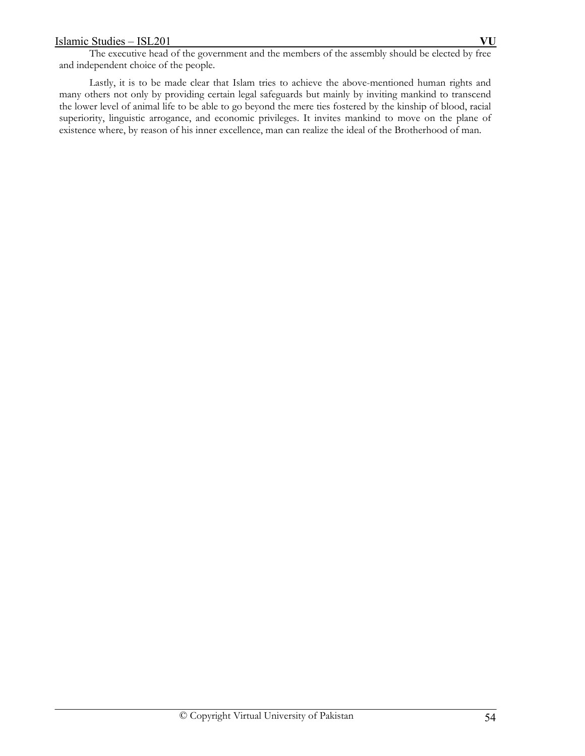The executive head of the government and the members of the assembly should be elected by free and independent choice of the people.

 Lastly, it is to be made clear that Islam tries to achieve the above-mentioned human rights and many others not only by providing certain legal safeguards but mainly by inviting mankind to transcend the lower level of animal life to be able to go beyond the mere ties fostered by the kinship of blood, racial superiority, linguistic arrogance, and economic privileges. It invites mankind to move on the plane of existence where, by reason of his inner excellence, man can realize the ideal of the Brotherhood of man.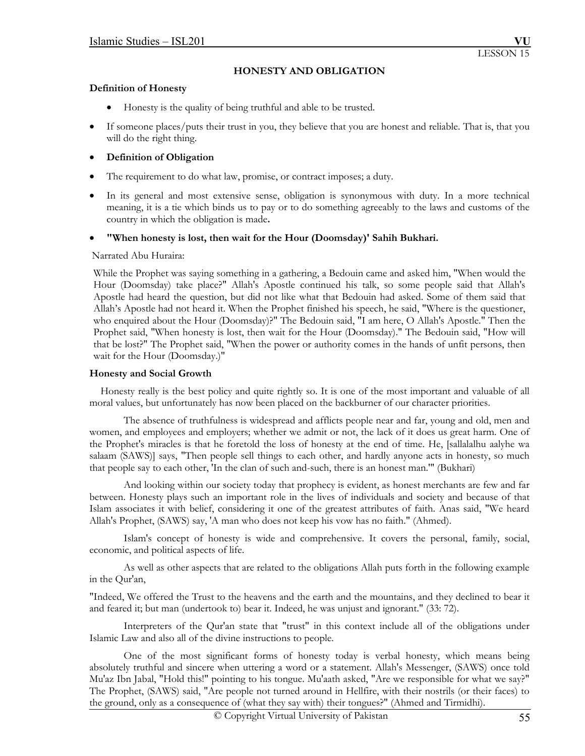# **HONESTY AND OBLIGATION**

### **Definition of Honesty**

- Honesty is the quality of being truthful and able to be trusted.
- If someone places/puts their trust in you, they believe that you are honest and reliable. That is, that you will do the right thing.

# **Definition of Obligation**

- The requirement to do what law, promise, or contract imposes; a duty.
- In its general and most extensive sense, obligation is synonymous with duty. In a more technical meaning, it is a tie which binds us to pay or to do something agreeably to the laws and customs of the country in which the obligation is made**.**

## **"When honesty is lost, then wait for the Hour (Doomsday)' Sahih Bukhari.**

### Narrated Abu Huraira:

While the Prophet was saying something in a gathering, a Bedouin came and asked him, "When would the Hour (Doomsday) take place?" Allah's Apostle continued his talk, so some people said that Allah's Apostle had heard the question, but did not like what that Bedouin had asked. Some of them said that Allah's Apostle had not heard it. When the Prophet finished his speech, he said, "Where is the questioner, who enquired about the Hour (Doomsday)?" The Bedouin said, "I am here, O Allah's Apostle." Then the Prophet said, "When honesty is lost, then wait for the Hour (Doomsday)." The Bedouin said, "How will that be lost?" The Prophet said, "When the power or authority comes in the hands of unfit persons, then wait for the Hour (Doomsday.)"

### **Honesty and Social Growth**

 Honesty really is the best policy and quite rightly so. It is one of the most important and valuable of all moral values, but unfortunately has now been placed on the backburner of our character priorities.

 The absence of truthfulness is widespread and afflicts people near and far, young and old, men and women, and employees and employers; whether we admit or not, the lack of it does us great harm. One of the Prophet's miracles is that he foretold the loss of honesty at the end of time. He, [sallalalhu aalyhe wa salaam (SAWS)] says, "Then people sell things to each other, and hardly anyone acts in honesty, so much that people say to each other, 'In the clan of such and-such, there is an honest man.'" (Bukhari)

 And looking within our society today that prophecy is evident, as honest merchants are few and far between. Honesty plays such an important role in the lives of individuals and society and because of that Islam associates it with belief, considering it one of the greatest attributes of faith. Anas said, "We heard Allah's Prophet, (SAWS) say, 'A man who does not keep his vow has no faith." (Ahmed).

 Islam's concept of honesty is wide and comprehensive. It covers the personal, family, social, economic, and political aspects of life.

As well as other aspects that are related to the obligations Allah puts forth in the following example in the Qur'an,

"Indeed, We offered the Trust to the heavens and the earth and the mountains, and they declined to bear it and feared it; but man (undertook to) bear it. Indeed, he was unjust and ignorant." (33: 72).

 Interpreters of the Qur'an state that "trust" in this context include all of the obligations under Islamic Law and also all of the divine instructions to people.

 One of the most significant forms of honesty today is verbal honesty, which means being absolutely truthful and sincere when uttering a word or a statement. Allah's Messenger, (SAWS) once told Mu'az Ibn Jabal, "Hold this!" pointing to his tongue. Mu'aath asked, "Are we responsible for what we say?" The Prophet, (SAWS) said, "Are people not turned around in Hellfire, with their nostrils (or their faces) to the ground, only as a consequence of (what they say with) their tongues?" (Ahmed and Tirmidhi).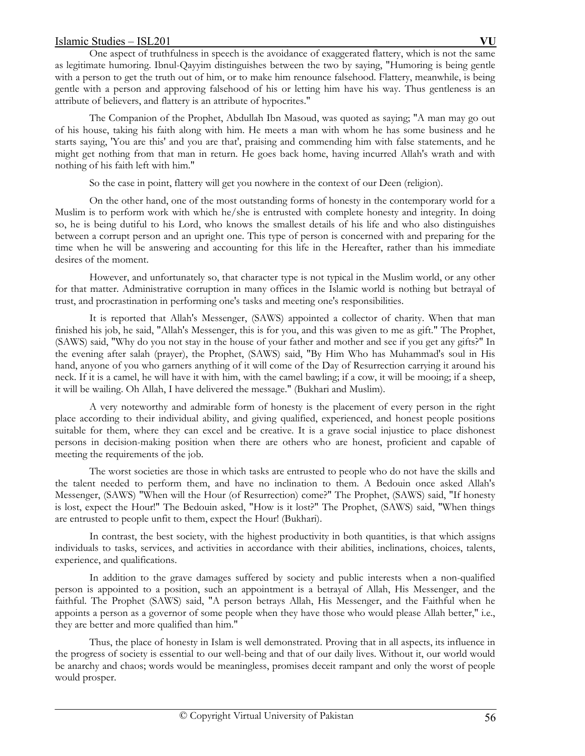One aspect of truthfulness in speech is the avoidance of exaggerated flattery, which is not the same as legitimate humoring. Ibnul-Qayyim distinguishes between the two by saying, "Humoring is being gentle with a person to get the truth out of him, or to make him renounce falsehood. Flattery, meanwhile, is being gentle with a person and approving falsehood of his or letting him have his way. Thus gentleness is an attribute of believers, and flattery is an attribute of hypocrites."

 The Companion of the Prophet, Abdullah Ibn Masoud, was quoted as saying; "A man may go out of his house, taking his faith along with him. He meets a man with whom he has some business and he starts saying, 'You are this' and you are that', praising and commending him with false statements, and he might get nothing from that man in return. He goes back home, having incurred Allah's wrath and with nothing of his faith left with him."

So the case in point, flattery will get you nowhere in the context of our Deen (religion).

 On the other hand, one of the most outstanding forms of honesty in the contemporary world for a Muslim is to perform work with which he/she is entrusted with complete honesty and integrity. In doing so, he is being dutiful to his Lord, who knows the smallest details of his life and who also distinguishes between a corrupt person and an upright one. This type of person is concerned with and preparing for the time when he will be answering and accounting for this life in the Hereafter, rather than his immediate desires of the moment.

 However, and unfortunately so, that character type is not typical in the Muslim world, or any other for that matter. Administrative corruption in many offices in the Islamic world is nothing but betrayal of trust, and procrastination in performing one's tasks and meeting one's responsibilities.

 It is reported that Allah's Messenger, (SAWS) appointed a collector of charity. When that man finished his job, he said, "Allah's Messenger, this is for you, and this was given to me as gift." The Prophet, (SAWS) said, "Why do you not stay in the house of your father and mother and see if you get any gifts?" In the evening after salah (prayer), the Prophet, (SAWS) said, "By Him Who has Muhammad's soul in His hand, anyone of you who garners anything of it will come of the Day of Resurrection carrying it around his neck. If it is a camel, he will have it with him, with the camel bawling; if a cow, it will be mooing; if a sheep, it will be wailing. Oh Allah, I have delivered the message." (Bukhari and Muslim).

 A very noteworthy and admirable form of honesty is the placement of every person in the right place according to their individual ability, and giving qualified, experienced, and honest people positions suitable for them, where they can excel and be creative. It is a grave social injustice to place dishonest persons in decision-making position when there are others who are honest, proficient and capable of meeting the requirements of the job.

 The worst societies are those in which tasks are entrusted to people who do not have the skills and the talent needed to perform them, and have no inclination to them. A Bedouin once asked Allah's Messenger, (SAWS) "When will the Hour (of Resurrection) come?" The Prophet, (SAWS) said, "If honesty is lost, expect the Hour!" The Bedouin asked, "How is it lost?" The Prophet, (SAWS) said, "When things are entrusted to people unfit to them, expect the Hour! (Bukhari).

 In contrast, the best society, with the highest productivity in both quantities, is that which assigns individuals to tasks, services, and activities in accordance with their abilities, inclinations, choices, talents, experience, and qualifications.

 In addition to the grave damages suffered by society and public interests when a non-qualified person is appointed to a position, such an appointment is a betrayal of Allah, His Messenger, and the faithful. The Prophet (SAWS) said, "A person betrays Allah, His Messenger, and the Faithful when he appoints a person as a governor of some people when they have those who would please Allah better," i.e., they are better and more qualified than him."

 Thus, the place of honesty in Islam is well demonstrated. Proving that in all aspects, its influence in the progress of society is essential to our well-being and that of our daily lives. Without it, our world would be anarchy and chaos; words would be meaningless, promises deceit rampant and only the worst of people would prosper.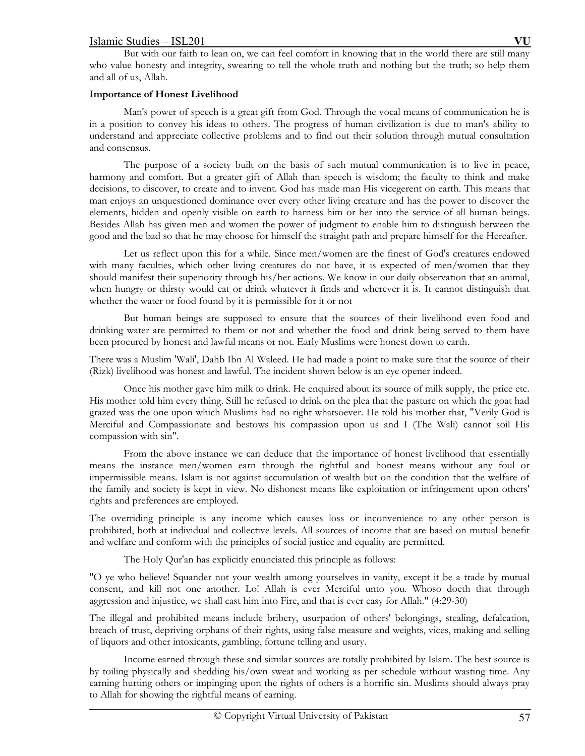But with our faith to lean on, we can feel comfort in knowing that in the world there are still many who value honesty and integrity, swearing to tell the whole truth and nothing but the truth; so help them and all of us, Allah.

# **Importance of Honest Livelihood**

 Man's power of speech is a great gift from God. Through the vocal means of communication he is in a position to convey his ideas to others. The progress of human civilization is due to man's ability to understand and appreciate collective problems and to find out their solution through mutual consultation and consensus.

 The purpose of a society built on the basis of such mutual communication is to live in peace, harmony and comfort. But a greater gift of Allah than speech is wisdom; the faculty to think and make decisions, to discover, to create and to invent. God has made man His vicegerent on earth. This means that man enjoys an unquestioned dominance over every other living creature and has the power to discover the elements, hidden and openly visible on earth to harness him or her into the service of all human beings. Besides Allah has given men and women the power of judgment to enable him to distinguish between the good and the bad so that he may choose for himself the straight path and prepare himself for the Hereafter.

 Let us reflect upon this for a while. Since men/women are the finest of God's creatures endowed with many faculties, which other living creatures do not have, it is expected of men/women that they should manifest their superiority through his/her actions. We know in our daily observation that an animal, when hungry or thirsty would eat or drink whatever it finds and wherever it is. It cannot distinguish that whether the water or food found by it is permissible for it or not

 But human beings are supposed to ensure that the sources of their livelihood even food and drinking water are permitted to them or not and whether the food and drink being served to them have been procured by honest and lawful means or not. Early Muslims were honest down to earth.

There was a Muslim 'Wali', Dahb Ibn Al Waleed. He had made a point to make sure that the source of their (Rizk) livelihood was honest and lawful. The incident shown below is an eye opener indeed.

 Once his mother gave him milk to drink. He enquired about its source of milk supply, the price etc. His mother told him every thing. Still he refused to drink on the plea that the pasture on which the goat had grazed was the one upon which Muslims had no right whatsoever. He told his mother that, "Verily God is Merciful and Compassionate and bestows his compassion upon us and I (The Wali) cannot soil His compassion with sin".

 From the above instance we can deduce that the importance of honest livelihood that essentially means the instance men/women earn through the rightful and honest means without any foul or impermissible means. Islam is not against accumulation of wealth but on the condition that the welfare of the family and society is kept in view. No dishonest means like exploitation or infringement upon others' rights and preferences are employed.

The overriding principle is any income which causes loss or inconvenience to any other person is prohibited, both at individual and collective levels. All sources of income that are based on mutual benefit and welfare and conform with the principles of social justice and equality are permitted.

The Holy Qur'an has explicitly enunciated this principle as follows:

"O ye who believe! Squander not your wealth among yourselves in vanity, except it be a trade by mutual consent, and kill not one another. Lo! Allah is ever Merciful unto you. Whoso doeth that through aggression and injustice, we shall cast him into Fire, and that is ever easy for Allah." (4:29-30)

The illegal and prohibited means include bribery, usurpation of others' belongings, stealing, defalcation, breach of trust, depriving orphans of their rights, using false measure and weights, vices, making and selling of liquors and other intoxicants, gambling, fortune telling and usury.

 Income earned through these and similar sources are totally prohibited by Islam. The best source is by toiling physically and shedding his/own sweat and working as per schedule without wasting time. Any earning hurting others or impinging upon the rights of others is a horrific sin. Muslims should always pray to Allah for showing the rightful means of earning.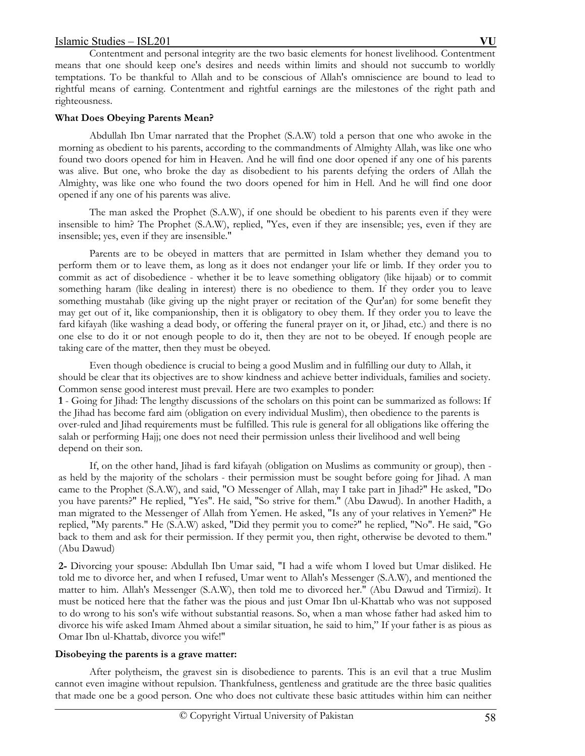Contentment and personal integrity are the two basic elements for honest livelihood. Contentment means that one should keep one's desires and needs within limits and should not succumb to worldly temptations. To be thankful to Allah and to be conscious of Allah's omniscience are bound to lead to rightful means of earning. Contentment and rightful earnings are the milestones of the right path and righteousness.

# **What Does Obeying Parents Mean?**

Abdullah Ibn Umar narrated that the Prophet (S.A.W) told a person that one who awoke in the morning as obedient to his parents, according to the commandments of Almighty Allah, was like one who found two doors opened for him in Heaven. And he will find one door opened if any one of his parents was alive. But one, who broke the day as disobedient to his parents defying the orders of Allah the Almighty, was like one who found the two doors opened for him in Hell. And he will find one door opened if any one of his parents was alive.

The man asked the Prophet (S.A.W), if one should be obedient to his parents even if they were insensible to him? The Prophet (S.A.W), replied, "Yes, even if they are insensible; yes, even if they are insensible; yes, even if they are insensible."

Parents are to be obeyed in matters that are permitted in Islam whether they demand you to perform them or to leave them, as long as it does not endanger your life or limb. If they order you to commit as act of disobedience - whether it be to leave something obligatory (like hijaab) or to commit something haram (like dealing in interest) there is no obedience to them. If they order you to leave something mustahab (like giving up the night prayer or recitation of the Qur'an) for some benefit they may get out of it, like companionship, then it is obligatory to obey them. If they order you to leave the fard kifayah (like washing a dead body, or offering the funeral prayer on it, or Jihad, etc.) and there is no one else to do it or not enough people to do it, then they are not to be obeyed. If enough people are taking care of the matter, then they must be obeyed.

Even though obedience is crucial to being a good Muslim and in fulfilling our duty to Allah, it should be clear that its objectives are to show kindness and achieve better individuals, families and society. Common sense good interest must prevail. Here are two examples to ponder:

**1** - Going for Jihad: The lengthy discussions of the scholars on this point can be summarized as follows: If the Jihad has become fard aim (obligation on every individual Muslim), then obedience to the parents is over-ruled and Jihad requirements must be fulfilled. This rule is general for all obligations like offering the salah or performing Hajj; one does not need their permission unless their livelihood and well being depend on their son.

If, on the other hand, Jihad is fard kifayah (obligation on Muslims as community or group), then as held by the majority of the scholars - their permission must be sought before going for Jihad. A man came to the Prophet (S.A.W), and said, "O Messenger of Allah, may I take part in Jihad?" He asked, "Do you have parents?" He replied, "Yes". He said, "So strive for them." (Abu Dawud). In another Hadith, a man migrated to the Messenger of Allah from Yemen. He asked, "Is any of your relatives in Yemen?" He replied, "My parents." He (S.A.W) asked, "Did they permit you to come?" he replied, "No". He said, "Go back to them and ask for their permission. If they permit you, then right, otherwise be devoted to them." (Abu Dawud)

**2-** Divorcing your spouse: Abdullah Ibn Umar said, "I had a wife whom I loved but Umar disliked. He told me to divorce her, and when I refused, Umar went to Allah's Messenger (S.A.W), and mentioned the matter to him. Allah's Messenger (S.A.W), then told me to divorced her." (Abu Dawud and Tirmizi). It must be noticed here that the father was the pious and just Omar Ibn ul-Khattab who was not supposed to do wrong to his son's wife without substantial reasons. So, when a man whose father had asked him to divorce his wife asked Imam Ahmed about a similar situation, he said to him," If your father is as pious as Omar Ibn ul-Khattab, divorce you wife!"

## **Disobeying the parents is a grave matter:**

After polytheism, the gravest sin is disobedience to parents. This is an evil that a true Muslim cannot even imagine without repulsion. Thankfulness, gentleness and gratitude are the three basic qualities that made one be a good person. One who does not cultivate these basic attitudes within him can neither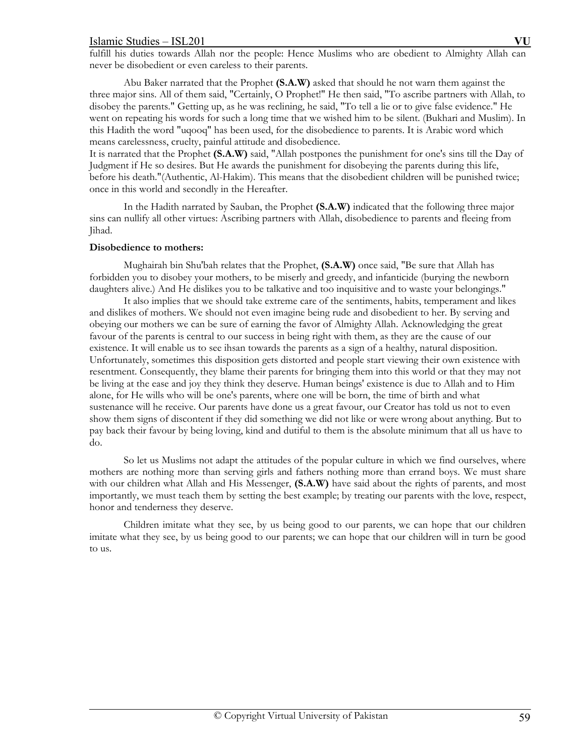fulfill his duties towards Allah nor the people: Hence Muslims who are obedient to Almighty Allah can never be disobedient or even careless to their parents.

Abu Baker narrated that the Prophet **(S.A.W)** asked that should he not warn them against the three major sins. All of them said, "Certainly, O Prophet!" He then said, "To ascribe partners with Allah, to disobey the parents." Getting up, as he was reclining, he said, "To tell a lie or to give false evidence." He went on repeating his words for such a long time that we wished him to be silent. (Bukhari and Muslim). In this Hadith the word "uqooq" has been used, for the disobedience to parents. It is Arabic word which means carelessness, cruelty, painful attitude and disobedience.

It is narrated that the Prophet **(S.A.W)** said, "Allah postpones the punishment for one's sins till the Day of Judgment if He so desires. But He awards the punishment for disobeying the parents during this life, before his death."(Authentic, Al-Hakim). This means that the disobedient children will be punished twice; once in this world and secondly in the Hereafter.

In the Hadith narrated by Sauban, the Prophet **(S.A.W)** indicated that the following three major sins can nullify all other virtues: Ascribing partners with Allah, disobedience to parents and fleeing from Jihad.

### **Disobedience to mothers:**

Mughairah bin Shu'bah relates that the Prophet, **(S.A.W)** once said, "Be sure that Allah has forbidden you to disobey your mothers, to be miserly and greedy, and infanticide (burying the newborn daughters alive.) And He dislikes you to be talkative and too inquisitive and to waste your belongings."

 It also implies that we should take extreme care of the sentiments, habits, temperament and likes and dislikes of mothers. We should not even imagine being rude and disobedient to her. By serving and obeying our mothers we can be sure of earning the favor of Almighty Allah. Acknowledging the great favour of the parents is central to our success in being right with them, as they are the cause of our existence. It will enable us to see ihsan towards the parents as a sign of a healthy, natural disposition. Unfortunately, sometimes this disposition gets distorted and people start viewing their own existence with resentment. Consequently, they blame their parents for bringing them into this world or that they may not be living at the ease and joy they think they deserve. Human beings' existence is due to Allah and to Him alone, for He wills who will be one's parents, where one will be born, the time of birth and what sustenance will he receive. Our parents have done us a great favour, our Creator has told us not to even show them signs of discontent if they did something we did not like or were wrong about anything. But to pay back their favour by being loving, kind and dutiful to them is the absolute minimum that all us have to do.

So let us Muslims not adapt the attitudes of the popular culture in which we find ourselves, where mothers are nothing more than serving girls and fathers nothing more than errand boys. We must share with our children what Allah and His Messenger, **(S.A.W)** have said about the rights of parents, and most importantly, we must teach them by setting the best example; by treating our parents with the love, respect, honor and tenderness they deserve.

Children imitate what they see, by us being good to our parents, we can hope that our children imitate what they see, by us being good to our parents; we can hope that our children will in turn be good to us.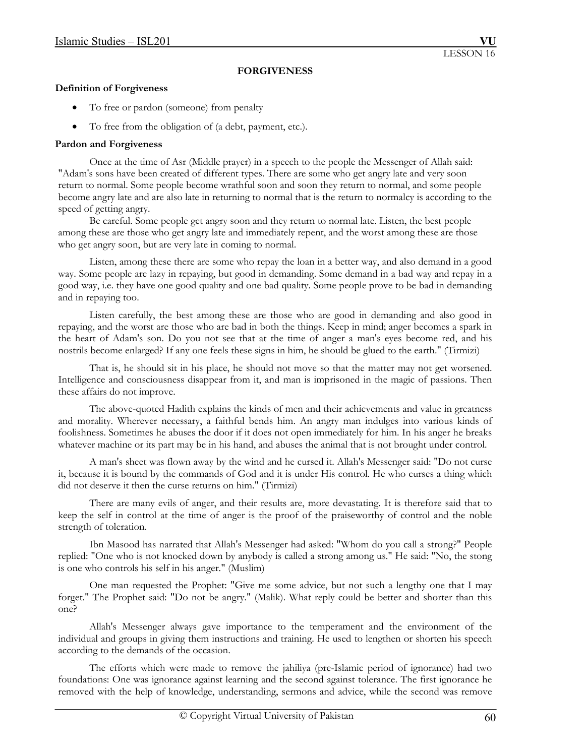## **FORGIVENESS**

### **Definition of Forgiveness**

- To free or pardon (someone) from penalty
- To free from the obligation of (a debt, payment, etc.).

# **Pardon and Forgiveness**

 Once at the time of Asr (Middle prayer) in a speech to the people the Messenger of Allah said: "Adam's sons have been created of different types. There are some who get angry late and very soon return to normal. Some people become wrathful soon and soon they return to normal, and some people become angry late and are also late in returning to normal that is the return to normalcy is according to the speed of getting angry.

 Be careful. Some people get angry soon and they return to normal late. Listen, the best people among these are those who get angry late and immediately repent, and the worst among these are those who get angry soon, but are very late in coming to normal.

 Listen, among these there are some who repay the loan in a better way, and also demand in a good way. Some people are lazy in repaying, but good in demanding. Some demand in a bad way and repay in a good way, i.e. they have one good quality and one bad quality. Some people prove to be bad in demanding and in repaying too.

 Listen carefully, the best among these are those who are good in demanding and also good in repaying, and the worst are those who are bad in both the things. Keep in mind; anger becomes a spark in the heart of Adam's son. Do you not see that at the time of anger a man's eyes become red, and his nostrils become enlarged? If any one feels these signs in him, he should be glued to the earth." (Tirmizi)

 That is, he should sit in his place, he should not move so that the matter may not get worsened. Intelligence and consciousness disappear from it, and man is imprisoned in the magic of passions. Then these affairs do not improve.

 The above-quoted Hadith explains the kinds of men and their achievements and value in greatness and morality. Wherever necessary, a faithful bends him. An angry man indulges into various kinds of foolishness. Sometimes he abuses the door if it does not open immediately for him. In his anger he breaks whatever machine or its part may be in his hand, and abuses the animal that is not brought under control.

 A man's sheet was flown away by the wind and he cursed it. Allah's Messenger said: "Do not curse it, because it is bound by the commands of God and it is under His control. He who curses a thing which did not deserve it then the curse returns on him." (Tirmizi)

 There are many evils of anger, and their results are, more devastating. It is therefore said that to keep the self in control at the time of anger is the proof of the praiseworthy of control and the noble strength of toleration.

 Ibn Masood has narrated that Allah's Messenger had asked: "Whom do you call a strong?" People replied: "One who is not knocked down by anybody is called a strong among us." He said: "No, the stong is one who controls his self in his anger." (Muslim)

 One man requested the Prophet: "Give me some advice, but not such a lengthy one that I may forget." The Prophet said: "Do not be angry." (Malik). What reply could be better and shorter than this one?

 Allah's Messenger always gave importance to the temperament and the environment of the individual and groups in giving them instructions and training. He used to lengthen or shorten his speech according to the demands of the occasion.

 The efforts which were made to remove the jahiliya (pre-Islamic period of ignorance) had two foundations: One was ignorance against learning and the second against tolerance. The first ignorance he removed with the help of knowledge, understanding, sermons and advice, while the second was remove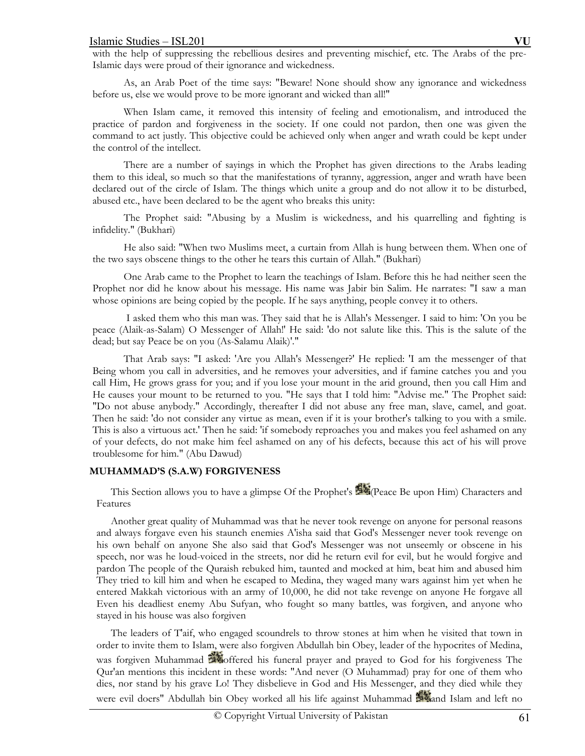with the help of suppressing the rebellious desires and preventing mischief, etc. The Arabs of the pre-Islamic days were proud of their ignorance and wickedness.

 As, an Arab Poet of the time says: "Beware! None should show any ignorance and wickedness before us, else we would prove to be more ignorant and wicked than all!"

 When Islam came, it removed this intensity of feeling and emotionalism, and introduced the practice of pardon and forgiveness in the society. If one could not pardon, then one was given the command to act justly. This objective could be achieved only when anger and wrath could be kept under the control of the intellect.

 There are a number of sayings in which the Prophet has given directions to the Arabs leading them to this ideal, so much so that the manifestations of tyranny, aggression, anger and wrath have been declared out of the circle of Islam. The things which unite a group and do not allow it to be disturbed, abused etc., have been declared to be the agent who breaks this unity:

 The Prophet said: "Abusing by a Muslim is wickedness, and his quarrelling and fighting is infidelity." (Bukhari)

 He also said: "When two Muslims meet, a curtain from Allah is hung between them. When one of the two says obscene things to the other he tears this curtain of Allah." (Bukhari)

 One Arab came to the Prophet to learn the teachings of Islam. Before this he had neither seen the Prophet nor did he know about his message. His name was Jabir bin Salim. He narrates: "I saw a man whose opinions are being copied by the people. If he says anything, people convey it to others.

 I asked them who this man was. They said that he is Allah's Messenger. I said to him: 'On you be peace (Alaik-as-Salam) O Messenger of Allah!' He said: 'do not salute like this. This is the salute of the dead; but say Peace be on you (As-Salamu Alaik)'."

That Arab says: "I asked: 'Are you Allah's Messenger?' He replied: 'I am the messenger of that Being whom you call in adversities, and he removes your adversities, and if famine catches you and you call Him, He grows grass for you; and if you lose your mount in the arid ground, then you call Him and He causes your mount to be returned to you. "He says that I told him: "Advise me." The Prophet said: "Do not abuse anybody." Accordingly, thereafter I did not abuse any free man, slave, camel, and goat. Then he said: 'do not consider any virtue as mean, even if it is your brother's talking to you with a smile. This is also a virtuous act.' Then he said: 'if somebody reproaches you and makes you feel ashamed on any of your defects, do not make him feel ashamed on any of his defects, because this act of his will prove troublesome for him." (Abu Dawud)

## **MUHAMMAD'S (S.A.W) FORGIVENESS**

This Section allows you to have a glimpse Of the Prophet's  $\mathbf{F}$  (Peace Be upon Him) Characters and Features

Another great quality of Muhammad was that he never took revenge on anyone for personal reasons and always forgave even his staunch enemies A'isha said that God's Messenger never took revenge on his own behalf on anyone She also said that God's Messenger was not unseemly or obscene in his speech, nor was he loud-voiced in the streets, nor did he return evil for evil, but he would forgive and pardon The people of the Quraish rebuked him, taunted and mocked at him, beat him and abused him They tried to kill him and when he escaped to Medina, they waged many wars against him yet when he entered Makkah victorious with an army of 10,000, he did not take revenge on anyone He forgave all Even his deadliest enemy Abu Sufyan, who fought so many battles, was forgiven, and anyone who stayed in his house was also forgiven

The leaders of T'aif, who engaged scoundrels to throw stones at him when he visited that town in order to invite them to Islam, were also forgiven Abdullah bin Obey, leader of the hypocrites of Medina, was forgiven Muhammad **offered** his funeral prayer and prayed to God for his forgiveness The Qur'an mentions this incident in these words: "And never (O Muhammad) pray for one of them who dies, nor stand by his grave Lo! They disbelieve in God and His Messenger, and they died while they were evil doers" Abdullah bin Obey worked all his life against Muhammad and Islam and left no